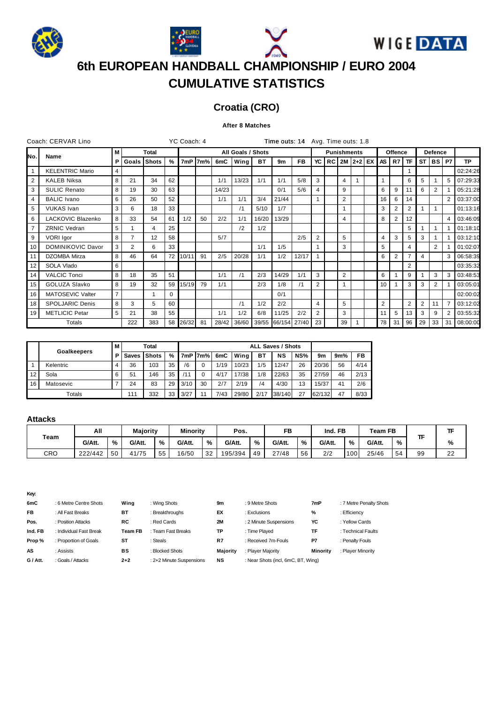







## **Croatia (CRO)**

## **After 8 Matches**

|                | Coach: CERVAR Lino     |                |                |              |          | YC Coach: 4 |                   |       |             |       | Time outs: 14 Avg. Time outs: 1.8 |           |                    |  |                |                         |  |                 |    |                |                |                |                        |           |
|----------------|------------------------|----------------|----------------|--------------|----------|-------------|-------------------|-------|-------------|-------|-----------------------------------|-----------|--------------------|--|----------------|-------------------------|--|-----------------|----|----------------|----------------|----------------|------------------------|-----------|
| No.            |                        | М              |                | <b>Total</b> |          |             | All Goals / Shots |       |             |       |                                   |           | <b>Punishments</b> |  |                |                         |  | Offence         |    |                | <b>Defence</b> |                |                        |           |
|                | Name                   | P.             |                | Goals Shots  | %        |             | 7mP 7m%           | 6mC   | Wina        | ВT    | 9m                                | <b>FB</b> | YC                 |  |                | RC   2M   2+2   EX   AS |  |                 | R7 | <b>TF</b>      | <b>ST</b>      |                | BSIP7                  | <b>TP</b> |
|                | <b>KELENTRIC Mario</b> | 4              |                |              |          |             |                   |       |             |       |                                   |           |                    |  |                |                         |  |                 |    |                |                |                |                        | 02:24:26  |
| 2              | <b>KALEB Niksa</b>     | 8              | 21             | 34           | 62       |             |                   | 1/1   | 13/23       | 1/1   | 1/1                               | 5/8       | 3                  |  | $\overline{4}$ |                         |  |                 |    | 6              | 5              |                |                        | 07:29:33  |
| 3              | <b>SULIC Renato</b>    | 8              | 19             | 30           | 63       |             |                   | 14/23 |             |       | 0/1                               | 5/6       | 4                  |  | 9              |                         |  | 6               | 9  |                | 6              | $\overline{2}$ |                        | 05:21:28  |
| $\overline{4}$ | <b>BALIC</b> Ivano     | 6              | 26             | 50           | 52       |             |                   | 1/1   | 1/1         | 3/4   | 21/44                             |           |                    |  | $\overline{2}$ |                         |  | 16              | 6  | 14             |                |                | $\overline{2}$         | 03:37:00  |
| 5              | <b>VUKAS Ivan</b>      | 3              | 6              | 18           | 33       |             |                   |       | /1          | 5/10  | 1/7                               |           |                    |  | -1             |                         |  | 3               | 2  | $\overline{2}$ |                |                |                        | 01:13:16  |
| 6              | LACKOVIC Blazenko      | 8              | 33             | 54           | 61       | 1/2         | 50                | 2/2   | 1/1         | 16/20 | 13/29                             |           |                    |  | $\overline{4}$ |                         |  | 8               | 2  | 12             |                |                | $\boldsymbol{\Lambda}$ | 03:46:09  |
| $\overline{7}$ | <b>ZRNIC Vedran</b>    | 5              |                | 4            | 25       |             |                   |       | /2          | 1/2   |                                   |           |                    |  |                |                         |  |                 |    | 5              |                | -1             |                        | 01:18:10  |
| 9              | VORI Igor              | 8              | $\overline{7}$ | 12           | 58       |             |                   | 5/7   |             |       |                                   | 2/5       | 2                  |  | 5              |                         |  | 4               | 3  | 5              | 3              |                |                        | 03:12:10  |
| 10             | DOMINIKOVIC Davor      | 3              | $\overline{2}$ | 6            | 33       |             |                   |       |             | 1/1   | 1/5                               |           | 1                  |  | 3              |                         |  | 5               |    | 4              |                | 2              |                        | 01:02:07  |
| 11             | DZOMBA Mirza           | 8              | 46             | 64           | 72       | 10/11       | 91                | 2/5   | 20/28       | 1/1   | 1/2                               | 12/17     |                    |  |                |                         |  | 6               | 2  |                | $\overline{4}$ |                | 3                      | 06:58:39  |
| 12             | SOLA Vlado             | 6              |                |              |          |             |                   |       |             |       |                                   |           |                    |  |                |                         |  |                 |    | $\overline{2}$ |                |                |                        | 03:35:32  |
| 14             | <b>VALCIC Tonci</b>    | 8              | 18             | 35           | 51       |             |                   | 1/1   | /1          | 2/3   | 14/29                             | 1/1       | 3                  |  | $\overline{2}$ |                         |  | 6               |    | 9              |                | 3              | 3                      | 03:48:53  |
| 15             | <b>GOLUZA Slavko</b>   | 8              | 19             | 32           | 59       | 15/19       | 79                | 1/1   |             | 2/3   | 1/8                               | /1        | $\overline{2}$     |  | $\overline{1}$ |                         |  | 10 <sup>1</sup> |    | 3              | 3              | $\overline{2}$ |                        | 03:05:01  |
| 16             | MATOSEVIC Valter       | $\overline{7}$ |                |              | $\Omega$ |             |                   |       |             |       | 0/1                               |           |                    |  |                |                         |  |                 |    |                |                |                |                        | 02:00:02  |
| 18             | <b>SPOLJARIC Denis</b> | 8              | 3              | 5            | 60       |             |                   |       | /1          | 1/2   | 2/2                               |           | 4                  |  | 5              |                         |  | $\overline{2}$  |    | $\overline{2}$ | $\overline{2}$ | 11             |                        | 03:12:02  |
| 19             | <b>METLICIC Petar</b>  | 5              | 21             | 38           | 55       |             |                   | 1/1   | 1/2         | 6/8   | 11/25                             | 2/2       | 2                  |  | 3              |                         |  | 11              | 5  | 13             | 3              | 9              | 2                      | 03:55:32  |
|                | Totals                 |                | 222            | 383          | 58       | 26/32       | 81                |       | 28/42 36/60 |       | 39/55 66/154 27/40                |           | 23                 |  | 39             |                         |  | 78              | 31 | 96             | 29             | 33             | 31                     | 08:00:00  |

|    | м           |   | Total |         |    | <b>ALL Saves / Shots</b> |          |      |       |                |        |     |        |     |      |
|----|-------------|---|-------|---------|----|--------------------------|----------|------|-------|----------------|--------|-----|--------|-----|------|
|    | Goalkeepers | Р | Saves | l Shots | %  | 7mP                      | 7m%      | 6mC  | Wing  | вт             | NS     | NS% | 9m     | 9m% | FB   |
|    | Kelentric   |   | 36    | 103     | 35 | /6                       | $\Omega$ | 1/19 | 10/23 | 1/5            | 12/47  | 26  | 20/36  | 56  | 4/14 |
| 12 | Sola        |   | 51    | 146     | 35 |                          | 0        | 4/17 | 17/38 | 1/8            | 22/63  | 35  | 27/59  | 46  | 2/13 |
| 16 | Matosevic   |   | 24    | 83      | 29 | 3/10                     | 30       | 2/7  | 2/19  | $\overline{4}$ | 4/30   | 13  | 15/37  | 41  | 2/6  |
|    | Totals      |   | 111   | 332     | 33 | 3/27                     | 11       | 7/43 | 29/80 | 2/17           | 38/140 | 27  | 62/132 | 47  | 8/33 |

### **Attacks**

| Team | All     |    | <b>Maiority</b> |    | <b>Minority</b> |    | Pos.    |    | FB     |    | Ind. FB |                  | Team FB |    |    |          |
|------|---------|----|-----------------|----|-----------------|----|---------|----|--------|----|---------|------------------|---------|----|----|----------|
|      | G/Att.  | %  | G/Att.          | %  | G/Att.          | %  | G/Att.  | %  | G/Att. | %  | G/Att.  | %                | G/Att.  | %  |    | %        |
| CRO  | 222/442 | 50 | 41/75           | 55 | 16/50           | 32 | 195/394 | 49 | 27/48  | 56 | 2/2     | 100 <sup>1</sup> | 25/46   | 54 | 99 | ົດ<br>22 |

| 6mC       | : 6 Metre Centre Shots  | Wina    | : Wing Shots             | 9m              | : 9 Metre Shots                    | 7mP      | : 7 Metre Penalty Shots |
|-----------|-------------------------|---------|--------------------------|-----------------|------------------------------------|----------|-------------------------|
| <b>FB</b> | : All Fast Breaks       | BТ      | : Breakthroughs          | EX              | : Exclusions                       | %        | : Efficiency            |
| Pos.      | : Position Attacks      | RC      | : Red Cards              | 2M              | : 2 Minute Suspensions             | YC       | : Yellow Cards          |
| Ind. FB   | : Individual Fast Break | Team FB | : Team Fast Breaks       | ТP              | : Time Plaved                      | ΤF       | : Technical Faults      |
| Prop%     | : Proportion of Goals   | ST      | : Steals                 | R7              | : Received 7m-Fouls                | P7       | : Penalty Fouls         |
| AS        | : Assists               | BS      | : Blocked Shots          | <b>Majority</b> | : Plaver Maiority                  | Minority | : Plaver Minority       |
| G / Att.  | : Goals / Attacks       | $2+2$   | : 2+2 Minute Suspensions | <b>NS</b>       | : Near Shots (incl, 6mC, BT, Wing) |          |                         |
|           |                         |         |                          |                 |                                    |          |                         |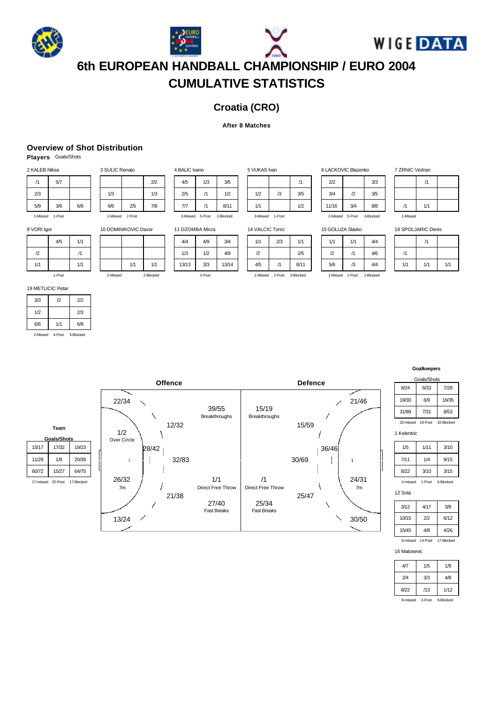







## **Croatia (CRO)**

### **After 8 Matches**

## **Overview of Shot Distribution**

**Players** Goals/Shots

| 2 KALEB Niksa   |     |     |  |  |  |  |  |  |  |
|-----------------|-----|-----|--|--|--|--|--|--|--|
| /1              | 5/7 |     |  |  |  |  |  |  |  |
| 2/3             |     |     |  |  |  |  |  |  |  |
| 5/9             | 3/6 | 6/6 |  |  |  |  |  |  |  |
| 1-Missed 1-Post |     |     |  |  |  |  |  |  |  |

|                 |     | 2/2 |  |  |  |  |  |
|-----------------|-----|-----|--|--|--|--|--|
| 1/3             |     | 1/3 |  |  |  |  |  |
| 6/6             | 2/5 | 7/8 |  |  |  |  |  |
| 1-Missed 2-Post |     |     |  |  |  |  |  |

1/1 1/1 2-Missed 2-Blocked

10 DOMINIKOVIC Davor

3 SULIC Renato

| 4 BALIC Ivano                |     |             |  |  |  |  |  |  |  |
|------------------------------|-----|-------------|--|--|--|--|--|--|--|
| 4/5                          | 1/3 | 3/5         |  |  |  |  |  |  |  |
| 2/5                          | /1  | 1/2<br>8/11 |  |  |  |  |  |  |  |
| 7/7                          | /1  |             |  |  |  |  |  |  |  |
| 3-Missed 5-Post<br>2-Blocked |     |             |  |  |  |  |  |  |  |

| 5 VUKAS Ivan |     |                 |     |  |  |  |  |  |  |
|--------------|-----|-----------------|-----|--|--|--|--|--|--|
|              |     |                 | /1  |  |  |  |  |  |  |
|              | 1/2 | /3              | 3/5 |  |  |  |  |  |  |
|              | 1/1 |                 | 1/2 |  |  |  |  |  |  |
|              |     | 3-Missed 1-Post |     |  |  |  |  |  |  |

|   |        | $\sqrt{1}$ |  |
|---|--------|------------|--|
|   | /3     | 3/5        |  |
|   |        | 1/2        |  |
| d | 1-Post |            |  |

T.

| 2/2      |        | 3/3       |
|----------|--------|-----------|
| 3/4      | /2     | 3/5       |
| 11/16    | 3/4    | 8/8       |
| 2-Missed | 5-Post | 3-Blocked |

6 LACKOVIC Blazenko

| 7 ZRNIC Vedran |  |
|----------------|--|
|----------------|--|

|          | /1  |  |
|----------|-----|--|
|          |     |  |
| /1       | 1/1 |  |
| 1-Missed |     |  |

9 VORI Igor

4/5 1/1  $\frac{1}{2}$  /1  $1/1$   $1/1$ 1-Post

| 19 METLICIC Petar |  |
|-------------------|--|

| 3/3      | $\mathcal{D}$ | 2/2       |
|----------|---------------|-----------|
| 1/2      |               | 2/3       |
| 6/6      | 1/1           | 6/8       |
| 2-Missed | 4-Post        | 5-Blocked |

11 DZOMBA Mirza

| 4/4   | 4/9    | 3/4   |
|-------|--------|-------|
| 1/3   | 1/2    | 4/9   |
| 13/13 | 3/3    | 13/14 |
|       | 2-Post |       |

| 14 VALCIC Tonci |                 |           |
|-----------------|-----------------|-----------|
| 1/1             | 2/3             | 1/1       |
| $\mathcal{D}$   |                 | 2/5       |
| 4/5             | /1              | 8/11      |
|                 | 1-Missed 2-Post | 3-Blocked |

| 15 GOLUZA Slavko |        |           |
|------------------|--------|-----------|
| 1/1              | 1/1    | 4/4       |
| /2               | /1     | 4/6       |
| 5/6              | /3     | 4/4       |
| 1-Missed         | 1-Post | 2-Blocked |

1-Missed

18 SPOLJARIC Denis

|     | /1  |     |
|-----|-----|-----|
| /1  |     |     |
| 1/1 | 1/1 | 1/1 |

### **Goalkeepers**

| Goals/Shots |         |            |  |  |  |  |  |  |
|-------------|---------|------------|--|--|--|--|--|--|
| 8/24        | 6/33    |            |  |  |  |  |  |  |
| 19/30       | 6/9     | 19/35      |  |  |  |  |  |  |
| 31/89       | 7/31    | 8/53       |  |  |  |  |  |  |
| 20-missed   | 18-Post | 32-Blocked |  |  |  |  |  |  |

1 Kelentric

| 1/5      | 1/11   | 3/10      |
|----------|--------|-----------|
| 7/11     | 1/4    | 9/15      |
| 8/22     | 3/10   | 3/15      |
| 4-missed | 1-Post | 6-Blocked |

12 Sola

| 3/12                        | 4/17 | 3/9  |  |  |  |  |
|-----------------------------|------|------|--|--|--|--|
| 10/15                       | 2/2  | 6/12 |  |  |  |  |
| 15/45                       | 4/8  | 4/26 |  |  |  |  |
| 8-missed 14-Post 17-Blocked |      |      |  |  |  |  |

16 Matosevic

| 4/7  | 1/5 | 1/9  |
|------|-----|------|
| 2/4  | 3/3 | 4/8  |
| 8/22 | /13 | 1/12 |
|      |     |      |

8-missed 3-Post 9-Blocked

| <b>Offence</b>          |                             |                             | <b>Defence</b>          |
|-------------------------|-----------------------------|-----------------------------|-------------------------|
| 22/34                   |                             |                             | 21/46                   |
|                         | 39/55<br>Breakthroughs      | 15/19<br>Breakthroughs      |                         |
| 12/32<br>1/2            |                             |                             | 15/59                   |
| Over Circle<br>28/42    |                             |                             | 36/46                   |
| 32/83                   |                             |                             | 30/69                   |
| 26/32                   | 1/1                         | /1                          | 24/31                   |
| 7 <sub>m</sub><br>21/38 | Direct Free Throw           | Direct Free Throw           | 7 <sub>m</sub><br>25/47 |
|                         | 27/40<br><b>Fast Breaks</b> | 25/34<br><b>Fast Breaks</b> |                         |
| 13/24                   |                             |                             | 30/50                   |

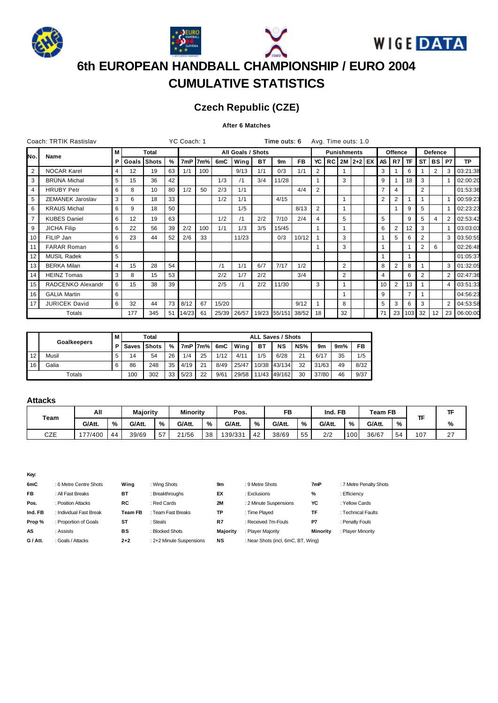







## **Czech Republic (CZE)**

## **After 6 Matches**

|                | Coach: TRTIK Rastislav |   |       |       |    | YC Coach: 1 |           |       |                   |           | Time outs: 6       |           |                | Avg. Time outs: 1.0 |                |                    |                 |                |                |                |                |                |           |
|----------------|------------------------|---|-------|-------|----|-------------|-----------|-------|-------------------|-----------|--------------------|-----------|----------------|---------------------|----------------|--------------------|-----------------|----------------|----------------|----------------|----------------|----------------|-----------|
|                |                        | М |       | Total |    |             |           |       | All Goals / Shots |           |                    |           |                |                     |                | <b>Punishments</b> |                 | Offence        |                |                | <b>Defence</b> |                |           |
| N٥.            | Name                   | Р | Goals | Shots | %  |             | 7mP   7m% | 6mC   | Wing              | <b>BT</b> | 9m                 | <b>FB</b> | YC             |                     |                | RC 2M 2+2 EX       | AS I            | R7             | <b>TF</b>      | ST I           | BS             | <b>P7</b>      | <b>TP</b> |
| 2              | <b>NOCAR Karel</b>     |   | 12    | 19    | 63 | 1/1         | 100       |       | 9/13              | 1/1       | 0/3                | 1/1       | 2              |                     | $\mathbf{1}$   |                    | 3               |                | 6              |                | $\overline{2}$ | 3              | 03:21:38  |
| 3              | <b>BRÜNA Michal</b>    | 5 | 15    | 36    | 42 |             |           | 1/3   | /1                | 3/4       | 11/28              |           |                |                     | 3              |                    | 9               |                | 18             | 3              |                |                | 02:00:20  |
| 4              | <b>HRUBY Petr</b>      | 6 | 8     | 10    | 80 | 1/2         | 50        | 2/3   | 1/1               |           |                    | 4/4       | $\overline{2}$ |                     |                |                    | 7               | 4              |                | 2              |                |                | 01:53:36  |
| 5              | ZEMANEK Jaroslav       | 3 | 6     | 18    | 33 |             |           | 1/2   | 1/1               |           | 4/15               |           |                |                     |                |                    | 2               | 2              |                |                |                |                | 00:59:23  |
| 6              | <b>KRAUS Michal</b>    | 6 | 9     | 18    | 50 |             |           |       | 1/5               |           |                    | 8/13      | $\overline{2}$ |                     |                |                    |                 |                | 9              | 5              |                |                | 02:23:23  |
| $\overline{7}$ | <b>KUBES Daniel</b>    | 6 | 12    | 19    | 63 |             |           | 1/2   | /1                | 2/2       | 7/10               | 2/4       | 4              |                     | 5              |                    | 5               |                | 9              | 5              | $\overline{4}$ | $\overline{2}$ | 02:53:42  |
| 9              | <b>JICHA Filip</b>     | 6 | 22    | 56    | 39 | 2/2         | 100       | 1/1   | 1/3               | 3/5       | 15/45              |           |                |                     |                |                    | 6               | 2              | 12             | 3              |                |                | 03:03:03  |
| 10             | FILIP Jan              | 6 | 23    | 44    | 52 | 2/6         | 33        |       | 11/23             |           | 0/3                | 10/12     |                |                     | 3              |                    |                 | 5              | 6              | 2              |                | 3              | 03:50:55  |
| 11             | <b>FARAR Roman</b>     | 6 |       |       |    |             |           |       |                   |           |                    |           |                |                     | 3              |                    |                 |                |                | 2              | 6              |                | 02:26:48  |
| 12             | <b>MUSIL Radek</b>     | 5 |       |       |    |             |           |       |                   |           |                    |           |                |                     |                |                    |                 |                |                |                |                |                | 01:05:37  |
| 13             | <b>BERKA Milan</b>     | 4 | 15    | 28    | 54 |             |           | /1    | 1/1               | 6/7       | 7/17               | 1/2       |                |                     | $\overline{2}$ |                    | 8               | $\overline{2}$ | 8              |                |                | 3              | 01:32:05  |
| 14             | <b>HEINZ Tomas</b>     | 3 | 8     | 15    | 53 |             |           | 2/2   | 1/7               | 2/2       |                    | 3/4       |                |                     | 2              |                    | 4               |                | 6              | $\overline{2}$ |                |                | 02:47:36  |
| 15             | RADCENKO Alexandr      | 6 | 15    | 38    | 39 |             |           | 2/5   | /1                | 2/2       | 11/30              |           | 3              |                     |                |                    | 10 <sup>°</sup> | $\overline{2}$ | 13             |                |                |                | 03:51:33  |
| 16             | <b>GALIA Martin</b>    | 6 |       |       |    |             |           |       |                   |           |                    |           |                |                     |                |                    | 9               |                | $\overline{7}$ |                |                |                | 04:56:23  |
| 17             | <b>JURICEK David</b>   | 6 | 32    | 44    | 73 | 8/12        | 67        | 15/20 |                   |           |                    | 9/12      |                |                     | 8              |                    | 5               | 3              | 6              | 3              |                | $\overline{2}$ | 04:53:58  |
|                | <b>Totals</b>          |   | 177   | 345   | 51 | 14/23       | 61        |       | 25/39 26/57       |           | 19/23 55/151 38/52 |           | 18             |                     | 32             |                    | 71              | 23             | 103            | 32             | 12             | 23             | 06:00:00  |

|    | м<br>Goalkeepers |   |             | Total |                 |                 |    |      |       |     | <b>ALL Saves / Shots</b> |     |       |     |      |
|----|------------------|---|-------------|-------|-----------------|-----------------|----|------|-------|-----|--------------------------|-----|-------|-----|------|
|    |                  |   | Saves Shots |       |                 | $%$ 17mP l7m% l |    | 6mC  | Wina  | ВT  | ΝS                       | NS% | 9m    | 9m% | FB   |
| 12 | Musil            |   | 14          | 54    | 26              | 1/4             | 25 | 1/12 | 4/11  | 1/5 | 6/28                     | 21  | 6/17  | 35  | 1/5  |
| 16 | Galia            | 6 | 86          | 248   | 35 <sub>1</sub> | 4/19            | 21 | 8/49 | 25/47 |     | 10/38 43/134             | 32  | 31/63 | 49  | 8/32 |
|    | Totals           |   | 100         | 302   | 33              | 5/23            | 22 | 9/61 | 29/58 |     | 11/43 49/162             | 30  | 37/80 | 46  | 9/37 |

## **Attacks**

| Team | All     |    | Majority |    | <b>Minority</b> |    | Pos.    |    | FB     |    | Ind. FB |                  | <b>Team FB</b> |    | ΤF  | π       |
|------|---------|----|----------|----|-----------------|----|---------|----|--------|----|---------|------------------|----------------|----|-----|---------|
|      | G/Att.  | %  | G/Att.   | %  | G/Att.          | %  | G/Att.  | %  | G/Att. | %  | G/Att.  | %                | G/Att.         | %  |     | %       |
| CZE  | 177/400 | 44 | 39/69    | 57 | 21/56           | 38 | 139/331 | 42 | 38/69  | 55 | 2/2     | 100 <sup>1</sup> | 36/67          | 54 | 107 | ^¬<br>້ |

| 6mC       | : 6 Metre Centre Shots  | Wing           | : Wing Shots             | 9m        | : 9 Metre Shots                    | 7mP      | : 7 Metre Penalty Shots |
|-----------|-------------------------|----------------|--------------------------|-----------|------------------------------------|----------|-------------------------|
| <b>FB</b> | : All Fast Breaks       | <b>BT</b>      | : Breakthroughs          | EX        | : Exclusions                       | %        | : Efficiency            |
| Pos.      | : Position Attacks      | RC             | : Red Cards              | <b>2M</b> | : 2 Minute Suspensions             | YC       | : Yellow Cards          |
| Ind. FB   | : Individual Fast Break | <b>Team FB</b> | : Team Fast Breaks       | ТP        | : Time Plaved                      | ΤF       | : Technical Faults      |
| Prop%     | : Proportion of Goals   | ST             | : Steals                 | R7        | : Received 7m-Fouls                | P7       | : Penalty Fouls         |
| AS        | : Assists               | BS             | : Blocked Shots          | Majority  | : Plaver Maiority                  | Minority | : Player Minority       |
| G / Att.  | : Goals / Attacks       | $2+2$          | : 2+2 Minute Suspensions | NS        | : Near Shots (incl. 6mC. BT. Wing) |          |                         |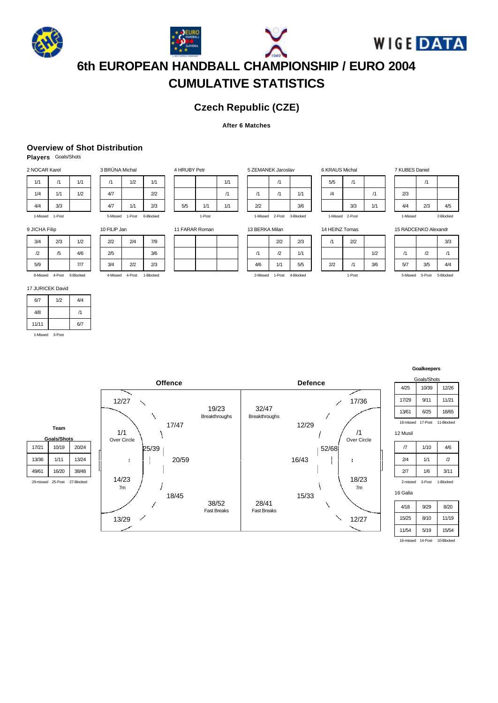







## **Czech Republic (CZE)**

**After 6 Matches**

## **Overview of Shot Distribution**

3 BRÜNA Michal

10 FILIP Jan

/1 1/2 1/1 4/7 2/2 4/7 1/1 2/3 5-Missed 1-Post 6-Blocked

2/2 2/4 7/9 2/5 3/6 3/4 2/2 2/3 4-Missed 4-Post 1-Blocked

**Players** Goals/Shots

| 2 NOCAR Karel   |     |     |  |  |  |  |  |
|-----------------|-----|-----|--|--|--|--|--|
| 1/1             | /1  | 1/1 |  |  |  |  |  |
| 1/4             | 1/1 | 1/2 |  |  |  |  |  |
| 4/4             | 3/3 |     |  |  |  |  |  |
| 1-Missed 1-Post |     |     |  |  |  |  |  |

| 5/5 | 1/1    |  |
|-----|--------|--|
|     | 1-Post |  |

4 HRUBY Petr

| 5 ZEMANEK Jaroslav |     |                 |           |  |  |  |  |  |
|--------------------|-----|-----------------|-----------|--|--|--|--|--|
|                    |     | /1              |           |  |  |  |  |  |
|                    | /1  | /1              | 1/1       |  |  |  |  |  |
|                    | 2/2 |                 | 3/6       |  |  |  |  |  |
|                    |     | 1-Missed 2-Post | 3-Blocked |  |  |  |  |  |

| 6 KRAUS Michal |     |                 |    |  |  |  |  |  |  |
|----------------|-----|-----------------|----|--|--|--|--|--|--|
|                | 5/5 | /1              |    |  |  |  |  |  |  |
|                | /4  |                 |    |  |  |  |  |  |  |
|                |     | 3/3             | 1/ |  |  |  |  |  |  |
|                |     | 1-Missed 2-Post |    |  |  |  |  |  |  |

| :naı |     | 7 K |
|------|-----|-----|
| /1   |     |     |
|      | /1  |     |
| 3/3  | 1/1 |     |
| . .  |     |     |

/1 2/3 4/4 2/3 4/5

9 JICHA Filip

| 3/4 | 2/3 | 1/2 |
|-----|-----|-----|
| /2  | /5  | 4/6 |
| 5/9 |     | 7/7 |

8-Missed 4-Post 6-Blocked

| 17 JURICEK David |  |
|------------------|--|
|------------------|--|

| 6/7                | 1/2 | 4/4 |  |  |  |
|--------------------|-----|-----|--|--|--|
| 4/8                |     | /1  |  |  |  |
| 11/11              |     | 6/7 |  |  |  |
| 1-Missed<br>3-Post |     |     |  |  |  |

**Team Goals/Shots** 17/21 10/19 20/24 13/36 1/11 13/24 49/61 16/20 38/48 29-missed 25-Post 27-Blocked 11 FARAR Roman 13 BERKA Milan

|  | 11  |
|--|-----|
|  | 4/6 |
|  |     |

1/1 /1  $1/1$ 

| <b>BERKA Milan</b> |          |           | 14 HE        |
|--------------------|----------|-----------|--------------|
|                    | 2/2      | 2/3       | /1           |
| /1                 | /2       | 1/1       |              |
| 4/6                | 1/1      | 5/5       | $2^{\prime}$ |
| 2-Missed           | $1-Post$ | 4-Blocked |              |

| 14 HEINZ Tomas |     |     |
|----------------|-----|-----|
| /1             | 2/2 |     |
|                |     | 1/2 |
| 2/2            |     | 3/6 |

1-Pos

7 KUBES Daniel

| 2/3      |     |           |
|----------|-----|-----------|
| 4/4      | 2/3 | 4/5       |
| 1-Missed |     | 2-Blocked |

15 RADCENKO Alexandr

|     |            | 3/3 |
|-----|------------|-----|
| /1  | $\sqrt{2}$ | /1  |
| 5/7 | 3/5        | 4/4 |
|     |            |     |

5-Blocked

|   | <b>Offence</b>                                          |                             |                             | <b>Defence</b>                               |
|---|---------------------------------------------------------|-----------------------------|-----------------------------|----------------------------------------------|
|   | 12/27<br>17/47<br>1/1<br>Over Circle<br>25/39           | 19/23<br>Breakthroughs      | 32/47<br>Breakthroughs      | 17/36<br>12/29<br>/1<br>Over Circle<br>52/68 |
| J | 20/59<br>ŧ<br>14/23<br>7 <sub>m</sub><br>18/45<br>13/29 | 38/52<br><b>Fast Breaks</b> | 28/41<br><b>Fast Breaks</b> | 16/43<br>ı<br>18/23<br>7m<br>15/33<br>12/27  |

### **Goalkeepers**

| Goals/Shots |         |            |  |  |  |  |  |  |  |  |  |
|-------------|---------|------------|--|--|--|--|--|--|--|--|--|
| 4/25        | 10/39   | 12/26      |  |  |  |  |  |  |  |  |  |
| 17/29       | 9/11    | 11/21      |  |  |  |  |  |  |  |  |  |
| 13/61       | 6/25    | 18/65      |  |  |  |  |  |  |  |  |  |
| 18-missed   | 17-Post | 11-Blocked |  |  |  |  |  |  |  |  |  |

12 Musil

| 17       | 1/10   | 4/6        |
|----------|--------|------------|
| 2/4      | 1/1    | $\sqrt{2}$ |
| 2/7      | 1/6    | 3/11       |
| 2-missed | 3-Post | 1-Blocked  |

16 Galia

| 4/18      | 9/29 | 8/20       |
|-----------|------|------------|
| 15/25     | 8/10 | 11/19      |
| 11/54     | 5/19 | 15/54      |
| 16 minned | 14.6 | 10 Plocked |

16-missed 14-Post 10-Blocked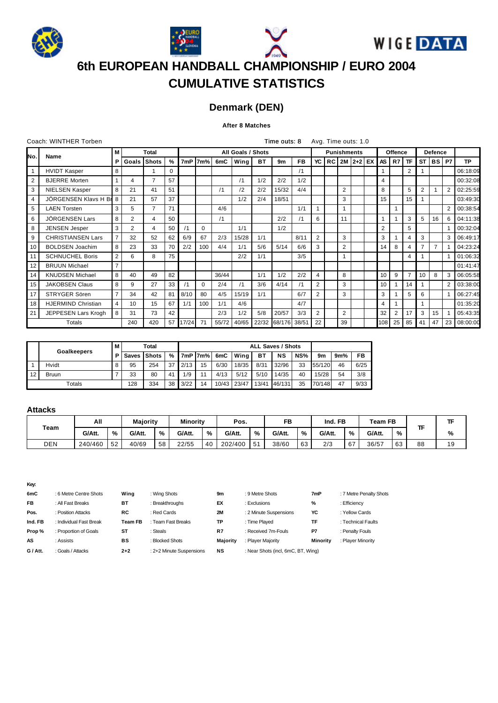







## **Denmark (DEN)**

## **After 8 Matches**

|      | Coach: WINTHER Torben     |                |                |                |                 |       |             |       |                   |           | Time outs: 8       |           |                | Avg. Time outs: 1.0 |    |                    |                |                |                |                |                |                |           |
|------|---------------------------|----------------|----------------|----------------|-----------------|-------|-------------|-------|-------------------|-----------|--------------------|-----------|----------------|---------------------|----|--------------------|----------------|----------------|----------------|----------------|----------------|----------------|-----------|
| lNo. | <b>Name</b>               | м              |                | Total          |                 |       |             |       | All Goals / Shots |           |                    |           |                |                     |    | <b>Punishments</b> |                | Offence        |                |                | <b>Defence</b> |                |           |
|      |                           | P.             | l Goals        | <b>Shots</b>   | $\%$            |       | $7mP$ $7m%$ | 6mC   | Wing              | <b>BT</b> | 9m                 | <b>FB</b> | YC             | RC I                |    | 2M 2+2 EX          | AS I           | R7             | <b>TF</b>      | st l           | l BS I         | <b>P7</b>      | <b>TP</b> |
|      | <b>HVIDT Kasper</b>       | 8              |                |                | 0               |       |             |       |                   |           |                    | /1        |                |                     |    |                    |                |                | 2              |                |                |                | 06:18:09  |
| 2    | <b>BJERRE</b> Morten      |                | 4              | $\overline{7}$ | 57              |       |             |       | /1                | 1/2       | 2/2                | 1/2       |                |                     |    |                    | 4              |                |                |                |                |                | 00:32:08  |
| 3    | NIELSEN Kasper            | 8              | 21             | 41             | 51              |       |             | /1    | /2                | 2/2       | 15/32              | 4/4       |                |                     | 2  |                    | 8              |                | 5              | $\overline{2}$ |                | 2              | 02:25:59  |
| 4    | JÖRGENSEN Klavs H Br      | 8              | 21             | 57             | 37              |       |             |       | 1/2               | 2/4       | 18/51              |           |                |                     | 3  |                    | 15             |                | 15             |                |                |                | 03:49:30  |
| 5    | <b>LAEN Torsten</b>       | 3              | 5              | $\overline{7}$ | 71              |       |             | 4/6   |                   |           |                    | 1/1       |                |                     |    |                    |                |                |                |                |                | $\overline{2}$ | 00:38:54  |
| 6    | JÖRGENSEN Lars            | 8              | 2              | 4              | 50              |       |             | /1    |                   |           | 2/2                | /1        | 6              |                     | 11 |                    | 1              |                | 3              | 5              | 16             | 6              | 04:11:38  |
| 8    | <b>JENSEN Jesper</b>      | 3              | $\overline{2}$ | 4              | 50              |       | $\Omega$    |       | 1/1               |           | 1/2                |           |                |                     |    |                    | $\overline{2}$ |                | 5              |                |                |                | 00:32:04  |
| 9    | <b>CHRISTIANSEN Lars</b>  | $\overline{7}$ | 32             | 52             | 62              | 6/9   | 67          | 2/3   | 15/28             | 1/1       |                    | 8/11      | $\overline{2}$ |                     | 3  |                    | 3              |                | 4              | 3              |                | 3              | 06:49:17  |
| 10   | <b>BOLDSEN Joachim</b>    | 8              | 23             | 33             | 70              | 2/2   | 100         | 4/4   | 1/1               | 5/6       | 5/14               | 6/6       | 3              |                     | 2  |                    | 14             | 8              | 4              | $\overline{7}$ | $\overline{7}$ |                | 04:23:24  |
| 11   | <b>SCHNUCHEL Boris</b>    | $\overline{2}$ | 6              | 8              | 75              |       |             |       | 2/2               | 1/1       |                    | 3/5       |                |                     |    |                    |                |                | 4              |                |                |                | 01:06:32  |
| 12   | <b>BRUUN Michael</b>      | $\overline{7}$ |                |                |                 |       |             |       |                   |           |                    |           |                |                     |    |                    |                |                |                |                |                |                | 01:41:47  |
| 14   | <b>KNUDSEN Michael</b>    | 8              | 40             | 49             | 82              |       |             | 36/44 |                   | 1/1       | 1/2                | 2/2       | 4              |                     | 8  |                    | 10             | 9              | $\overline{7}$ | 10             | 8              | 3              | 06:05:58  |
| 15   | <b>JAKOBSEN Claus</b>     | 8              | 9              | 27             | 33              |       | $\Omega$    | 2/4   | /1                | 3/6       | 4/14               | /1        | 2              |                     | 3  |                    | 10             |                | 14             |                |                | 2              | 03:38:00  |
| 17   | STRYGER Sören             | $\overline{7}$ | 34             | 42             | 81              | 8/10  | 80          | 4/5   | 15/19             | 1/1       |                    | 6/7       | $\overline{2}$ |                     | 3  |                    | 3              |                | 5              | 6              |                |                | 06:27:45  |
| 18   | <b>HJERMIND Christian</b> | $\overline{4}$ | 10             | 15             | 67              | 1/1   | 100         | 1/1   | 4/6               |           |                    | 4/7       |                |                     |    |                    | 4              |                |                | 1              |                |                | 01:35:20  |
| 21   | JEPPESEN Lars Krogh       | 8              | 31             | 73             | 42              |       |             | 2/3   | 1/2               | 5/8       | 20/57              | 3/3       | $\overline{2}$ |                     | 2  |                    | 32             | $\overline{2}$ | 17             | 3              | 15             |                | 05:43:35  |
|      | Totals                    |                | 240            | 420            | 57 <sup>1</sup> | 17/24 | 71          |       | 55/72 40/65       |           | 22/32 68/176 38/51 |           | 22             |                     | 39 |                    | 108            | 25             | 85             | 41             | 47             | 23             | 08:00:00  |

|    | <b>Goalkeepers</b> |    |             | Total |    |      |      |       |        |       | <b>ALL Saves / Shots</b> |     |        |     |      |
|----|--------------------|----|-------------|-------|----|------|------|-------|--------|-------|--------------------------|-----|--------|-----|------|
|    |                    | PІ | Saves Shots |       | %  | 7mP  | 17m% | 6mC   | l Wina | вT    | NS                       | NS% | 9m     | 9m% | FB   |
|    | Hvidt              |    | 95          | 254   | 37 | 2/13 | 15   | 6/30  | 18/35  | 8/31  | 32/96                    | 33  | 55/120 | 46  | 6/25 |
| 12 | Bruun              |    | 33          | 80    | 41 | 1/9  | 11   | 4/13  | 5/12   | 5/10  | 14/35                    | 40  | 15/28  | 54  | 3/8  |
|    | Totals             |    | 128         | 334   | 38 | 3/22 | 14   | 10/43 | 123/47 | 13/41 | 46/131                   | 35  | 70/148 | 47  | 9/33 |

## **Attacks**

| Team | All     |    | <b>Majority</b> | <b>Minority</b> |        |    | Pos.    |    | FB     |    | Ind. FB |    | Team FB |    |    |    |
|------|---------|----|-----------------|-----------------|--------|----|---------|----|--------|----|---------|----|---------|----|----|----|
|      | G/Att.  | %  | G/Att.          | %               | G/Att. | %  | G/Att.  | %  | G/Att. | %  | G/Att.  | %  | G/Att.  | %  |    | %  |
| DEN  | 240/460 | 52 | 40/69           | 58              | 22/55  | 40 | 202/400 | 51 | 38/60  | 63 | 2/3     | 67 | 36/57   | 63 | 88 | 19 |

| 6mC       | : 6 Metre Centre Shots  | Wing           | : Wing Shots             | 9m        | : 9 Metre Shots                    | 7mP      | : 7 Metre Penalty Shots |
|-----------|-------------------------|----------------|--------------------------|-----------|------------------------------------|----------|-------------------------|
| <b>FB</b> | : All Fast Breaks       | вT             | : Breakthroughs          | EX        | : Exclusions                       | $\%$     | : Efficiency            |
| Pos.      | : Position Attacks      | RC             | : Red Cards              | <b>2M</b> | : 2 Minute Suspensions             | YC       | : Yellow Cards          |
| Ind. FB   | : Individual Fast Break | <b>Team FB</b> | : Team Fast Breaks       | ТP        | : Time Plaved                      | TF       | : Technical Faults      |
| Prop%     | : Proportion of Goals   | ST             | : Steals                 | R7        | : Received 7m-Fouls                | P7       | : Penalty Fouls         |
| AS        | : Assists               | BS             | : Blocked Shots          | Majority  | : Player Majority                  | Minority | : Player Minority       |
| G / Att.  | : Goals / Attacks       | $2+2$          | : 2+2 Minute Suspensions | NS        | : Near Shots (incl, 6mC, BT, Wing) |          |                         |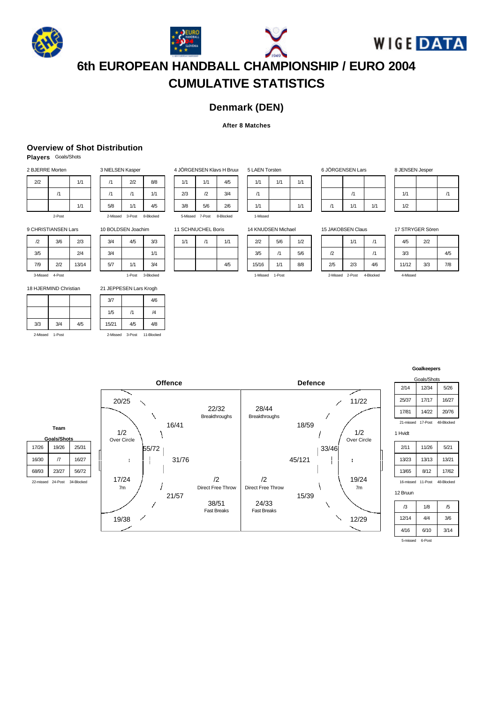







## **Denmark (DEN)**

### **After 8 Matches**

## **Overview of Shot Distribution**

**Players** Goals/Shots

| 2 BJERRE Morten |        |     |
|-----------------|--------|-----|
| 2/2             |        | 1/1 |
|                 | /1     |     |
|                 |        | 1/1 |
|                 | 2-Post |     |

| /1  | 2/2             | 8/8       |
|-----|-----------------|-----------|
| /1  | /1              | 1/1       |
| 5/8 | 1/1             | 4/5       |
|     | 2-Missed 3-Post | 8-Blocked |

3 NIELSEN Kasper

10 BOLDSEN Joachim 3/4 4/5 3/3  $3/4$  1/1 5/7 1/1 3/4 1-Post 3-Blocked

21 JEPPESEN Lars Krogh 3/7 4/6  $1/5$  /1 /4 15/21 4/5 4/8 2-Missed 3-Post 11-Blocked

| 4 JÖRGENSEN Klavs H Bruur    |            |     |  |
|------------------------------|------------|-----|--|
| 1/1                          | 1/1        | 4/5 |  |
| 2/3                          | $\sqrt{2}$ | 3/4 |  |
| 3/8                          | 5/6        | 2/6 |  |
| 5-Missed 7-Post<br>8-Blocked |            |     |  |

| 5 LAEN Torsten     |     |     |
|--------------------|-----|-----|
| 1/1                | 1/1 | 1/1 |
| /1                 |     |     |
| 1/1                |     | 1/1 |
| <b>Minney</b><br>۰ |     |     |

| 6 JÖRGENSEN Lars |  |     |  |
|------------------|--|-----|--|
|                  |  |     |  |
|                  |  | /1  |  |
|                  |  | 1/1 |  |

8 JENSEN Jesper

| 1/1 | /1 |
|-----|----|
| 1/2 |    |

9 CHRISTIANSEN Lars

| Y UHRIOTIANOEN LAIS |     |       |  |
|---------------------|-----|-------|--|
| $\mathbf{r}$        | 3/6 | 2/3   |  |
| 3/5                 |     | 2/4   |  |
| 7/9                 | 2/2 | 13/14 |  |
| 2 Miccod            | AD  |       |  |

4-Pos

18 HJERMIND Christian

| 3/3 | 3/4             | 4/5 |
|-----|-----------------|-----|
|     | 2-Missed 1-Post |     |

11 SCHNUCHEL B

|  | 1/1 |  |
|--|-----|--|
|  |     |  |
|  | 4/5 |  |

| 4 KNUDSEN Michael  |     |     |  |
|--------------------|-----|-----|--|
| 2/2                | 5/6 | 1/2 |  |
| 3/5                | /1  | 5/6 |  |
| 15/16              | 1/1 | 8/8 |  |
| 1-Missed<br>1-Post |     |     |  |

| <b>15 JAKOBSEN Claus</b> |     |     |  |
|--------------------------|-----|-----|--|
|                          | 1/1 | /1  |  |
| $\mathcal{D}$            |     | /1  |  |
| 2/5                      | 2/3 | 4/6 |  |

 $1/1$ 

| 17 STRYGER Sören |  |
|------------------|--|
|------------------|--|

| 4/5      | 2/2 |     |
|----------|-----|-----|
| 3/3      |     | 4/5 |
| 11/12    | 3/3 | 7/8 |
| 4-Missed |     |     |

**Goalkeepers**

|           | Goals/Shots |            |
|-----------|-------------|------------|
| 2/14      | 12/34       | 5/26       |
| 25/37     | 17/17       | 16/27      |
| 17/81     | 14/22       | 20/76      |
| 21-missed | 17-Post     | 48-Blocked |

dl

| 2/11      | 11/26   | 5/21       |
|-----------|---------|------------|
| 13/23     | 13/13   | 13/21      |
| 13/65     | 8/12    | 17/62      |
| 16-missed | 11-Post | 48-Blocked |

12 Bruun

| /3                | 1/8  | /5   |
|-------------------|------|------|
| 12/14             | 4/4  | 3/6  |
| 4/16              | 6/10 | 3/14 |
| . .<br>$-$<br>. . | --   |      |

5-missed 6-Post

|       |                   |            |                    | <b>Offence</b> |                               |                               | <b>Defence</b> |                    | 2 <sup>1</sup>  |
|-------|-------------------|------------|--------------------|----------------|-------------------------------|-------------------------------|----------------|--------------------|-----------------|
|       |                   |            | 20/25              | $\checkmark$   | 22/32<br><b>Breakthroughs</b> | 28/44<br><b>Breakthroughs</b> |                | 11/22              | 25/<br>17/      |
|       | Team              |            |                    | 16/41          |                               |                               | 18/59          |                    | $21 - r$        |
|       | Goals/Shots       |            | 1/2<br>Over Circle |                |                               |                               |                | 1/2<br>Over Circle | 1 Hvi           |
| 17/26 | 19/26             | 25/31      |                    | 55/72          |                               |                               |                | 33/46              | 2 <sup>1</sup>  |
| 16/30 | $\sqrt{7}$        | 16/27      | н                  | 31/76          |                               |                               | 45/121         |                    | 13/             |
| 68/93 | 23/27             | 56/72      |                    |                |                               |                               |                |                    | 13/             |
|       | 22-missed 24-Post | 34-Blocked | 17/24              |                | /2                            | $\sqrt{2}$                    |                | 19/24              | $16 - r$        |
|       |                   |            | 7m                 | 21/57          | Direct Free Throw             | Direct Free Throw             | 15/39          | 7 <sub>m</sub>     | 12 Br           |
|       |                   |            |                    |                | 38/51<br><b>Fast Breaks</b>   | 24/33<br><b>Fast Breaks</b>   |                |                    | K               |
|       |                   |            | 19/38              | ╱              |                               |                               |                | 12/29              | 12/             |
|       |                   |            |                    |                |                               |                               |                |                    | $\overline{AB}$ |

|     | <b>SCHNUCHEL Boris</b> |     |  |
|-----|------------------------|-----|--|
| 1/1 |                        | 1/1 |  |
|     |                        |     |  |
|     |                        |     |  |

14 KNUDSEN Michael

2-Missed 2-Post 4-Blocked

1-Missed

2/3 /2 3/4 3/8 5/6 2/6 5-Missed 7-Post 8-Blocked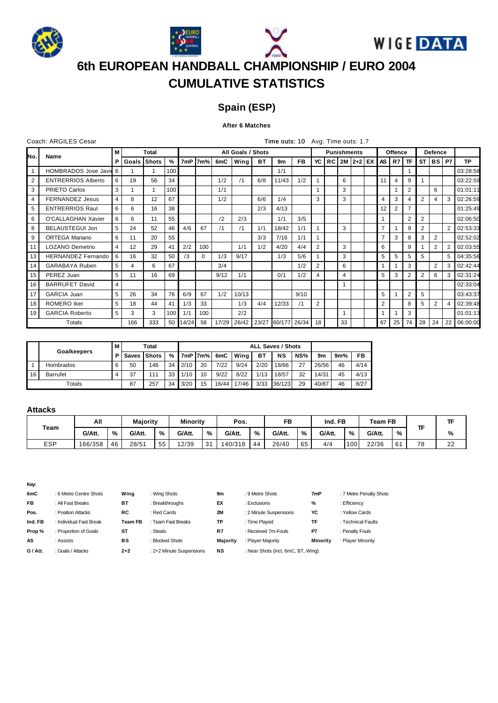







## **Spain (ESP)**

## **After 6 Matches**

|                | Coach: ARGILES Cesar      |   |       |              |               |          |          |      |                   |     | Time outs: 10 Avg. Time outs: 1.7 |           |                |    |                      |                 |                |                |    |                |   |             |
|----------------|---------------------------|---|-------|--------------|---------------|----------|----------|------|-------------------|-----|-----------------------------------|-----------|----------------|----|----------------------|-----------------|----------------|----------------|----|----------------|---|-------------|
| No.            | <b>Name</b>               | м |       | <b>Total</b> |               |          |          |      | All Goals / Shots |     |                                   |           |                |    | <b>Punishments</b>   |                 | <b>Offence</b> |                |    | <b>Defence</b> |   |             |
|                |                           | P | Goals | <b>Shots</b> | $\frac{9}{6}$ |          | 7mP 7m%  | 6mC  | Wing              | BT. | 9m                                | <b>FB</b> | YC             |    | $RC$   2M   2+2   EX | AS I            | R7             | <b>TF</b>      |    | ST BS P7       |   | <b>TP</b>   |
|                | HOMBRADOS Jose Javie 6    |   |       |              | 100           |          |          |      |                   |     | 1/1                               |           |                |    |                      |                 |                |                |    |                |   | 03:28:56    |
| 2              | <b>ENTRERRIOS Alberto</b> | 6 | 19    | 56           | 34            |          |          | 1/2  | /1                | 6/8 | 11/43                             | 1/2       |                | 6  |                      | 11              | 4              | 9              |    |                |   | 03:22:59    |
| 3              | PRIETO Carlos             | 3 |       |              | 100           |          |          | 1/1  |                   |     |                                   |           |                | 3  |                      |                 |                | 2              |    | 6              |   | 01:01:11    |
| $\overline{4}$ | <b>FERNANDEZ Jesus</b>    | 4 | 8     | 12           | 67            |          |          | 1/2  |                   | 6/6 | 1/4                               |           | 3              | 3  |                      | $\overline{4}$  | 3              | 4              | 2  | $\overline{4}$ | 3 | 02:26:59    |
| 5              | <b>ENTRERRIOS Raul</b>    | 6 | 6     | 16           | 38            |          |          |      |                   | 2/3 | 4/13                              |           |                |    |                      | 12 <sup>2</sup> | 2              | $\overline{7}$ |    |                |   | 01:25:49    |
| 6              | O'CALLAGHAN Xavier        | 6 | 6     | 11           | 55            |          |          | /2   | 2/3               |     | 1/1                               | 3/5       |                |    |                      |                 |                | 2              | 2  |                |   | 02:06:50    |
| 8              | BELAUSTEGUI Jon           | 5 | 24    | 52           | 46            | 4/6      | 67       | /1   | /1                | 1/1 | 18/42                             | 1/1       |                | 3  |                      | $\overline{7}$  |                | 9              | 2  |                |   | 02:53:33    |
| 9              | <b>ORTEGA Mariano</b>     | 6 | 11    | 20           | 55            |          |          |      |                   | 3/3 | 7/16                              | 1/1       |                |    |                      | $\overline{7}$  | 3              | 8              | 3  | 2              |   | 02:52:02    |
| 11             | <b>LOZANO Demetrio</b>    | 4 | 12    | 29           | 41            | 2/2      | 100      |      | 1/1               | 1/2 | 4/20                              | 4/4       | 2              | 3  |                      | 6               |                | 9              |    | $\overline{2}$ |   | 02:03:55    |
| 13             | HERNANDEZ Fernando        | 6 | 16    | 32           | 50            | /3       | $\Omega$ | 1/3  | 9/17              |     | 1/3                               | 5/6       |                | 3  |                      | 5               | 5              | 5              | 5  |                | 5 | 04:35:56    |
| 14             | GARABAYA Ruben            | 5 | 4     | 6            | 67            |          |          | 3/4  |                   |     |                                   | 1/2       | $\overline{2}$ | 6  |                      |                 |                | 3              |    | $\overline{2}$ | 3 | 02:42:44    |
| 15             | PEREZ Juan                | 5 | 11    | 16           | 69            |          |          | 9/12 | 1/1               |     | 0/1                               | 1/2       | 4              | 4  |                      | 5               | 3              | 2              | 2  | 6              | 3 | 02:31:24    |
| 16             | <b>BARRUFET David</b>     | 4 |       |              |               |          |          |      |                   |     |                                   |           |                |    |                      |                 |                |                |    |                |   | 02:33:04    |
| 17             | <b>GARCIA Juan</b>        | 5 | 26    | 34           | 76            | 6/9      | 67       | 1/2  | 10/13             |     |                                   | 9/10      |                |    |                      | 5 <sup>5</sup>  |                | 2              | 5  |                |   | 03:43:37    |
| 18             | <b>ROMERO</b> Iker        | 5 | 18    | 44           | 41            | 1/3      | 33       |      | 1/3               | 4/4 | 12/33                             | /1        | $\overline{2}$ |    |                      | 2               |                | 8              | 5  | $\overline{2}$ | 4 | 02:39:48    |
| 19             | <b>GARCIA Roberto</b>     | 5 | 3     | 3            | 100           | 1/1      | 100      |      | 2/2               |     |                                   |           |                |    |                      | 1               |                | 3              |    |                |   | 01:01:13    |
|                | Totals                    |   | 166   | 333          |               | 50 14/24 | 58       |      | 17/29 26/42       |     | 23/27 60/177 26/34                |           | 18             | 33 |                      | 67              | 25             | 74             | 28 | 24             |   | 22 06:00:00 |

|    | <b>Goalkeepers</b> | м | <b>ALL Saves / Shots</b><br>Total |     |    |       |       |       |       |      |        |     |       |     |      |
|----|--------------------|---|-----------------------------------|-----|----|-------|-------|-------|-------|------|--------|-----|-------|-----|------|
|    |                    | Р | <b>∣Saves IShots</b>              |     | %  | l 7mP | ` 7m% | 6mC   | Wing  | ВT   | ΝS     | NS% | 9m    | 9m% | FB   |
|    | Hombrados          |   | 50                                | 146 | 34 | 2/10  | 20    | 7/22  | 9/24  | 2/20 | 18/66  | 27  | 26/56 | 46  | 4/14 |
| 16 | <b>Barrufet</b>    |   | 37                                | 111 | 33 | 1/10  | 10    | 9/22  | 8/22  | 1/13 | 18/57  | 32  | 14/31 | 45  | 4/13 |
|    | Totals             |   | 87                                | 257 | 34 | 3/20  | 15    | 16/44 | 17/46 | 3/33 | 36/123 | 29  | 40/87 | 46  | 8/27 |

## **Attacks**

|            | All     |    | <b>Majority</b> |    | <b>Minority</b> |    | Pos.   |    | FB     |    | Ind. FB |                  | Team FB |    |    |              |
|------------|---------|----|-----------------|----|-----------------|----|--------|----|--------|----|---------|------------------|---------|----|----|--------------|
| Team       | G/Att.  | %  | G/Att.          | %  | G/Att.          | %  | G/Att. | %  | G/Att. | %  | G/Att.  | %                | G/Att.  | %  |    | %            |
| <b>ESP</b> | 166/358 | 46 | 28/51           | 55 | 12/39           | 31 | 40/318 | 44 | 26/40  | 65 | 4/4     | 100 <sup>1</sup> | 22/36   | 61 | 78 | $\sim$<br>22 |

| 6mC       | : 6 Metre Centre Shots  | Wing           | : Wing Shots             | 9m              | : 9 Metre Shots                    | 7mP      | : 7 Metre Penalty Shots |
|-----------|-------------------------|----------------|--------------------------|-----------------|------------------------------------|----------|-------------------------|
| <b>FB</b> | : All Fast Breaks       | ВT             | : Breakthroughs          | EX              | : Exclusions                       | %        | : Efficiency            |
| Pos.      | : Position Attacks      | RC             | : Red Cards              | 2M              | : 2 Minute Suspensions             | YC       | : Yellow Cards          |
| Ind. FB   | : Individual Fast Break | <b>Team FB</b> | : Team Fast Breaks       | TP              | : Time Plaved                      | TF       | : Technical Faults      |
| Prop%     | : Proportion of Goals   | ST             | : Steals                 | R7              | : Received 7m-Fouls                | P7       | : Penalty Fouls         |
| AS        | : Assists               | BS             | : Blocked Shots          | <b>Majority</b> | : Player Majority                  | Minority | : Player Minority       |
| G / Att.  | : Goals / Attacks       | $2 + 2$        | : 2+2 Minute Suspensions | NS              | : Near Shots (incl, 6mC, BT, Wing) |          |                         |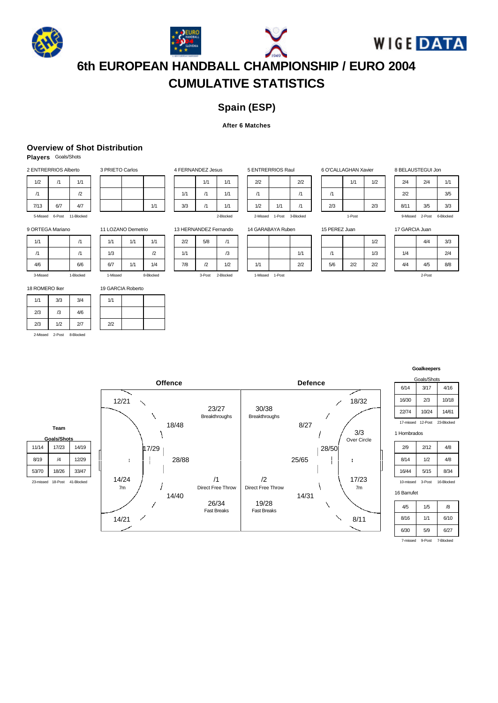







# **6th EUROPEAN HANDBALL CHAMPIONSHIP / EURO 2004 CUMULATIVE STATISTICS**

## **Spain (ESP)**

### **After 6 Matches**

## **Overview of Shot Distribution**

**Players** Goals/Shots

| 1/2                | /1 | 1/1        |  |  |  |  |  |
|--------------------|----|------------|--|--|--|--|--|
| /1                 |    | $\sqrt{2}$ |  |  |  |  |  |
| 7/13<br>6/7<br>4/7 |    |            |  |  |  |  |  |

5-Missed 6-Post 11-Blocked

|          | 9 ORTEGA Mariano |           |
|----------|------------------|-----------|
| 1/1      |                  | /1        |
| /1       |                  | /1        |
| 4/6      |                  | 6/6       |
| 3-Missed |                  | 1-Blocked |

1/1 3/3 3/4  $2/3$  /3 4/6 2/3 1/2 2/7 2-Missed 2-Post 8-Blocked

18 ROMERO Iker

19 GARCIA Roberto

3 PRIETO Carlos

1/1

| טוסטטרו רווטרורט פו |  |  |
|---------------------|--|--|
| 1/1                 |  |  |
|                     |  |  |
| 2/2                 |  |  |
|                     |  |  |

| 4 FERNANDEZ Jesus |            |     |  |
|-------------------|------------|-----|--|
|                   | 1/1<br>1/1 |     |  |
| 1/1               | /1         | 1/1 |  |
| 3/3               | /1         | 1/1 |  |
| 2-Blocked         |            |     |  |

| 5 ENTRERRIOS Raul |        |           |
|-------------------|--------|-----------|
| 2/2               |        | 2/2       |
| /1                |        |           |
| 1/2               | 1/1    | /1        |
| 2-Missed          | 1-Post | 3-Blocked |

|    |        | 2/2       |  |
|----|--------|-----------|--|
|    |        |           |  |
|    | 1/1    | /1        |  |
| ed | 1-Post | 3-Blocked |  |

 $\overline{\phantom{0}}$ 

| 6 O'CALLAGHAN Xavier |  |     |
|----------------------|--|-----|
| 1/1<br>1/2           |  |     |
| /1                   |  |     |
| 2/3                  |  | 2/3 |
| 1-Post               |  |     |

8 BELAUSTEGUI Jon

| 2/4  | 2/4             | 1/1       |
|------|-----------------|-----------|
| 2/2  |                 | 3/5       |
| 8/11 | 3/5             | 3/3       |
|      | 9-Missed 2-Post | 6-Blocked |

15 PEREZ Juan

|     |     | 1/2 |  |
|-----|-----|-----|--|
| /1  |     | 1/3 |  |
| 5/6 | 2/2 | 2/2 |  |
|     |     |     |  |

17 GARCIA Juan

|        | 4/4 | 3/3 |
|--------|-----|-----|
| 1/4    |     | 2/4 |
| 4/4    | 4/5 | 8/8 |
| 2-Post |     |     |

11 LOZANO Demetrio 1/1 1/1 1/1  $1/3$  /2 6/7 1/1 1/4 1-Missed 8-Blocked

| 1/1 |  |
|-----|--|
|     |  |
| 2/2 |  |
|     |  |

| 13 HERNANDEZ Fernando |            |     |  |
|-----------------------|------------|-----|--|
| 2/2                   | 5/8<br>/1  |     |  |
| 1/1                   | /3         |     |  |
| 7/8                   | $\sqrt{2}$ | 1/2 |  |
| 2-Blocked<br>3-Post   |            |     |  |

| 14 GARABAYA Ruben |                 |     |
|-------------------|-----------------|-----|
|                   |                 |     |
|                   |                 | 1/1 |
| 1/1               |                 | 2/2 |
|                   | 1-Missed 1-Post |     |

**Goalkeepers**

ioals/Sho  $6/14$   $3/17$   $4/16$ 16/30 2/3 10/18 22/74 10/24 14/61 17-missed 12-Post 23-Blocked

1 Hombrados

| 2/9                               | 2/12 | 4/8  |
|-----------------------------------|------|------|
| 8/14                              | 1/2  | 4/8  |
| 16/44                             | 5/15 | 8/34 |
| 10-missed<br>16-Blocked<br>3-Post |      |      |

16 Barrufet

| 4/5  | 1/5 | /8   |
|------|-----|------|
| 8/16 | 1/1 | 6/10 |
| 6/30 | 5/9 | 6/27 |

7-missed 9-Post 7-Blocked

|       | Team               |       |
|-------|--------------------|-------|
|       | <b>Goals/Shots</b> |       |
| 11/14 | 17/23              | 14/19 |
| 8/19  | /4                 | 12/29 |
| 53/70 | 18/26              | 33/47 |

23-missed 18-Post 41-Blocked

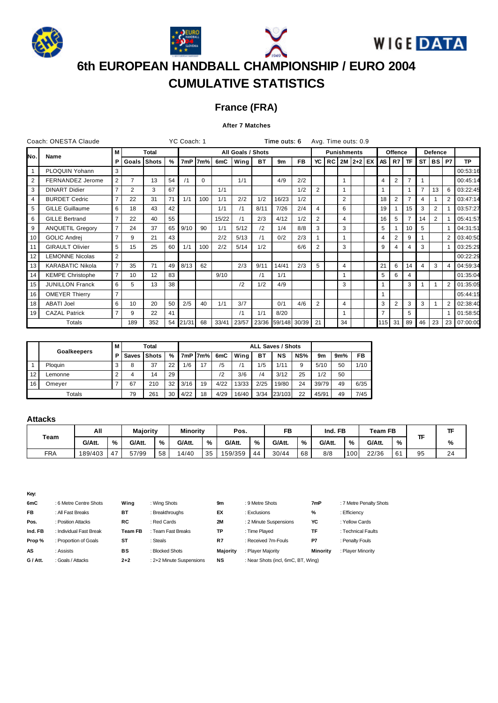







## **France (FRA)**

## **After 7 Matches**

|                | Coach: ONESTA Claude    |                |                |              |      | YC Coach: 1 |          |       |                   |      | Time outs: 6       |     |    | Avg. Time outs: 0.9 |                |                    |                |         |                |                |                |                |           |
|----------------|-------------------------|----------------|----------------|--------------|------|-------------|----------|-------|-------------------|------|--------------------|-----|----|---------------------|----------------|--------------------|----------------|---------|----------------|----------------|----------------|----------------|-----------|
| N٥.            | Name                    | M              |                | Total        |      |             |          |       | All Goals / Shots |      |                    |     |    |                     |                | <b>Punishments</b> |                | Offence |                |                | <b>Defence</b> |                |           |
|                |                         | P.             | Goals          | <b>Shots</b> | $\%$ |             | 7mP 17m% | 6mC   | Wing              | ВT   | 9m                 | FB  | YC |                     |                | RC 2M 2+2 EX       | AS I           | R7      | <b>TF</b>      | ST I           | <b>BS</b>      | l P7           | <b>TP</b> |
|                | PLOQUIN Yohann          | 3              |                |              |      |             |          |       |                   |      |                    |     |    |                     |                |                    |                |         |                |                |                |                | 00:53:16  |
| 2              | FERNANDEZ Jerome        | $\overline{2}$ | $\overline{7}$ | 13           | 54   |             | $\Omega$ |       | 1/1               |      | 4/9                | 2/2 |    |                     |                |                    | 4              | 2       |                |                |                |                | 00:45:14  |
| 3              | <b>DINART Didier</b>    | $\overline{7}$ | $\overline{2}$ | 3            | 67   |             |          | 1/1   |                   |      |                    | 1/2 | 2  |                     | $\overline{1}$ |                    |                |         |                | 7              | 13             | 6              | 03:22:45  |
| $\overline{4}$ | <b>BURDET Cedric</b>    | $\overline{7}$ | 22             | 31           | 71   | 1/1         | 100      | 1/1   | 2/2               | 1/2  | 16/23              | 1/2 |    |                     | 2              |                    | 18             | 2       | $\overline{7}$ | $\overline{4}$ |                | $\overline{2}$ | 03:47:14  |
| 5              | <b>GILLE Guillaume</b>  | 6              | 18             | 43           | 42   |             |          | 1/1   | /1                | 8/11 | 7/26               | 2/4 | 4  |                     | 6              |                    | 19             |         | 15             | 3              | 2              |                | 03:57:27  |
| 6              | <b>GILLE Bertrand</b>   | $\overline{7}$ | 22             | 40           | 55   |             |          | 15/22 | /1                | 2/3  | 4/12               | 1/2 | 2  |                     | $\overline{4}$ |                    | 16             | 5       | $\overline{7}$ | 14             | 2              |                | 05:41:57  |
| 9              | <b>ANQUETIL Gregory</b> | $\overline{7}$ | 24             | 37           | 65   | 9/10        | 90       | 1/1   | 5/12              | /2   | 1/4                | 8/8 | 3  |                     | 3              |                    | 5              |         | 10             | 5              |                |                | 04:31:51  |
| 10             | <b>GOLIC Andrei</b>     | $\overline{7}$ | 9              | 21           | 43   |             |          | 2/2   | 5/13              | /1   | 0/2                | 2/3 |    |                     |                |                    | 4              | 2       | 9              |                |                | $\mathcal{P}$  | 03:40:50  |
| 11             | <b>GIRAULT Olivier</b>  | 5              | 15             | 25           | 60   | 1/1         | 100      | 2/2   | 5/14              | 1/2  |                    | 6/6 | 2  |                     | 3              |                    | 9              | 4       | 4              | 3              |                |                | 03:25:29  |
| 12             | <b>LEMONNE Nicolas</b>  | $\overline{2}$ |                |              |      |             |          |       |                   |      |                    |     |    |                     |                |                    |                |         |                |                |                |                | 00:22:29  |
| 13             | <b>KARABATIC Nikola</b> | $\overline{7}$ | 35             | 71           | 49   | 8/13        | 62       |       | 2/3               | 9/11 | 14/41              | 2/3 | 5  |                     | $\overline{4}$ |                    | 21             | 6       | 14             | $\overline{4}$ | 3              |                | 04:59:34  |
| 14             | <b>KEMPE Christophe</b> | $\overline{7}$ | 10             | 12           | 83   |             |          | 9/10  |                   | /1   | 1/1                |     |    |                     |                |                    | 5              | 6       | 4              |                |                |                | 01:35:04  |
| 15             | <b>JUNILLON Franck</b>  | 6              | 5              | 13           | 38   |             |          |       | /2                | 1/2  | 4/9                |     |    |                     | 3              |                    |                |         | 3              |                | 1              | $\overline{2}$ | 01:35:05  |
| 16             | <b>OMEYER Thierry</b>   | $\overline{7}$ |                |              |      |             |          |       |                   |      |                    |     |    |                     |                |                    |                |         |                |                |                |                | 05:44:15  |
| 18             | <b>ABATI Joel</b>       | 6              | 10             | 20           | 50   | 2/5         | 40       | 1/1   | 3/7               |      | 0/1                | 4/6 | 2  |                     | $\overline{4}$ |                    | 3              | 2       | 3              | 3              |                | $\overline{2}$ | 02:38:40  |
| 19             | <b>CAZAL Patrick</b>    | $\overline{7}$ | 9              | 22           | 41   |             |          |       | /1                | 1/1  | 8/20               |     |    |                     |                |                    | $\overline{7}$ |         | 5              |                |                |                | 01:58:50  |
|                | Totals                  |                | 189            | 352          |      | 54 21/31    | 68       |       | 33/41 23/57       |      | 23/36 59/148 30/39 |     | 21 |                     | 34             |                    | 115            | 31      | 89             | 46             | 23             | 23             | 07:00:00  |

|    | Goalkeepers | Total<br>м |       |       |    |      | <b>ALL Saves / Shots</b> |      |       |      |        |     |       |     |      |
|----|-------------|------------|-------|-------|----|------|--------------------------|------|-------|------|--------|-----|-------|-----|------|
|    |             | Р          | Saves | Shots | %  | 7mP  | l7m%                     | 6mC  | Wing  | вT   | NS     | NS% | 9m    | 9m% | FB   |
|    | Ploguin     |            | 8     | 37    | 22 | /6   | 17                       | /5   |       | 1/5  | 1/11   | 9   | 5/10  | 50  | 1/10 |
| 12 | _emonne     |            |       | 14    | 29 |      |                          | 12   | 3/6   | 14   | 3/12   | 25  | 1/2   | 50  |      |
| 16 | Omever      |            | 67    | 210   | 32 | 3/16 | 19                       | 4/22 | 13/33 | 2/25 | 19/80  | 24  | 39/79 | 49  | 6/35 |
|    | Totals      |            | 79    | 261   | 30 | 4/22 | 18                       | 4/29 | 16/40 | 3/34 | 23/103 | 22  | 45/91 | 49  | 7/45 |

### **Attacks**

|            | All     |    | <b>Majority</b> |    | <b>Minority</b> |    | Pos.    |    | FB     |    | Ind. FB |                  | Team FB |    |    |    |
|------------|---------|----|-----------------|----|-----------------|----|---------|----|--------|----|---------|------------------|---------|----|----|----|
| Team       | G/Att.  | %  | G/Att.          | %  | G/Att.          | %  | G/Att.  | %  | G/Att. | %  | G/Att.  | %                | G/Att.  | %  |    | %  |
| <b>FRA</b> | 189/403 | 47 | 57/99           | 58 | 14/40           | 35 | 159/359 | 44 | 30/44  | 68 | 8/8     | 100 <sup>1</sup> | 22/36   | 61 | 95 | 24 |

| 6mC       | : 6 Metre Centre Shots  | Wina      | : Wing Shots             | 9m              | : 9 Metre Shots                    | 7mP      | : 7 Metre Penalty Shots |
|-----------|-------------------------|-----------|--------------------------|-----------------|------------------------------------|----------|-------------------------|
| <b>FB</b> | : All Fast Breaks       | ВT        | : Breakthroughs          | EX              | : Exclusions                       | %        | : Efficiency            |
| Pos.      | : Position Attacks      | <b>RC</b> | : Red Cards              | <b>2M</b>       | : 2 Minute Suspensions             | YC       | : Yellow Cards          |
| Ind. FB   | : Individual Fast Break | Team FB   | : Team Fast Breaks       | TP              | : Time Plaved                      | TF       | : Technical Faults      |
| Prop%     | : Proportion of Goals   | ST        | : Steals                 | R7              | : Received 7m-Fouls                | P7       | : Penalty Fouls         |
| AS        | : Assists               | <b>BS</b> | : Blocked Shots          | <b>Majority</b> | : Player Majority                  | Minority | : Plaver Minority       |
| G / Att.  | : Goals / Attacks       | $2+2$     | : 2+2 Minute Suspensions | NS              | : Near Shots (incl, 6mC, BT, Wing) |          |                         |
|           |                         |           |                          |                 |                                    |          |                         |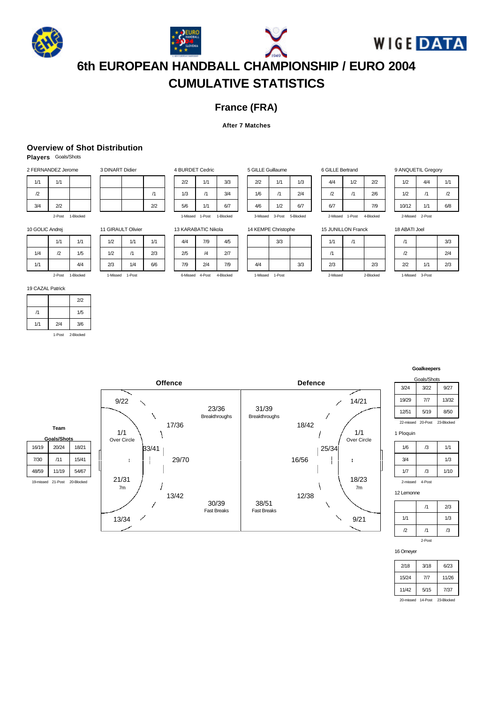







## **France (FRA)**

### **After 7 Matches**

## **Overview of Shot Distribution**

**Players** Goals/Shots

| 2 FERNANDEZ Jerome  |     |  |  |  |  |  |  |
|---------------------|-----|--|--|--|--|--|--|
| 1/1                 | 1/1 |  |  |  |  |  |  |
| $\sqrt{2}$          |     |  |  |  |  |  |  |
| 3/4<br>2/2          |     |  |  |  |  |  |  |
| 2-Post<br>1-Blocked |     |  |  |  |  |  |  |

11 GIRAULT Olivier

1/2 1/1 1/1  $1/2$  /1 2/3 2/3 1/4 6/6 1-Missed 1-Post

/1 2/2

3 DINART Didier

| 10 GOLIC Andrei |        |           |  |  |  |  |  |
|-----------------|--------|-----------|--|--|--|--|--|
|                 | 1/1    | 1/1       |  |  |  |  |  |
| 1/4             | /2     | 1/5       |  |  |  |  |  |
| 1/1             |        | 4/4       |  |  |  |  |  |
|                 | 2-Post | 1-Blocked |  |  |  |  |  |

19 CAZAL Patrick

|     |                  | 2/2 |
|-----|------------------|-----|
| /1  |                  | 1/5 |
| 1/1 | 2/4              | 3/6 |
|     | 1-Post 2-Blocked |     |

**Team Goals/Shots** 16/19 20/24 18/21 7/30 /11 15/41 48/59 11/19 54/67 19-missed 21-Post 20-Blocked 1-Missed 1-Post 1-Blocked

2/2 1/1 3/3 1/3 /1 3/4 5/6 1/1 6/7

4 BURDET Cedric

| 4/4      | 7/9    | 4/5       |
|----------|--------|-----------|
| 2/5      | /4     | 27        |
| 7/9      | 2/4    | 7/9       |
| 6-Missed | 4-Post | 4-Blocked |

| 4/6                 | 1/2    | 67        |
|---------------------|--------|-----------|
| 3-Missed            | 3-Post | 5-Blocked |
| 14 KEMPE Christophe |        |           |
|                     | 3/3    |           |
|                     |        |           |

5 GILLE Guillaume

 $2/2$  1/1 1/3  $1/6$  /1 2/4

4/4 3/3

1-Missed 1-Post

 $6/7$ 

| 6 GILLE Bertrand |     |     |  |  |  |  |  |
|------------------|-----|-----|--|--|--|--|--|
| 4/4              | 1/2 | 2/2 |  |  |  |  |  |
| מ                |     | 2/6 |  |  |  |  |  |

15 JUNILLON Franck  $1/1$  /1 /1

> $2/3$  2/3 2-Missed 2-Blocked

| 4/4 | 1/2             | 2/2       |  |
|-----|-----------------|-----------|--|
| /2  | /1              | 2/6       |  |
| 6/7 |                 | 7/9       |  |
|     | 2-Missed 1-Post | 4-Blocked |  |

9 ANQUETIL Gregory

| 1/2   | 4/4             | 1/1        |
|-------|-----------------|------------|
| 1/2   | /1              | $\sqrt{2}$ |
| 10/12 | 1/1             | 6/8        |
|       | 2-Missed 2-Post |            |

18 ABATI Joel

| /1  |                 | 3/3 |
|-----|-----------------|-----|
| /2  |                 | 2/4 |
| 2/2 | 1/1             | 2/3 |
|     | 1-Missed 3-Post |     |

## 13 KARABATIC Nikola

|     | .      | . .       |  |
|-----|--------|-----------|--|
|     | /4     | 27        |  |
|     | 2/4    | 7/9       |  |
| sed | 4-Post | 4-Blocked |  |

| <b>Offence</b>                               |                             |                             | <b>Defence</b>                                |
|----------------------------------------------|-----------------------------|-----------------------------|-----------------------------------------------|
| 9/22<br>17/36<br>1/1<br>Over Circle<br>33/41 | 23/36<br>Breakthroughs      | 31/39<br>Breakthroughs      | 14/21<br>18/42<br>1/1<br>Over Circle<br>25/34 |
| 29/70<br>ŧ<br>21/31<br>7m                    |                             |                             | 16/56<br>н<br>18/23<br>7m                     |
| 13/42<br>13/34                               | 30/39<br><b>Fast Breaks</b> | 38/51<br><b>Fast Breaks</b> | 12/38<br>9/21                                 |

### **Goalkeepers**

ioals/Sho 3/24 3/22 9/27 19/29 7/7 13/32 12/51 5/19 8/50 22-missed 20-Post 23-Blocked

1 Ploquin

| 1/6      | /3     | 1/1  |
|----------|--------|------|
| 3/4      |        | 1/3  |
| 1/7      | /3     | 1/10 |
| 2-missed | 4-Post |      |

12 Lemonne

|            | '1     | 2/3 |
|------------|--------|-----|
| 1/1        |        | 1/3 |
| $\sqrt{2}$ | /1     | /3  |
|            | 2-Post |     |

16 Omeyer

| 2/18  | 3/18 | 6/23  |
|-------|------|-------|
| 15/24 | 7/7  | 11/26 |
| 11/42 | 5/15 | 7/37  |
|       |      |       |

20-missed 14-Post 23-Block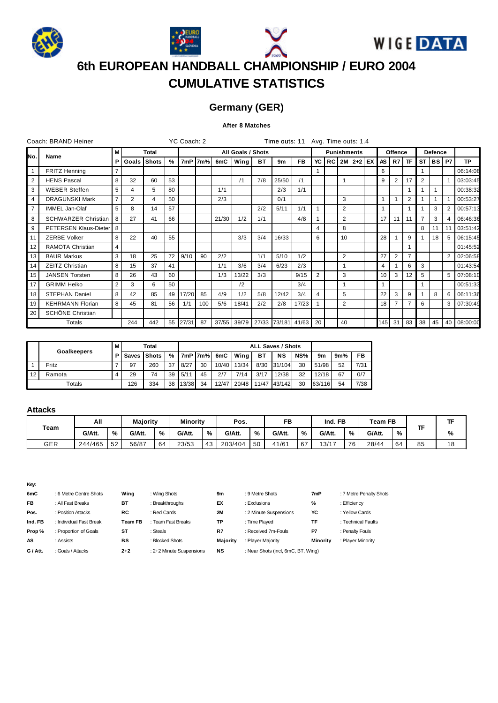







## **Germany (GER)**

## **After 8 Matches**

|                | Coach: BRAND Heiner        |                |     |              |    | YC Coach: 2 |         |       |                   |     | Time outs: 11 Avg. Time outs: 1.4 |           |               |                |                    |              |                 |                |                |                |                |                |           |
|----------------|----------------------------|----------------|-----|--------------|----|-------------|---------|-------|-------------------|-----|-----------------------------------|-----------|---------------|----------------|--------------------|--------------|-----------------|----------------|----------------|----------------|----------------|----------------|-----------|
|                |                            | М              |     | <b>Total</b> |    |             |         |       | All Goals / Shots |     |                                   |           |               |                | <b>Punishments</b> |              |                 | <b>Offence</b> |                |                | <b>Defence</b> |                |           |
| N٥.            | Name                       | Р              |     | Goals Shots  | %  |             | 7mP 7m% | 6mC   | Wina              | ВT  | 9m                                | <b>FB</b> | YC            |                |                    | RC 2M 2+2 EX | AS I            | R7             | <b>TF</b>      | <b>ST</b>      | ∣ BS I         | <b>P7</b>      | <b>TP</b> |
| $\mathbf{1}$   | <b>FRITZ Henning</b>       |                |     |              |    |             |         |       |                   |     |                                   |           |               |                |                    |              | 6               |                |                |                |                |                | 06:14:08  |
| 2              | <b>HENS Pascal</b>         | 8              | 32  | 60           | 53 |             |         |       | /1                | 7/8 | 25/50                             | /1        |               |                |                    |              | 9               | 2              | 17             | $\overline{2}$ |                |                | 03:03:45  |
| 3              | <b>WEBER Steffen</b>       | 5              | 4   | 5            | 80 |             |         | 1/1   |                   |     | 2/3                               | 1/1       |               |                |                    |              |                 |                |                |                |                |                | 00:38:32  |
| 4              | <b>DRAGUNSKI Mark</b>      | $\overline{7}$ | 2   | 4            | 50 |             |         | 2/3   |                   |     | 0/1                               |           |               | 3              |                    |              | 1               |                | 2              |                |                |                | 00:53:27  |
| $\overline{7}$ | <b>IMMEL Jan-Olaf</b>      | 5              | 8   | 14           | 57 |             |         |       |                   | 2/2 | 5/11                              | 1/1       |               | 2              |                    |              |                 |                |                |                | 3              | 2              | 00:57:13  |
| 8              | <b>SCHWARZER Christian</b> | 8              | 27  | 41           | 66 |             |         | 21/30 | 1/2               | 1/1 |                                   | 4/8       |               | $\overline{2}$ |                    |              | 17              | 11             | 11             | $\overline{7}$ | 3              | 4              | 06:46:36  |
| 9              | PETERSEN Klaus-Dieter      | 8              |     |              |    |             |         |       |                   |     |                                   |           | 4             | 8              |                    |              |                 |                |                | 8              | 11             | 11             | 03:51:42  |
| 11             | <b>ZERBE Volker</b>        | 8              | 22  | 40           | 55 |             |         |       | 3/3               | 3/4 | 16/33                             |           | 6             | 10             |                    |              | 28              |                | 9              |                | 18             | 5              | 06:15:45  |
| 12             | RAMOTA Christian           | 4              |     |              |    |             |         |       |                   |     |                                   |           |               |                |                    |              |                 |                |                |                |                |                | 01:45:52  |
| 13             | <b>BAUR Markus</b>         | 3              | 18  | 25           | 72 | 9/10        | 90      | 2/2   |                   | 1/1 | 5/10                              | 1/2       |               | $\overline{2}$ |                    |              | 27              | 2              |                |                |                | $\overline{2}$ | 02:06:58  |
| 14             | <b>ZEITZ Christian</b>     | 8              | 15  | 37           | 41 |             |         | 1/1   | 3/6               | 3/4 | 6/23                              | 2/3       |               | $\mathbf{1}$   |                    |              | 4               |                | 6              | 3              |                |                | 01:43:54  |
| 15             | <b>JANSEN Torsten</b>      | 8              | 26  | 43           | 60 |             |         | 1/3   | 13/22             | 3/3 |                                   | 9/15      | $\mathcal{P}$ | 3              |                    |              | 10 <sup>1</sup> | 3              | 12             | 5              |                | 5              | 07:08:10  |
| 17             | <b>GRIMM Heiko</b>         | 2              | 3   | 6            | 50 |             |         |       | /2                |     |                                   | 3/4       |               |                |                    |              | 1               |                |                |                |                |                | 00:51:33  |
| 18             | STEPHAN Daniel             | 8              | 42  | 85           | 49 | 17/20       | 85      | 4/9   | 1/2               | 5/8 | 12/42                             | 3/4       | 4             | 5              |                    |              | 22              | 3              | 9              |                | 8              | 6              | 06:11:36  |
| 19             | <b>KEHRMANN Florian</b>    | 8              | 45  | 81           | 56 | 1/1         | 100     | 5/6   | 18/41             | 2/2 | 2/8                               | 17/23     |               | $\overline{2}$ |                    |              | 18              |                | $\overline{7}$ | 6              |                | 3              | 07:30:49  |
| 20             | SCHÖNE Christian           |                |     |              |    |             |         |       |                   |     |                                   |           |               |                |                    |              |                 |                |                |                |                |                |           |
|                | Totals                     |                | 244 | 442          |    | 55 27/31    | 87      |       | 37/55 39/79       |     | 27/33 73/181 41/63                |           | 20            | 40             |                    |              | 145 I           | 31             | 83             | 38             | 45             | 40             | 08:00:00  |

|    | м<br><b>Goalkeepers</b> |    | Total<br><b>ALL Saves / Shots</b> |     |    |       |      |       |       |       |        |     |        |     |      |
|----|-------------------------|----|-----------------------------------|-----|----|-------|------|-------|-------|-------|--------|-----|--------|-----|------|
|    |                         | PІ | Saves Shots                       |     | %  | 7mP   | 17m% | 6mC   | Wing  | BТ    | NS     | NS% | 9m     | 9m% | FB   |
|    | Fritz                   |    | 97                                | 260 | 37 | 8/27  | 30   | 10/40 | 13/34 | 8/30  | 31/104 | 30  | 51/98  | 52  | 7/31 |
| 12 | Ramota                  |    | 29                                | 74  | 39 | 5/11  | 45   | 2/7   | 7/14  | 3/17  | 12/38  | 32  | 12/18  | 67  | 0/7  |
|    | Totals                  |    | 126                               | 334 | 38 | 13/38 | 34   | 12/47 | 20/48 | 11/47 | 43/142 | 30  | 63/116 | 54  | 7/38 |

## **Attacks**

|      | All     | <b>Majority</b> |        | <b>Minority</b><br>Pos. |        |    |         | FB |        | Ind. FB |        | Team FB |        |    |    |    |
|------|---------|-----------------|--------|-------------------------|--------|----|---------|----|--------|---------|--------|---------|--------|----|----|----|
| Team | G/Att.  | %               | G/Att. | %                       | G/Att. | %  | G/Att.  | %  | G/Att. | %       | G/Att. | %       | G/Att. | %  |    | %  |
| GER  | 244/465 | -52             | 56/87  | 64                      | 23/53  | 43 | 203/404 | 50 | 41/61  | 67      | 13/17  | 76      | 28/44  | 64 | 85 | 18 |

| 6mC       | : 6 Metre Centre Shots  | Wing           | : Wing Shots             | 9m        | : 9 Metre Shots                    | 7mP      | : 7 Metre Penalty Shots |
|-----------|-------------------------|----------------|--------------------------|-----------|------------------------------------|----------|-------------------------|
| <b>FB</b> | : All Fast Breaks       | BT             | : Breakthroughs          | EX        | : Exclusions                       | %        | : Efficiency            |
| Pos.      | : Position Attacks      | RC.            | : Red Cards              | <b>2M</b> | : 2 Minute Suspensions             | YC       | : Yellow Cards          |
| Ind. FB   | : Individual Fast Break | <b>Team FB</b> | : Team Fast Breaks       | TP        | : Time Plaved                      | ΤF       | : Technical Faults      |
| Prop%     | : Proportion of Goals   | ST             | : Steals                 | R7        | : Received 7m-Fouls                | P7       | : Penalty Fouls         |
| AS        | : Assists               | BS             | : Blocked Shots          | Majority  | : Player Majority                  | Minority | : Player Minority       |
| G / Att.  | : Goals / Attacks       | $2+2$          | : 2+2 Minute Suspensions | NS        | : Near Shots (incl, 6mC, BT, Wing) |          |                         |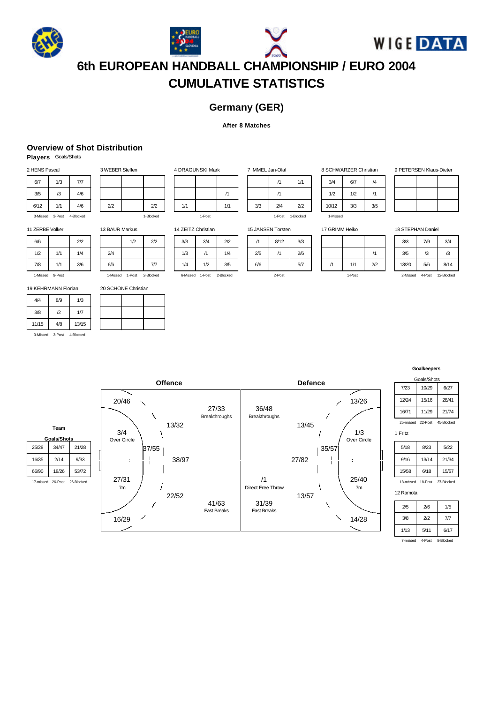







## **Germany (GER)**

### **After 8 Matches**

## **Overview of Shot Distribution**

**Players** Goals/Shots

| 2 HENS Pascal                |     |     |  |
|------------------------------|-----|-----|--|
| 6/7                          | 1/3 | 7/7 |  |
| 3/5                          | /3  | 4/6 |  |
| 6/12                         | 1/1 | 4/6 |  |
| 3-Missed 3-Post<br>4-Blocked |     |     |  |

2/2 2/2 1-Blocked 13 BAUR Markus

20 SCHÖNE Christian

20/46

3/4 Over Circle

**37/55** 

 $\overline{\phantom{0}}$ 

١

J

13/32

38/97

22/52

41/63 Fast Breaks

16/29

27/31 7m

 $\mathbf{r}$ 

3 WEBER Steffen

|          | <b>BAUR Markus</b> |           | 14 ZEITZ Christ |         |
|----------|--------------------|-----------|-----------------|---------|
|          | 1/2                | 2/2       | 3/3             | 3/4     |
| 2/4      |                    |           | 1/3             | /1      |
| 6/6      |                    | 7/7       | 1/4             | 1/2     |
| 1-Missed | 1-Post             | 2-Blocked | 6-Missed        | $1-POS$ |

tian  $2/2$  $1/4$  $3/5$ 

/1

|          | 8 SCHWARZER Christian |     |            |  |
|----------|-----------------------|-----|------------|--|
|          | 3/4                   | 6/7 | $\sqrt{4}$ |  |
|          | 1/2                   | 1/2 | /1         |  |
|          | 10/12                 | 3/3 | 3/5        |  |
| 1-Missed |                       |     |            |  |

9 PETERSEN Klaus-Dieter

11 ZERBE Volker

| .        |               |     |
|----------|---------------|-----|
| 6/6      |               | 2/2 |
| 1/2      | 1/1           | 1/4 |
| 7/8      | 1/1           | 3/6 |
| 1-Missed | <b>Q-Post</b> |     |

1-Missed 9-Post

19 KEHRMANN Florian

| 4/4                             | 8/9        | 1/3   |
|---------------------------------|------------|-------|
| 3/8                             | $\sqrt{2}$ | 1/7   |
| 11/15                           | 4/8        | 13/15 |
| 3-Post<br>3-Missed<br>4-Blocked |            |       |

6-Missed 1-Post 2-Blocked

4 DRAGUNSKI Mark

 $1/1$   $1/1$ 1-Post

|                          |           | 1-Post 1-Blocked |
|--------------------------|-----------|------------------|
| <b>15 JANSEN Torsten</b> |           |                  |
| /1                       | 8/12      | 3/3              |
| 2/5                      | /1        | 2/6              |
| 6/6                      |           | 5/7              |
|                          | $2$ -Post |                  |

7 IMMEL Jan-Olaf

/1 1/1 /1 3/3 2/4 2/2

| 17 GRIMM Heiko |  |
|----------------|--|
|                |  |

|            |        | /1  |
|------------|--------|-----|
| $\sqrt{1}$ | 1/1    | 2/2 |
|            | 1-Post |     |

| 18 STEPHAN Daniel |     |      |  |
|-------------------|-----|------|--|
| 3/3               | 7/9 | 3/4  |  |
| 3/5               | /3  | /3   |  |
| 13/20             | 5/6 | 8/14 |  |

2-Missed 4-Post 12-Blocked



31/39 Fast Breaks



oals/Sho 7/23 10/29 6/27 12/24 15/16 28/41 16/71 11/29 21/74 25-missed 22-Post 45-Blocked

1 Fritz

| 5/18                               | 8/23  | 5/22  |
|------------------------------------|-------|-------|
| 9/16                               | 13/14 | 21/34 |
| 15/58                              | 6/18  | 15/57 |
| 18-Post<br>18-missed<br>37-Blocked |       |       |

12 Ramota

14/28

╲

 $\checkmark$ 

| 2/5                  | 2/6           | 1/5             |
|----------------------|---------------|-----------------|
| 3/8                  | 2/2           | 7/7             |
| 1/13                 | 5/11          | 6/17            |
| . .<br>$\sim$<br>$-$ | $\sim$ $\sim$ | - - -<br>$\sim$ |

7-missed 4-Post 8-Blo

**Team Goals/Shots** 25/28 34/47 21/28 16/35 2/14 9/33

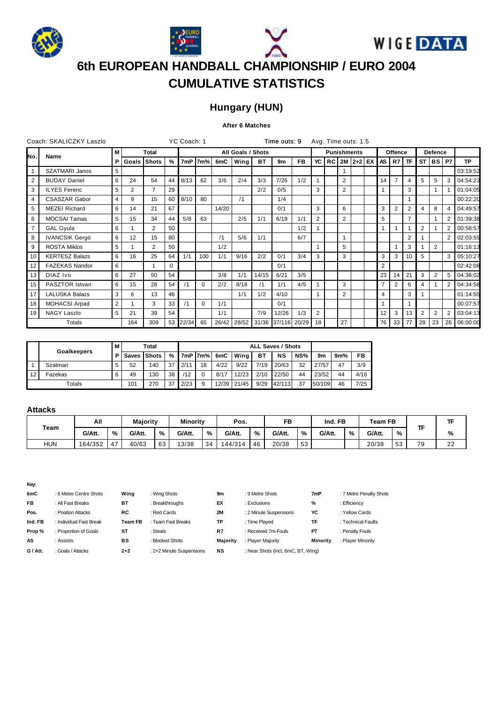







## **Hungary (HUN)**

## **After 6 Matches**

|                | Coach: SKALICZKY Laszlo |   |       |                |                 | YC Coach: 1 |          |       |                   |           | Time outs: 9 |                    |                | Avg. Time outs: 1.5 |                |                    |                      |                |                |                |                         |                |                |           |
|----------------|-------------------------|---|-------|----------------|-----------------|-------------|----------|-------|-------------------|-----------|--------------|--------------------|----------------|---------------------|----------------|--------------------|----------------------|----------------|----------------|----------------|-------------------------|----------------|----------------|-----------|
|                |                         | М |       | Total          |                 |             |          |       | All Goals / Shots |           |              |                    |                |                     |                | <b>Punishments</b> |                      |                | Offence        |                |                         | <b>Defence</b> |                |           |
| İN٥.           | Name                    | Р | Goals | <b>Shots</b>   | %               | 7mP         | l7m%     | 6mC   | Wing              | <b>BT</b> | 9m           | <b>FB</b>          | YC             |                     |                |                    | $RC$   2M   2+2   EX | AS             | R7             | <b>TF</b>      | <b>ST</b>               | <b>BS</b>      | <b>P7</b>      | <b>TP</b> |
|                | <b>SZATMARI Janos</b>   | 5 |       |                |                 |             |          |       |                   |           |              |                    |                |                     |                |                    |                      |                |                |                |                         |                |                | 03:19:52  |
| 2              | <b>BUDAY Daniel</b>     | 6 | 24    | 54             | 44              | 8/13        | 62       | 3/6   | 2/4               | 3/3       | 7/26         | 1/2                |                |                     | $\overline{2}$ |                    |                      | 14             | $\overline{7}$ | 4              | 5                       | 5              | 3              | 04:54:23  |
| 3              | <b>ILYES Ferenc</b>     | 5 | 2     | $\overline{7}$ | 29              |             |          |       |                   | 2/2       | 0/5          |                    | 3              |                     | $\overline{2}$ |                    |                      |                |                | 3              |                         |                |                | 01:04:05  |
| 4              | <b>CSASZAR Gabor</b>    | 4 | 9     | 15             | 60              | 8/10        | 80       |       | /1                |           | 1/4          |                    |                |                     |                |                    |                      |                |                |                |                         |                |                | 00:22:20  |
| 5              | <b>MEZEI Richard</b>    | 6 | 14    | 21             | 67              |             |          | 14/20 |                   |           | 0/1          |                    | 3              |                     | 6              |                    |                      | 3              | 2              | 2              | $\overline{\mathbf{4}}$ | 8              |                | 04:49:57  |
| 6              | <b>MOCSAI Tamas</b>     | 5 | 15    | 34             | 44              | 5/8         | 63       |       | 2/5               | 1/1       | 6/19         | 1/1                | $\overline{2}$ |                     | $\overline{2}$ |                    |                      | 5              |                | $\overline{7}$ |                         |                | $\overline{2}$ | 01:39:38  |
| $\overline{7}$ | <b>GAL Gyula</b>        | 6 |       | $\overline{2}$ | 50              |             |          |       |                   |           |              | 1/2                |                |                     |                |                    |                      | 1              |                |                | 2                       |                | $\overline{2}$ | 00:58:57  |
| 8              | <b>IVANCSIK Gergö</b>   | 6 | 12    | 15             | 80              |             |          | /1    | 5/6               | 1/1       |              | 6/7                |                |                     |                |                    |                      |                |                | 2              |                         |                | $\overline{2}$ | 02:03:55  |
| 9              | <b>ROSTA Miklos</b>     | 5 |       | 2              | 50              |             |          | 1/2   |                   |           |              |                    |                |                     | 5              |                    |                      |                |                | 3              |                         | $\overline{2}$ |                | 01:16:13  |
| 10             | <b>KERTESZ Balazs</b>   | 6 | 16    | 25             | 64              | 1/1         | 100      | 1/1   | 9/16              | 2/2       | 0/1          | 3/4                | 3              |                     | 3              |                    |                      | 3              | 3              | 10             | 5                       |                | 3              | 05:10:27  |
| 12             | <b>FAZEKAS Nandor</b>   | 6 |       |                | 0               |             |          |       |                   |           | 0/1          |                    |                |                     |                |                    |                      | $\overline{2}$ |                |                |                         |                |                | 02:42:08  |
| 13             | DIAZ Ivo                | 6 | 27    | 50             | 54              |             |          | 3/8   | 1/1               | 14/15     | 6/21         | 3/5                |                |                     |                |                    |                      | 23             | 14             | 21             | 3                       | $\overline{2}$ | 5              | 04:36:02  |
| 15             | PASZTOR Istvan          | 6 | 15    | 28             | 54              |             | $\Omega$ | 2/2   | 8/18              | /1        | 1/1          | 4/5                |                |                     | 3              |                    |                      | $\overline{7}$ | 2              | 6              | 4                       |                | $\overline{2}$ | 04:34:58  |
| 17             | <b>LALUSKA Balazs</b>   | 3 | 6     | 13             | 46              |             |          |       | 1/1               | 1/2       | 4/10         |                    |                |                     | 2              |                    |                      | 4              |                | 3              |                         |                |                | 01:14:55  |
| 18             | MOHACSI Arpad           | 2 |       | 3              | 33              |             | $\Omega$ | 1/1   |                   |           | 0/1          |                    |                |                     |                |                    |                      |                |                |                |                         |                |                | 00:07:57  |
| 19             | NAGY Laszlo             | 5 | 21    | 39             | 54              |             |          | 1/1   |                   | 7/9       | 12/26        | 1/3                | $\overline{2}$ |                     |                |                    |                      | 12             | 3              | 13             | 2                       | $\overline{2}$ | $\overline{2}$ | 03:04:13  |
|                | Totals                  |   | 164   | 309            | 53 <sup>1</sup> | 22/34       | 65       |       | 26/42 28/52       |           |              | 31/36 37/116 20/29 | 18             |                     | 27             |                    |                      | 76             | 33             | 77             | 28                      | 23             | 26             | 06:00:00  |

|    | <b>Goalkeepers</b> | м |                              | Total |     |      |      |       |       |      | <b>ALL Saves / Shots</b> |     |        |     |      |
|----|--------------------|---|------------------------------|-------|-----|------|------|-------|-------|------|--------------------------|-----|--------|-----|------|
|    |                    |   | <b>PI</b> Saves <i>Shots</i> |       | %   | 7mP  | 17m% | 6mC   | Wing  | BT   | NS                       | NS% | 9m     | 9m% | FB   |
|    | Szatmari           |   | 52                           | 140   | -37 | 2/11 | 18   | 4/22  | 9/22  | 7/19 | 20/63                    | 32  | 27/57  | 47  | 3/9  |
| 12 | Fazekas            |   | 49                           | 130   | 38  | 112  | 0    | 8/17  | 12/23 | 2/10 | 22/50                    | 44  | 23/52  | 44  | 4/16 |
|    | Totals             |   | 101                          | 270   | 37  | 2/23 | 9    | 12/39 | 21/45 | 9/29 | 42/113                   | 37  | 50/109 | 46  | 7/25 |

## **Attacks**

|      | All     |    | Majority |    | <b>Minority</b> |    | Pos.    |    | FB     |    | Ind. FB |   | Team FB |    |    |              |
|------|---------|----|----------|----|-----------------|----|---------|----|--------|----|---------|---|---------|----|----|--------------|
| Team | G/Att.  | %  | G/Att.   | %  | G/Att.          | %  | G/Att.  | %  | G/Att. | %  | G/Att.  | % | G/Att.  | %  |    | %            |
| HUN  | 164/352 | 47 | 40/63    | 63 | 13/38           | 34 | 144/314 | 46 | 20/38  | 53 |         |   | 20/38   | 53 | 79 | $\sim$<br>22 |

| 6mC       | : 6 Metre Centre Shots  | Wing           | : Wing Shots             | 9m        | : 9 Metre Shots                    | 7mP      | : 7 Metre Penalty Shots |
|-----------|-------------------------|----------------|--------------------------|-----------|------------------------------------|----------|-------------------------|
| <b>FB</b> | : All Fast Breaks       | BT             | : Breakthroughs          | EX        | : Exclusions                       | %        | : Efficiency            |
| Pos.      | : Position Attacks      | RC.            | : Red Cards              | <b>2M</b> | : 2 Minute Suspensions             | YC       | : Yellow Cards          |
| Ind. FB   | : Individual Fast Break | <b>Team FB</b> | : Team Fast Breaks       | TP        | : Time Plaved                      | ΤF       | : Technical Faults      |
| Prop%     | : Proportion of Goals   | ST             | : Steals                 | R7        | : Received 7m-Fouls                | P7       | : Penalty Fouls         |
| AS        | : Assists               | BS             | : Blocked Shots          | Majority  | : Player Majority                  | Minority | : Player Minority       |
| G / Att.  | : Goals / Attacks       | $2+2$          | : 2+2 Minute Suspensions | NS        | : Near Shots (incl, 6mC, BT, Wing) |          |                         |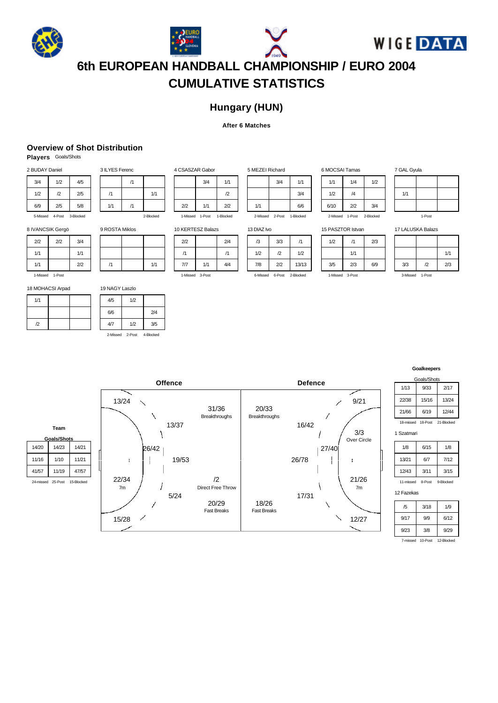







## **Hungary (HUN)**

### **After 6 Matches**

## **Overview of Shot Distribution**

3 ILYES Ferenc

/1

**Players** Goals/Shots

| 2 BUDAY Daniel                  |            |     |  |  |  |  |  |
|---------------------------------|------------|-----|--|--|--|--|--|
| 3/4                             | 1/2        | 4/5 |  |  |  |  |  |
| 1/2                             | $\sqrt{2}$ | 2/5 |  |  |  |  |  |
| 6/9                             | 2/5        | 5/8 |  |  |  |  |  |
| 5-Missed<br>4-Post<br>3-Blocked |            |     |  |  |  |  |  |

/1 1/1 1/1 /1 2-Blocked 9 ROSTA Miklos

|     |                       | $\overline{2}$ |
|-----|-----------------------|----------------|
| 2/2 | 1/1                   | 2/2            |
|     | 1-Missed 1-Post       | 1-Blocked      |
|     | <b>KERTESZ Balazs</b> |                |

 $3/4$  1/1

4 CSASZAR Gabor

|     | <b>CERTESZ Balazs</b> |     |  |  |  |  |
|-----|-----------------------|-----|--|--|--|--|
| 2/2 |                       | 2/4 |  |  |  |  |
| /1  |                       | /1  |  |  |  |  |
| 717 | 1/1                   | 4/4 |  |  |  |  |

| 1/1         |                 | 6/6       |
|-------------|-----------------|-----------|
|             | 2-Missed 2-Post | 1-Blocked |
| 13 DIAZ Ivo |                 |           |
| /3          | 3/3             | /1        |
| 1/2         | $\mathcal{D}$   | 1/2       |
| 70          | מוח             | 1011C     |

2-Blocked

 $1/1$   $1/4$   $1/2$ 7 GAL Gyula

| ----   |  |  |  |  |  |  |  |  |
|--------|--|--|--|--|--|--|--|--|
|        |  |  |  |  |  |  |  |  |
| 1/1    |  |  |  |  |  |  |  |  |
|        |  |  |  |  |  |  |  |  |
| 1-Post |  |  |  |  |  |  |  |  |

17 LALUSKA Balazs

|     |                 | 1/1 |
|-----|-----------------|-----|
| 3/3 | $\sqrt{2}$      | 2/3 |
|     | 3-Missed 1-Post |     |

8 IVANCSIK Gergö

|            | -    |     |
|------------|------|-----|
| 2/2        | 2/2  | 3/4 |
| 1/1        |      | 1/1 |
| 1/1        |      | 2/2 |
| 4 Milanoul | Doot |     |

d 1-Pos

18 MOHACSI Arpad

| 1/1 |  |
|-----|--|
|     |  |
| /2  |  |

**Team Goals/Shots** 14/20 14/23 14/21 11/16 1/10 11/21 41/57 11/19 47/57 24-missed 25-Post 15-Blocked

| 19 NAGY Laszlo |                 |           |  |  |  |  |
|----------------|-----------------|-----------|--|--|--|--|
| 4/5            | 1/2             |           |  |  |  |  |
| 6/6            |                 | 2/4       |  |  |  |  |
| 4/7            | 1/2             | 3/5       |  |  |  |  |
|                | 2-Missed 2-Post | 4-Blocked |  |  |  |  |

 $/1$  1/1

|    |        | 2/4 |  |
|----|--------|-----|--|
|    |        | /1  |  |
|    | 1/1    | 4/4 |  |
| ١d | 3-Post |     |  |

|               |       | 15 PAS |
|---------------|-------|--------|
| 3/3           | /1    | 1/2    |
| /2            | 1/2   |        |
| $\frac{2}{2}$ | 13/13 | 3/5    |
|               |       |        |

SZTOR Istvan  $/1$   $2/3$ 1/1 3/5 2/3 6/9 1-Missed 3-Post

6 MOCSAI Tamas

 $1/2$  /4 6/10 2/2 3/4 2-Missed 1-Post 2-Blocked

**Goalkeepers**

| Goals/Shots |         |            |  |  |  |  |  |  |  |  |  |  |
|-------------|---------|------------|--|--|--|--|--|--|--|--|--|--|
| 1/13        | 9/33    | 2/17       |  |  |  |  |  |  |  |  |  |  |
| 22/38       | 15/16   | 13/24      |  |  |  |  |  |  |  |  |  |  |
| 21/66       | 6/19    | 12/44      |  |  |  |  |  |  |  |  |  |  |
| 18-missed   | 18-Post | 21-Blocked |  |  |  |  |  |  |  |  |  |  |

1 Szatmari

| 1/8       | 6/15   | 1/8       |
|-----------|--------|-----------|
| 13/21     | 6/7    | 7/12      |
| 12/43     | 3/11   | 3/15      |
| 11-missed | 8-Post | 9-Blocked |

12 Fazekas

| /5   | 3/18 | 1/9  |
|------|------|------|
| 9/17 | 9/9  | 6/12 |
| 9/23 | 3/8  | 9/29 |

7-missed 10-Post 12-Blocked

| <b>Offence</b>                           |                                                        |                             | <b>Defence</b>                                             |
|------------------------------------------|--------------------------------------------------------|-----------------------------|------------------------------------------------------------|
| 13/24<br>13/37<br>26/42<br>19/53<br>÷    | 31/36<br>Breakthroughs                                 | 20/33<br>Breakthroughs      | 9/21<br>16/42<br>3/3<br>Over Circle<br>27/40<br>26/78<br>н |
| 22/34<br>7 <sub>m</sub><br>5/24<br>15/28 | /2<br>Direct Free Throw<br>20/29<br><b>Fast Breaks</b> | 18/26<br><b>Fast Breaks</b> | 21/26<br>7m<br>17/31<br>12/27                              |

 $10$ 2/2 2/4 7/7 1/1 4/4

1-Miss

| 13 DIAZ Ivo |                      |       |
|-------------|----------------------|-------|
| /3          | 3/3                  | /1    |
| 1/2         | $\mathbf{r}$         | 1/2   |
| 7/8         | 2/2                  | 13/13 |
|             | $\sim$ $\sim$ $\sim$ | .     |

5 MEZEI Richard

3/4 1/1 3/4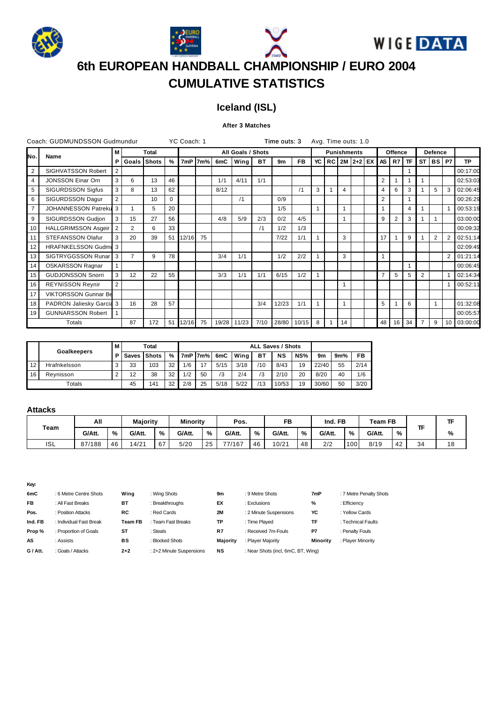







## **Iceland (ISL)**

## **After 3 Matches**

|                | Coach: GUDMUNDSSON Gudmundur |                      |                |                 |          | YC Coach: 1 |                   |      |             |      | Time outs: 3 |             |    | Avg. Time outs: 1.0 |                |                    |              |                |         |           |                |                |                |           |
|----------------|------------------------------|----------------------|----------------|-----------------|----------|-------------|-------------------|------|-------------|------|--------------|-------------|----|---------------------|----------------|--------------------|--------------|----------------|---------|-----------|----------------|----------------|----------------|-----------|
| N٥.            | <b>Name</b>                  | м                    |                | Total           |          |             | All Goals / Shots |      |             |      |              |             |    |                     |                | <b>Punishments</b> |              |                | Offence |           | <b>Defence</b> |                |                |           |
|                |                              | P.                   | Goals          | <b>Shots</b>    | %        |             | 7mP 7m%           | 6mC  | Wing        | ВT   | 9m           | <b>FB</b>   | YC |                     |                |                    | RC 2M 2+2 EX | AS I           | R7      | <b>TF</b> | ST             |                | <b>BS P7</b>   | <b>TP</b> |
| 2              | SIGHVATSSON Robert           | $\mathbf{2}^{\circ}$ |                |                 |          |             |                   |      |             |      |              |             |    |                     |                |                    |              |                |         |           |                |                |                | 00:17:00  |
| $\overline{4}$ | JONSSON Einar Orn            | 3                    | 6              | 13              | 46       |             |                   | 1/1  | 4/11        | 1/1  |              |             |    |                     |                |                    |              | $\overline{2}$ |         |           |                |                |                | 02:53:03  |
| 5              | <b>SIGURDSSON Sigfus</b>     | 3                    | 8              | 13              | 62       |             |                   | 8/12 |             |      |              | /1          | 3  | 1                   | $\overline{4}$ |                    |              | 4              | 6       | 3         |                | 5              | 3              | 02:06:45  |
| 6              | SIGURDSSON Dagur             | $\mathcal{P}$        |                | 10 <sup>1</sup> | $\Omega$ |             |                   |      | /1          |      | 0/9          |             |    |                     |                |                    |              | $\overline{2}$ |         |           |                |                |                | 00:26:29  |
| $\overline{7}$ | <b>JOHANNESSON Patreku</b>   | 3                    |                | 5               | 20       |             |                   |      |             |      | 1/5          |             |    |                     |                |                    |              |                |         | 4         |                |                |                | 00:53:19  |
| 9              | SIGURDSSON Gudjon            | 3                    | 15             | 27              | 56       |             |                   | 4/8  | 5/9         | 2/3  | 0/2          | 4/5         |    |                     |                |                    |              | 9              | 2       | 3         |                |                |                | 03:00:00  |
| 10             | <b>HALLGRIMSSON Asgeir</b>   | 2                    | $\overline{2}$ | 6               | 33       |             |                   |      |             | /1   | 1/2          | 1/3         |    |                     |                |                    |              |                |         |           |                |                |                | 00:09:32  |
| 11             | STEFANSSON Olafur            | 3                    | 20             | 39              | 51       | 12/16       | 75                |      |             |      | 7/22         | 1/1         |    |                     | 3              |                    |              | 17             |         | 9         |                | $\overline{2}$ | $\overline{2}$ | 02:51:14  |
| 12             | <b>HRAFNKELSSON Gudmu 3</b>  |                      |                |                 |          |             |                   |      |             |      |              |             |    |                     |                |                    |              |                |         |           |                |                |                | 02:09:49  |
| 13             | SIGTRYGGSSON Runar           | 3                    | $\overline{7}$ | 9               | 78       |             |                   | 3/4  | 1/1         |      | 1/2          | 2/2         |    |                     | 3              |                    |              |                |         |           |                |                | $\overline{2}$ | 01:21:14  |
| 14             | <b>OSKARSSON Ragnar</b>      |                      |                |                 |          |             |                   |      |             |      |              |             |    |                     |                |                    |              |                |         |           |                |                |                | 00:06:45  |
| 15             | <b>GUDJONSSON Snorri</b>     | 3                    | 12             | 22              | 55       |             |                   | 3/3  | 1/1         | 1/1  | 6/15         | 1/2         |    |                     |                |                    |              | $\overline{7}$ | 5       | 5         | 2              |                |                | 02:14:34  |
| 16             | <b>REYNISSON Reynir</b>      | $\mathcal{P}$        |                |                 |          |             |                   |      |             |      |              |             |    |                     |                |                    |              |                |         |           |                |                |                | 00:52:11  |
| 17             | <b>VIKTORSSON Gunnar Be</b>  |                      |                |                 |          |             |                   |      |             |      |              |             |    |                     |                |                    |              |                |         |           |                |                |                |           |
| 18             | PADRON Jaliesky Garcia 3     |                      | 16             | 28              | 57       |             |                   |      |             | 3/4  | 12/23        | 1/1         |    |                     | $\overline{1}$ |                    |              | 5              |         | 6         |                |                |                | 01:32:08  |
| 19             | <b>GUNNARSSON Robert</b>     |                      |                |                 |          |             |                   |      |             |      |              |             |    |                     |                |                    |              |                |         |           |                |                |                | 00:05:57  |
|                | Totals                       |                      | 87             | 172             | 51       | 12/16       | 75                |      | 19/28 11/23 | 7/10 |              | 28/80 10/15 | 8  |                     | 14             |                    |              | 48             | 16      | 34        | $\overline{7}$ | 9              | 10             | 03:00:00  |

|    |                    | M |                    | Total |    | <b>ALL Saves / Shots</b> |      |      |             |     |       |     |       |     |      |  |  |
|----|--------------------|---|--------------------|-------|----|--------------------------|------|------|-------------|-----|-------|-----|-------|-----|------|--|--|
|    | <b>Goalkeepers</b> | P | <b>Saves Shots</b> |       | %  | 7mP                      | 17m% | 6mC  | <b>Wing</b> | вT  | NS    | NS% | 9m    | 9m% | FB   |  |  |
| 12 | Hrafnkelsson       |   | 33                 | 103   | 32 | 1/6                      | 17   | 5/15 | 3/18        | 110 | 8/43  | 19  | 22/40 | 55  | 2/14 |  |  |
| 16 | Reynisson          |   | 12                 | 38    | 32 | 1/2                      | 50   | /3   | 2/4         | /3  | 2/10  | 20  | 8/20  | 40  | 1/6  |  |  |
|    | Totals             |   | 45                 | 141   | 32 | 2/8                      | 25   | 5/18 | 5/22        | 13  | 10/53 | 19  | 30/60 | 50  | 3/20 |  |  |

## **Attacks**

| Team       | All    |    | <b>Majority</b> |            | <b>Minority</b> |    | Pos.   |    | FB     |    | Ind. FB |      | <b>Team FB</b> |    |    |    |
|------------|--------|----|-----------------|------------|-----------------|----|--------|----|--------|----|---------|------|----------------|----|----|----|
|            | G/Att. | %  | G/Att.          | %          | G/Att.          | %  | G/Att. | %  | G/Att. | %  | G/Att.  | %    | G/Att.         | %  |    | %  |
| <b>ISL</b> | 87/188 | 46 | 14/21           | .67<br>ັບເ | 5/20            | 25 | 77/167 | 46 | 10/21  | 48 | 2/2     | 100I | 8/19           | 42 | 34 | 18 |

| 6mC       | : 6 Metre Centre Shots  | Wing           | : Wing Shots             | 9m        | : 9 Metre Shots                    | 7mP      | : 7 Metre Penalty Shots |
|-----------|-------------------------|----------------|--------------------------|-----------|------------------------------------|----------|-------------------------|
| <b>FB</b> | : All Fast Breaks       | BT             | : Breakthroughs          | EX        | : Exclusions                       | %        | : Efficiency            |
| Pos.      | : Position Attacks      | RC             | : Red Cards              | <b>2M</b> | : 2 Minute Suspensions             | YC       | : Yellow Cards          |
| Ind. FB   | : Individual Fast Break | <b>Team FB</b> | : Team Fast Breaks       | TP        | : Time Plaved                      | ΤF       | : Technical Faults      |
| Prop%     | : Proportion of Goals   | ST             | : Steals                 | R7        | : Received 7m-Fouls                | P7       | : Penalty Fouls         |
| AS        | : Assists               | BS             | : Blocked Shots          | Majority  | : Player Majority                  | Minority | : Plaver Minority       |
| G / Att.  | : Goals / Attacks       | $2+2$          | : 2+2 Minute Suspensions | NS        | : Near Shots (incl, 6mC, BT, Wing) |          |                         |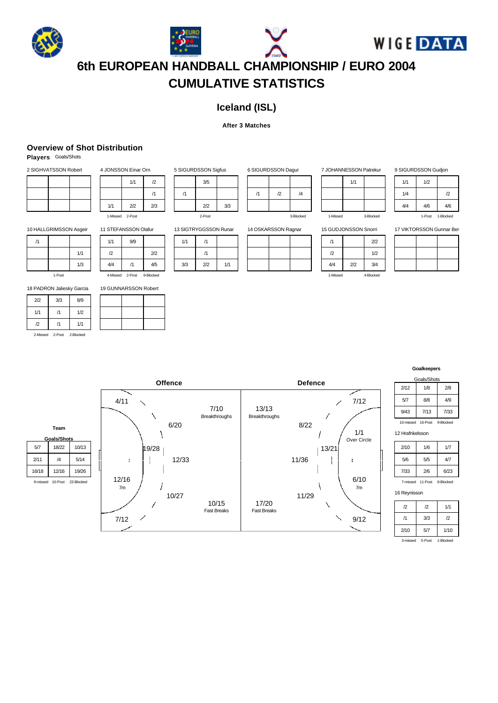







## **Iceland (ISL)**

### **After 3 Matches**

## **Overview of Shot Distribution**

**Players** Goals/Shots

| 2 SIGHVATSSON Robert |  |  |  |
|----------------------|--|--|--|
|                      |  |  |  |
|                      |  |  |  |
|                      |  |  |  |

| 4 JONSSON Einar Orn |                 |     |  |  |  |
|---------------------|-----------------|-----|--|--|--|
|                     | 1/1             |     |  |  |  |
|                     |                 | /1  |  |  |  |
| 1/1                 | 2/2             | 2/3 |  |  |  |
|                     | 1-Missed 2-Post |     |  |  |  |

| 5 SIGURDSSON Sigfus |     |     |  |  |
|---------------------|-----|-----|--|--|
| 3/5                 |     |     |  |  |
|                     |     |     |  |  |
|                     | 2/2 | 3/3 |  |  |
| $2$ -Post           |     |     |  |  |

| 6 SIGURDSSON Dagur |               |          |  |  |  |
|--------------------|---------------|----------|--|--|--|
|                    |               |          |  |  |  |
|                    | $\mathcal{D}$ |          |  |  |  |
|                    |               |          |  |  |  |
|                    |               | Die also |  |  |  |

| /4        |         |
|-----------|---------|
|           |         |
| 3-Blocked | 1-Misse |

| 7 JOHANNESSON Patrekur |  |  |  |  |
|------------------------|--|--|--|--|
| 1/1                    |  |  |  |  |
|                        |  |  |  |  |

3-Blocked

9 SIGURDSSON Gudjon

| 1/1 | 1/2    |              |
|-----|--------|--------------|
| 1/4 |        | $\mathbf{r}$ |
| 4/4 | 4/6    | 4/6          |
|     | 1-Post | 1-Blocked    |

10 HALLGRIMSSON Asgeir

| /1 |   |     |
|----|---|-----|
|    |   | 1/1 |
|    |   | 1/3 |
|    | - |     |

1-Post

18 PADRON Jaliesky Garcia

| 2/2          | 3/3 | 8/9 |
|--------------|-----|-----|
| 1/1          | /1  | 1/2 |
| $\mathbf{r}$ |     | 1/1 |

2-Missed 2-Post 2-Blocked

**Team Goals/Shots** 5/7 18/22 10/13 2/11 /4 5/14 16/18 12/16 19/26 9-missed 10-Post 22-Blocked

11 STEFANSSON Olafur 1/1 9/9  $/2$  2  $4/4$  /1 4

19 GUNNARSSON Robert

| 1/1      | 9/9       |           | 1/1 | 11  |
|----------|-----------|-----------|-----|-----|
| /2       |           | 2/2       |     |     |
| 4/4      | /1        | 4/5       | 3/3 | 2/2 |
| 4-Missed | $2$ -Post | 9-Blocked |     |     |

| 13 SIGTRYGGSSON Runar |     |     | 14 OSKARSSON Ragnar |  |
|-----------------------|-----|-----|---------------------|--|
| 1/1                   |     |     |                     |  |
|                       |     |     |                     |  |
| 3/3                   | 2/2 | 1/1 |                     |  |

| 15 GUDJONSSON Snorri  |     |     |  |  |  |  |  |  |  |  |  |
|-----------------------|-----|-----|--|--|--|--|--|--|--|--|--|
| /1                    |     | 2/2 |  |  |  |  |  |  |  |  |  |
| $\mathcal{D}$         |     | 1/2 |  |  |  |  |  |  |  |  |  |
| 4/4                   | 2/2 | 3/4 |  |  |  |  |  |  |  |  |  |
| 1-Missed<br>4-Blocked |     |     |  |  |  |  |  |  |  |  |  |

| 4/0              | 4/n                      |  |
|------------------|--------------------------|--|
| 1-Post 1-Blocked |                          |  |
|                  | 17 VIKTORSSON Gunnar Ber |  |
|                  |                          |  |

| <b>Offence</b>                     |                             |                             | <b>Defence</b>                              |
|------------------------------------|-----------------------------|-----------------------------|---------------------------------------------|
| 4/11<br>6/20<br>19/28              | 7/10<br>Breakthroughs       | 13/13<br>Breakthroughs      | 7/12<br>8/22<br>1/1<br>Over Circle<br>13/21 |
| 12/33<br>÷<br>12/16                |                             |                             | 11/36<br>ŧ<br>6/10                          |
| 7m<br>10/27<br>$\diagup$<br>$7/12$ | 10/15<br><b>Fast Breaks</b> | 17/20<br><b>Fast Breaks</b> | 7m<br>11/29<br>9/12                         |

**Goalkeepers**

ioals/Shot 2/12 1/8 2/8 5/7 8/8 4/9 9/43 7/13 7/33 10-missed 16-Post 9-Blocked

12 Hrafnkelsson

| 2/10     | 1/6     | 1/7       |
|----------|---------|-----------|
| 5/6      | 5/5     | 4/7       |
| 7/33     | 2/6     | 6/23      |
| 7-missed | 11-Post | 8-Blocked |

16 Reynisson

| /2            | $\mathbf{r}$ | 1/1          |
|---------------|--------------|--------------|
| /1            | 3/3          | $\mathbf{r}$ |
| 2/10          | 5/7          | 1/10         |
| the factor of | $D - 1$<br>- | Die also al- |

3-missed 5-Post 1-Blocked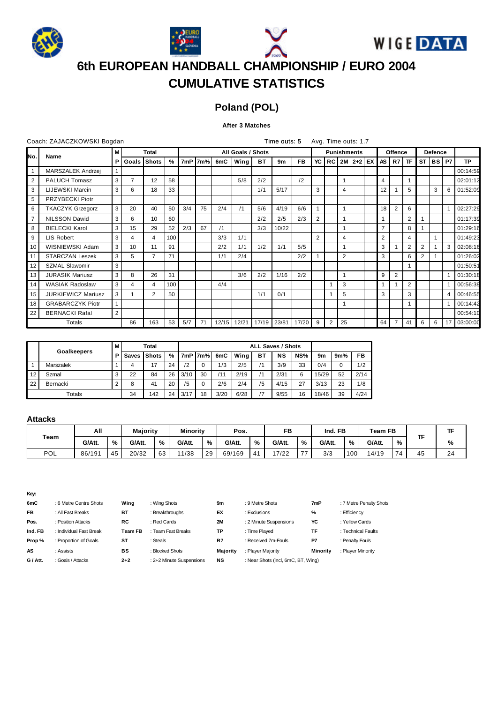







## **Poland (POL)**

## **After 3 Matches**

|                | Coach: ZAJACZKOWSKI Bogdan |                |                |                |     |     |         |     |                   |     | Time outs: 5 |       |                | Avg. Time outs: 1.7 |                |                    |                    |                |                |                |                |                |           |           |
|----------------|----------------------------|----------------|----------------|----------------|-----|-----|---------|-----|-------------------|-----|--------------|-------|----------------|---------------------|----------------|--------------------|--------------------|----------------|----------------|----------------|----------------|----------------|-----------|-----------|
|                |                            | м              |                | Total          |     |     |         |     | All Goals / Shots |     |              |       |                |                     |                | <b>Punishments</b> |                    |                | Offence        |                |                | <b>Defence</b> |           |           |
| lNo.           | Name                       | P              | l Goals        | <b>Shots</b>   | %   |     | 7mP 7m% | 6mC | Wing              | ВT  | 9m           | FB    | YC             |                     |                |                    | RC   2M   2+2   EX | AS I           | R7 I           | <b>TF</b>      |                | <b>STIBS</b>   | <b>P7</b> | <b>TP</b> |
|                | MARSZALEK Andrzej          |                |                |                |     |     |         |     |                   |     |              |       |                |                     |                |                    |                    |                |                |                |                |                |           | 00:14:59  |
| 2              | <b>PALUCH Tomasz</b>       | 3              | $\overline{7}$ | 12             | 58  |     |         |     | 5/8               | 2/2 |              | /2    |                |                     |                |                    |                    | 4              |                |                |                |                |           | 02:01:12  |
| 3              | <b>LIJEWSKI Marcin</b>     | 3              | 6              | 18             | 33  |     |         |     |                   | 1/1 | 5/17         |       | 3              |                     | 4              |                    |                    | 12             |                | 5              |                | 3              | 6         | 01:52:09  |
| 5              | PRZYBECKI Piotr            |                |                |                |     |     |         |     |                   |     |              |       |                |                     |                |                    |                    |                |                |                |                |                |           |           |
| 6              | <b>TKACZYK Grzegorz</b>    | 3              | 20             | 40             | 50  | 3/4 | 75      | 2/4 | /1                | 5/6 | 4/19         | 6/6   |                |                     |                |                    |                    | 18             | $\overline{2}$ | 6              |                |                |           | 02:27:29  |
| $\overline{7}$ | <b>NILSSON Dawid</b>       | 3              | 6              | 10             | 60  |     |         |     |                   | 2/2 | 2/5          | 2/3   | $\overline{2}$ |                     |                |                    |                    | 1              |                | $\overline{2}$ |                |                |           | 01:17:39  |
| 8              | <b>BIELECKI Karol</b>      | 3              | 15             | 29             | 52  | 2/3 | 67      | /1  |                   | 3/3 | 10/22        |       |                |                     | 1              |                    |                    | $\overline{7}$ |                | 8              |                |                |           | 01:29:16  |
| 9              | LIS Robert                 | 3              | 4              | 4              | 100 |     |         | 3/3 | 1/1               |     |              |       | $\overline{2}$ |                     | 4              |                    |                    | $\overline{2}$ |                | 4              |                |                |           | 01:49:23  |
| 10             | WISNIEWSKI Adam            | 3              | 10             | 11             | 91  |     |         | 2/2 | 1/1               | 1/2 | 1/1          | 5/5   |                |                     | -1             |                    |                    | 3              |                | $\overline{2}$ | $\overline{2}$ |                | 3         | 02:08:16  |
| 11             | <b>STARCZAN Leszek</b>     | 3              | 5              | $\overline{7}$ | 71  |     |         | 1/1 | 2/4               |     |              | 2/2   |                |                     | $\overline{2}$ |                    |                    | 3              |                | 6              | 2              |                |           | 01:26:02  |
| 12             | <b>SZMAL Slawomir</b>      | 3              |                |                |     |     |         |     |                   |     |              |       |                |                     |                |                    |                    |                |                |                |                |                |           | 01:50:51  |
| 13             | <b>JURASIK Mariusz</b>     | 3              | 8              | 26             | 31  |     |         |     | 3/6               | 2/2 | 1/16         | 2/2   |                |                     | 1              |                    |                    | 9              | 2              |                |                |                |           | 01:30:18  |
| 14             | <b>WASIAK Radoslaw</b>     | 3              | 4              | 4              | 100 |     |         | 4/4 |                   |     |              |       |                |                     | 3              |                    |                    | 1              |                | $\overline{2}$ |                |                |           | 00:56:39  |
| 15             | <b>JURKIEWICZ Mariusz</b>  | 3              |                | $\overline{2}$ | 50  |     |         |     |                   | 1/1 | 0/1          |       |                |                     | 5              |                    |                    | 3              |                | 3              |                |                | 4         | 00:46:55  |
| 18             | <b>GRABARCZYK Piotr</b>    |                |                |                |     |     |         |     |                   |     |              |       |                |                     | 1              |                    |                    |                |                |                |                |                |           | 00:14:42  |
| 22             | <b>BERNACKI Rafal</b>      | $\overline{2}$ |                |                |     |     |         |     |                   |     |              |       |                |                     |                |                    |                    |                |                |                |                |                |           | 00:54:10  |
|                | Totals                     |                | 86             | 163            | 53  | 5/7 | 71      |     | 12/15 12/21       |     | 17/19 23/81  | 17/20 | 9              | 2                   | 25             |                    |                    | 64             | $\overline{7}$ | 41             | 6              | 6              | 17        | 03:00:00  |

|    | Goalkeepers |   | Total<br>м<br><b>ALL Saves / Shots</b> |         |    |              |         |      |      |    |      |     |       |     |      |
|----|-------------|---|----------------------------------------|---------|----|--------------|---------|------|------|----|------|-----|-------|-----|------|
|    |             |   | Saves                                  | l Shots | %  | 7mP          | $17m\%$ | 6mC  | Wing | вT | ΝS   | NS% | 9m    | 9m% | FB   |
|    | Marszalek   |   |                                        | 17      | 24 | $^{\prime}2$ | 0       | 1/3  | 2/5  |    | 3/9  | 33  | 0/4   | 0   | 1/2  |
| 12 | Szmal       | 3 | 22                                     | 84      | 26 | 3/10         | 30      | /11  | 2/19 |    | 2/31 | 6   | 15/29 | 52  | 2/14 |
| 22 | Bernacki    |   | 8                                      | 41      | 20 | 5            | 0       | 2/6  | 2/4  | /5 | 4/15 | 27  | 3/13  | 23  | 1/8  |
|    | Totals      |   | 34                                     | 142     | 24 | 3/17         | 18      | 3/20 | 6/28 |    | 9/55 | 16  | 18/46 | 39  | 4/24 |

### **Attacks**

|      | All    |    | <b>Majority</b> |    | <b>Minority</b> |    | Pos.   |    | <b>FB</b> |                             | Ind. FB |                  | Team FB |    |    |    |
|------|--------|----|-----------------|----|-----------------|----|--------|----|-----------|-----------------------------|---------|------------------|---------|----|----|----|
| Team | G/Att. | %  | G/Att.          | %  | G/Att.          | %  | G/Att. | %  | G/Att.    | %                           | G/Att.  | %                | G/Att.  | %  |    | %  |
| POL  | 86/191 | 45 | 20/32           | 63 | 1/38            | 29 | 69/169 | 41 | 17/22     | $\rightarrow$ $\rightarrow$ | 3/3     | 100 <sup>1</sup> | 14/19   | 74 | 45 | 24 |

| : 6 Metre Centre Shots  | Wing    | : Wing Shots             | 9m              | : 9 Metre Shots        | 7mP      | : 7 Metre Penalty Shots            |
|-------------------------|---------|--------------------------|-----------------|------------------------|----------|------------------------------------|
| : All Fast Breaks       | вT      | : Breakthroughs          | EX              | : Exclusions           | %        | : Efficiency                       |
| : Position Attacks      | RC      | : Red Cards              | <b>2M</b>       | : 2 Minute Suspensions | YC       | : Yellow Cards                     |
| : Individual Fast Break | Team FB | : Team Fast Breaks       | <b>TP</b>       | : Time Plaved          | TF       | : Technical Faults                 |
| : Proportion of Goals   | ST      | : Steals                 | R7              | : Received 7m-Fouls    | P7       | : Penalty Fouls                    |
| : Assists               | BS      | : Blocked Shots          | <b>Majority</b> | : Player Majority      | Minority | : Plaver Minority                  |
| : Goals / Attacks       | $2 + 2$ | : 2+2 Minute Suspensions | <b>NS</b>       |                        |          |                                    |
|                         |         |                          |                 |                        |          | : Near Shots (incl, 6mC, BT, Wing) |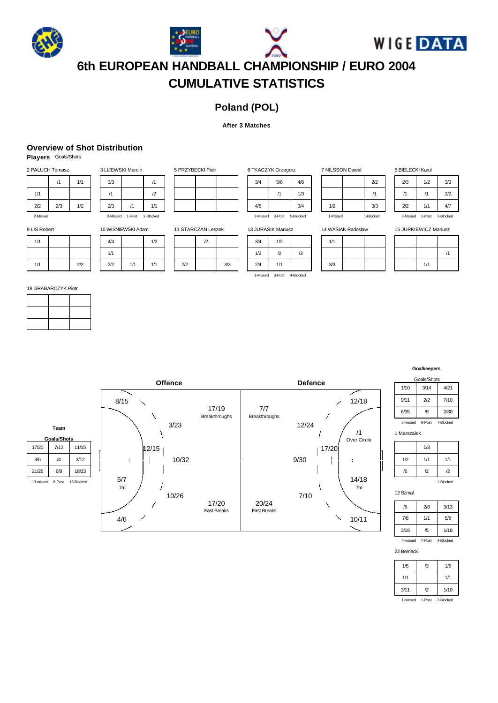







## **Poland (POL)**

### **After 3 Matches**

## **Overview of Shot Distribution**

1/1

10 WISNIEWSKI Adam  $4/4$  1/2

2/2 1/1 1/1

**Players** Goals/Shots

| 2 PALUCH Tomasz |     |     |  |  |  |  |  |  |  |  |
|-----------------|-----|-----|--|--|--|--|--|--|--|--|
|                 | /1  | 1/1 |  |  |  |  |  |  |  |  |
| 1/1             |     |     |  |  |  |  |  |  |  |  |
| 2/2             | 2/3 | 1/2 |  |  |  |  |  |  |  |  |
| 2-Missed        |     |     |  |  |  |  |  |  |  |  |

|     | 3 LIJEWSKI Marcin         |     | 5 PRZYI |
|-----|---------------------------|-----|---------|
| 3/3 |                           |     |         |
|     |                           | /2  |         |
| 2/3 | /1                        | 1/1 |         |
|     | 3-Missed 1-Post 2-Blocked |     |         |

| <b>ZYBECKI Piotr</b> |  |  |  |
|----------------------|--|--|--|
|                      |  |  |  |
|                      |  |  |  |
|                      |  |  |  |
|                      |  |  |  |

| 6 TKACZYK Grzegorz |                 |           |
|--------------------|-----------------|-----------|
| 3/4                | 5/6             | 4/6       |
|                    | /1              | 1/3       |
| 4/5                |                 | 3/4       |
|                    | 3-Missed 3-Post | 5-Blocked |

| . . | $\cdots$<br>٠ |  |
|-----|---------------|--|
| į   | 1/2           |  |
| 3   |               |  |
| ì   |               |  |
|     |               |  |

| 7 NILSSON Dawid       |     |     |  |
|-----------------------|-----|-----|--|
|                       | 2/2 |     |  |
|                       |     |     |  |
| 1/2                   |     | 3/3 |  |
| 1-Missed<br>1-Blocked |     |     |  |

8 BIELECKI Karol

| 2/3      | 1/2       | 3/3       |
|----------|-----------|-----------|
| /1       | /1        | 2/2       |
| 2/2      | 1/1       | 4/7       |
| 3.Miccod | $1.$ Poet | 3-Rinckod |

9 LIS Robert

| 1/1 |     |  |
|-----|-----|--|
|     |     |  |
| 1/1 | 2/2 |  |

### 18 GRABARCZYK Piotr

**Team Goals/Shots** 17/20 7/13 11/15 3/6 /4 3/12 21/26 6/8 18/23 13-missed 8-Post 15-Blocked 11 STARCZAN Leszek

|     | $\sqrt{2}$ |     |
|-----|------------|-----|
|     |            |     |
| 2/2 |            | 3/3 |

| <b>13 JURASIK Mariusz</b> |        |               |
|---------------------------|--------|---------------|
| 3/4                       | 1/2    |               |
| 1/2                       | 12     | $\mathcal{L}$ |
| 2/4                       | 1/1    |               |
| 1-Missed                  | 3-Post | 4-Blocked     |

14 WASI 1/1 3/3

| ilAK Radoslaw |  |  |  |
|---------------|--|--|--|
|               |  |  |  |
|               |  |  |  |
|               |  |  |  |

|                       |  | 3-Missed 1-Post 3-Blocked |  |
|-----------------------|--|---------------------------|--|
| 15 JURKIEWICZ Mariusz |  |                           |  |
|                       |  |                           |  |
|                       |  |                           |  |

1/1

**Goalkeepers**

| Goals/Shots                     |      |      |  |
|---------------------------------|------|------|--|
| 1/10                            | 3/14 | 4/21 |  |
| 9/11                            | 2/2  | 7/10 |  |
| 6/35                            | /9   | 2/30 |  |
| 8-Post<br>5-missed<br>7-Blocked |      |      |  |

1 Marszalek

|     | 1/3        |            |
|-----|------------|------------|
| 1/2 | 1/1        | 1/1        |
| /6  | $\sqrt{2}$ | $\sqrt{2}$ |
|     |            | 1-Blocked  |

12 Szmal

| /5       | 2/8    | 3/13      |
|----------|--------|-----------|
| 7/8      | 1/1    | 5/8       |
| 3/18     | /5     | 1/18      |
| 4-missed | 7-Post | 4-Blocked |

22 Bernacki

| 1/5  | /3           | 1/8  |
|------|--------------|------|
| 1/1  |              | 1/1  |
| 3/11 | $\mathbf{r}$ | 1/10 |
|      |              |      |

1-missed 1-Post 2-Blocked

| <b>Offence</b>              |                             |                             | <b>Defence</b>                                   |
|-----------------------------|-----------------------------|-----------------------------|--------------------------------------------------|
| 8/15<br>╲                   | 17/19<br>Breakthroughs      | 7/7<br>Breakthroughs        | 12/18                                            |
| 3/23<br>12/15<br>10/32<br>÷ |                             |                             | 12/24<br>/1<br>Over Circle<br>17/20<br>9/30<br>÷ |
| 5/7<br>7m<br>10/26<br>4/6   | 17/20<br><b>Fast Breaks</b> | 20/24<br><b>Fast Breaks</b> | 14/18<br>7m<br>7/10<br>10/11                     |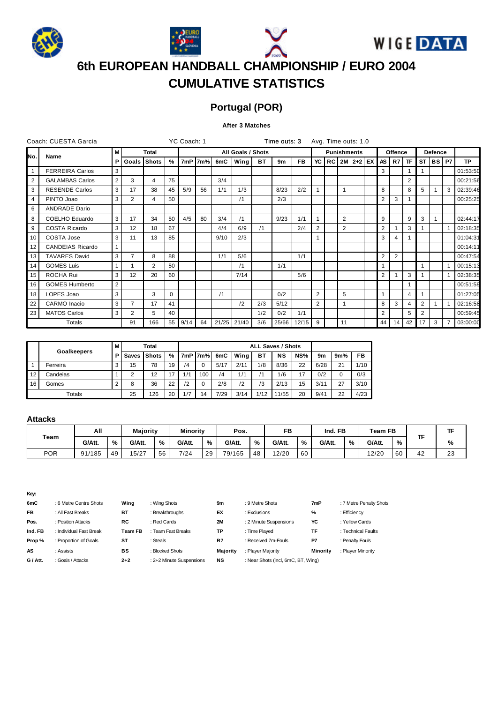







## **Portugal (POR)**

## **After 3 Matches**

|              | Coach: CUESTA Garcia   |                |                |       |             | YC Coach: 1 |         |      |                   |     | Time outs: 3 |           |                | Avg. Time outs: 1.0 |                |                    |                |           |           |    |                |           |           |
|--------------|------------------------|----------------|----------------|-------|-------------|-------------|---------|------|-------------------|-----|--------------|-----------|----------------|---------------------|----------------|--------------------|----------------|-----------|-----------|----|----------------|-----------|-----------|
| No.          |                        | М              |                | Total |             |             |         |      | All Goals / Shots |     |              |           |                |                     |                | <b>Punishments</b> |                | Offence   |           |    | <b>Defence</b> |           |           |
|              | Name                   | Р              | Goals          | Shots | $\%$        |             | 7mP 7m% | 6mC  | Wing              | BT. | 9m           | <b>FB</b> | YC             |                     |                | $RC12M12+2IEX$     | AS I           | <b>R7</b> | <b>TF</b> |    | <b>STIBS</b>   | <b>P7</b> | <b>TP</b> |
| $\mathbf{1}$ | <b>FERREIRA Carlos</b> | 3              |                |       |             |             |         |      |                   |     |              |           |                |                     |                |                    | 3              |           |           |    |                |           | 01:53:50  |
| 2            | <b>GALAMBAS Carlos</b> | $\overline{2}$ | 3              | 4     | 75          |             |         | 3/4  |                   |     |              |           |                |                     |                |                    |                |           | 2         |    |                |           | 00:21:56  |
| 3            | <b>RESENDE Carlos</b>  | 3              | 17             | 38    | 45          | 5/9         | 56      | 1/1  | 1/3               |     | 8/23         | 2/2       |                |                     | $\overline{1}$ |                    | 8              |           | 8         | 5  |                | 3         | 02:39:46  |
| 4            | PINTO Joao             | 3              | 2              | 4     | 50          |             |         |      | /1                |     | 2/3          |           |                |                     |                |                    | $\overline{2}$ | 3         |           |    |                |           | 00:25:25  |
| 6            | <b>ANDRADE Dario</b>   |                |                |       |             |             |         |      |                   |     |              |           |                |                     |                |                    |                |           |           |    |                |           |           |
| 8            | COELHO Eduardo         | 3              | 17             | 34    | 50          | 4/5         | 80      | 3/4  | /1                |     | 9/23         | 1/1       |                |                     | 2              |                    | 9              |           | 9         | 3  |                |           | 02:44:17  |
| 9            | COSTA Ricardo          | 3              | 12             | 18    | 67          |             |         | 4/4  | 6/9               | /1  |              | 2/4       | 2              |                     | $\overline{2}$ |                    | $\overline{2}$ |           | 3         |    |                |           | 02:18:35  |
| 10           | COSTA Jose             | 3              | 11             | 13    | 85          |             |         | 9/10 | 2/3               |     |              |           |                |                     |                |                    | 3              | 4         |           |    |                |           | 01:04:31  |
| 12           | CANDEIAS Ricardo       |                |                |       |             |             |         |      |                   |     |              |           |                |                     |                |                    |                |           |           |    |                |           | 00:14:11  |
| 13           | <b>TAVARES David</b>   | 3              | $\overline{7}$ | 8     | 88          |             |         | 1/1  | 5/6               |     |              | 1/1       |                |                     |                |                    | $\overline{2}$ | 2         |           |    |                |           | 00:47:54  |
| 14           | <b>GOMES Luis</b>      |                |                | 2     | 50          |             |         |      | /1                |     | 1/1          |           |                |                     |                |                    |                |           |           |    |                |           | 00:15:13  |
| 15           | ROCHA Rui              | 3              | 12             | 20    | 60          |             |         |      | 7/14              |     |              | 5/6       |                |                     |                |                    | $\overline{2}$ |           | 3         |    |                |           | 02:38:35  |
| 16           | <b>GOMES Humberto</b>  | 2              |                |       |             |             |         |      |                   |     |              |           |                |                     |                |                    |                |           |           |    |                |           | 00:51:59  |
| 18           | LOPES Joao             | 3              |                | 3     | $\mathbf 0$ |             |         | /1   |                   |     | 0/2          |           | 2              |                     | 5              |                    |                |           | 4         |    |                |           | 01:27:05  |
| 22           | CARMO Inacio           | 3              | 7              | 17    | 41          |             |         |      | /2                | 2/3 | 5/12         |           | $\overline{2}$ |                     | 1              |                    | 8              | 3         | 4         | 2  |                |           | 02:16:58  |
| 23           | <b>MATOS Carlos</b>    | 3              | 2              | 5     | 40          |             |         |      |                   | 1/2 | 0/2          | 1/1       |                |                     |                |                    | $\overline{2}$ |           | 5         | 2  |                |           | 00:59:45  |
|              | Totals                 |                | 91             | 166   |             | 55 9/14     | 64      |      | 21/25 21/40       | 3/6 | 25/66        | 12/15     | 9              |                     | 11             |                    | 44             | 14        | 42        | 17 | 3              |           | 03:00:00  |

|    |                    | М |       | Total |    |     |         |      |      |      | <b>ALL Saves / Shots</b> |     |      |     |      |
|----|--------------------|---|-------|-------|----|-----|---------|------|------|------|--------------------------|-----|------|-----|------|
|    | <b>Goalkeepers</b> | Р | Saves | Shots | %  | 7mP | $17m$ % | 6mC  | Wing | BT   | NS                       | NS% | 9m   | 9m% | FB   |
|    | Ferreira           | w | 15    | 78    | 19 | '4  | 0       | 5/17 | 2/11 | 1/8  | 8/36                     | 22  | 6/28 | 21  | 1/10 |
| 12 | Candeias           |   | ົ     | 12    | -  | 1/1 | 100     | /4   | 1/1  |      | 1/6                      | 17  | 0/2  | 0   | 0/3  |
| 16 | Gomes              |   | 8     | 36    | 22 | 12  |         | 2/8  | 12   | ′3   | 2/13                     | 15  | 3/11 | 27  | 3/10 |
|    | Totals             |   | 25    | 126   | 20 | 1/7 | 14      | 7/29 | 3/14 | 1/12 | 1/55                     | 20  | 9/41 | 22  | 4/23 |

### **Attacks**

|            | All    |    | <b>Majority</b> |    | <b>Minority</b> |    | Pos.   |    | <b>FB</b> |    | Ind. FB |   | Team FB |    |    |          |
|------------|--------|----|-----------------|----|-----------------|----|--------|----|-----------|----|---------|---|---------|----|----|----------|
| Team       | G/Att. | %  | G/Att.          | %  | G/Att.          | %  | G/Att. | %  | G/Att.    | %  | G/Att.  | % | G/Att.  | %  |    | %        |
| <b>POR</b> | 91/185 | 49 | 15/27           | 56 | 7/24            | 29 | 79/165 | 48 | 12/20     | 60 |         |   | 12/20   | 60 | 42 | ົດ<br>د∠ |

| : 6 Metre Centre Shots  | Wing           | : Wing Shots             | 9m              | : 9 Metre Shots        | 7mP      | : 7 Metre Penalty Shots            |
|-------------------------|----------------|--------------------------|-----------------|------------------------|----------|------------------------------------|
| : All Fast Breaks       | вT             | : Breakthroughs          | EX              | : Exclusions           | %        | : Efficiency                       |
| : Position Attacks      | RC             | : Red Cards              | <b>2M</b>       | : 2 Minute Suspensions | YC       | : Yellow Cards                     |
| : Individual Fast Break | <b>Team FB</b> | : Team Fast Breaks       | TP              | : Time Plaved          | TF       | : Technical Faults                 |
| : Proportion of Goals   | ST             | : Steals                 | R7              | : Received 7m-Fouls    | P7       | : Penalty Fouls                    |
| : Assists               | BS             | : Blocked Shots          | <b>Majority</b> | : Player Majority      | Minority | : Plaver Minority                  |
| : Goals / Attacks       | $2 + 2$        | : 2+2 Minute Suspensions | <b>NS</b>       |                        |          |                                    |
|                         |                |                          |                 |                        |          | : Near Shots (incl, 6mC, BT, Wing) |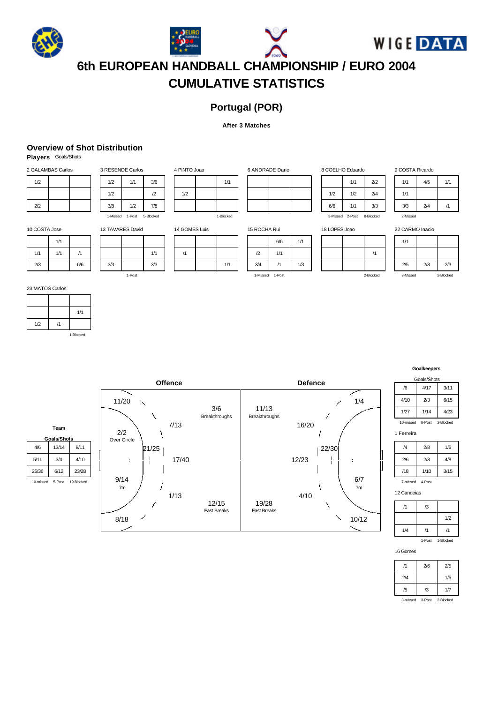







## **Portugal (POR)**

### **After 3 Matches**

## **Overview of Shot Distribution**

**Players** Goals/Shots

| 2 GALAMBAS Carlos |  |
|-------------------|--|
| 1/2               |  |
|                   |  |
| 2/2               |  |

| 1/2 |  |
|-----|--|
|     |  |
|     |  |

4 PINTO Joao

|         |  | 6 ANDRADE Dario |  | 8 COELHO Eduardo |                 |     |
|---------|--|-----------------|--|------------------|-----------------|-----|
| 1/1     |  |                 |  |                  | 1/1             |     |
|         |  |                 |  | 1/2              | 1/2             |     |
|         |  |                 |  | 6/6              | 1/1             |     |
| Blocked |  |                 |  |                  | 3-Missed 2-Post | - 1 |

| 8 COELHO Eduardo |        |           |
|------------------|--------|-----------|
|                  | 1/1    | 2/2       |
| 1/2              | 1/2    | 2/4       |
| 6/6              | 1/1    | 3/3       |
| 3-Missed         | 2-Post | 8-Blocked |

| 1/1      | 4/5 | 1/1 |
|----------|-----|-----|
| 1/1      |     |     |
| 3/3      | 2/4 | /1  |
| 2-Missed |     |     |

10 COS<sup>-</sup>

 $1/1$  $2/3$ 

| TA Jose |     | 13 TAVARES David |  |
|---------|-----|------------------|--|
| 1/1     |     |                  |  |
| 1/1     |     |                  |  |
|         | 6/6 | 3/3              |  |

 $3/3$   $3/3$ 1-Post

1/1

3 RESENDE Carlos 1/2 1/1 3/6  $1/2$  /2 3/8 1/2 7/8 1-Missed 1-Post 5-Blocked

| 14 GOMES Luis |  |     |
|---------------|--|-----|
|               |  |     |
| /1            |  |     |
|               |  | 1/1 |

| 15 ROCHA Rui  |        |     |  |
|---------------|--------|-----|--|
|               | 6/6    | 1/1 |  |
| $\mathcal{D}$ | 1/1    |     |  |
| 3/4           | /1     | 1/3 |  |
| 1-Missed      | 1-Post |     |  |

| 18 LOPES Joao |  |  |
|---------------|--|--|
|               |  |  |
|               |  |  |
|               |  |  |

2-Bloc

22 CARMO Inacio

| 1/1                   |     |     |
|-----------------------|-----|-----|
|                       |     |     |
| 2/5                   | 2/3 | 2/3 |
| 3-Missed<br>2-Blocked |     |     |

|     | 1/1       |
|-----|-----------|
| 1/2 |           |
|     | 1-Blocked |

**Team Goals/Shots** 4/6 13/14 8/11 5/11 3/4 4/10

**Offence Defence** 11/20 1/4 3/6 11/13 ١ Breakthroughs Breakthroughs  $\overline{\phantom{a}}$ 7/13 16/20 2/2  $\lambda$ I Over Circle 22/30 21/25 17/40  $\mathbf{r}$  $\overline{\phantom{a}}$ 12/23  $\mathbf{I}$  $\mathbf{I}$ 25/36 6/12 23/28 9/14 6/7 10-missed 5-Post 19-Blocked J V 7m 7m 1/13 4/10 12/15 19/28 ╲ Fast Breaks Fast Breaks  $\overline{\phantom{a}}$  $\checkmark$ 10/12 8/18

**Goalkeepers**

oals/Sho /6 4/17 3/11 4/10 2/3 6/15 1/27 1/14 4/23 10-missed 8-Post 3-Blocked

1 Ferreira

| /4                 | 2/8  | 1/6  |
|--------------------|------|------|
| 2/6                | 2/3  | 4/8  |
| /18                | 1/10 | 3/15 |
| 7-missed<br>4-Post |      |      |

12 Candeias

| /1  | /3     |           |
|-----|--------|-----------|
|     |        | 1/2       |
| 1/4 | /1     | /1        |
|     | 1-Post | 1-Blocked |

16 Gomes

| /1  | 2/6 | 2/5 |
|-----|-----|-----|
| 2/4 |     | 1/5 |
| /5  | /3  | 1/7 |

3-missed 3-Post 2-Blo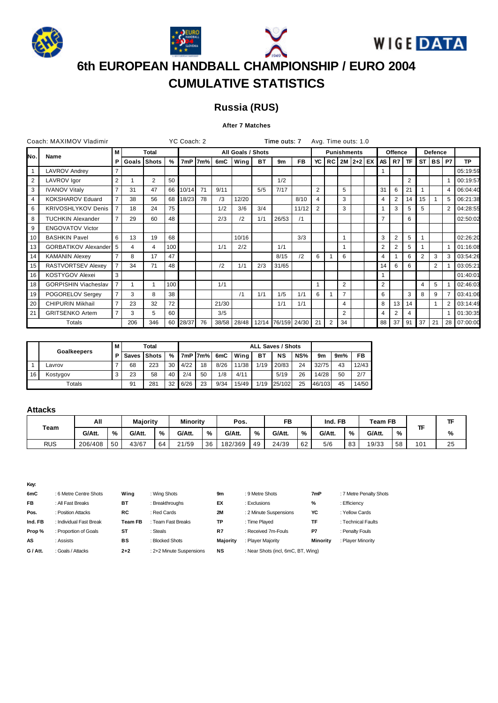







## **Russia (RUS)**

## **After 7 Matches**

|                | Coach: MAXIMOV Vladimir     |                |       |                |     | YC Coach: 2 |          |       |                   |     | Time outs: 7       |           |                | Avg. Time outs: 1.0 |                |                    |                |                |           |    |                |                |           |
|----------------|-----------------------------|----------------|-------|----------------|-----|-------------|----------|-------|-------------------|-----|--------------------|-----------|----------------|---------------------|----------------|--------------------|----------------|----------------|-----------|----|----------------|----------------|-----------|
| N٥.            |                             | м              |       | Total          |     |             |          |       | All Goals / Shots |     |                    |           |                |                     |                | <b>Punishments</b> |                | Offence        |           |    | <b>Defence</b> |                |           |
|                | Name                        | Р              | Goals | Shots          | %   |             | 7mP 17m% | 6mC   | Wing              | BT. | 9m                 | <b>FB</b> | YC             |                     |                | RC   2M   2+2   EX | AS I           | R7             | <b>TF</b> | ST |                | BS P7          | <b>TP</b> |
| $\mathbf{1}$   | <b>LAVROV Andrey</b>        |                |       |                |     |             |          |       |                   |     |                    |           |                |                     |                |                    |                |                |           |    |                |                | 05:19:59  |
| $\overline{2}$ | LAVROV Igor                 | $\overline{2}$ |       | $\overline{2}$ | 50  |             |          |       |                   |     | 1/2                |           |                |                     |                |                    |                |                | 2         |    |                |                | 00:19:57  |
| 3              | <b>IVANOV Vitaly</b>        |                | 31    | 47             | 66  | 10/14       | 71       | 9/11  |                   | 5/5 | 7/17               |           | $\overline{2}$ |                     | 5              |                    | 31             | 6              | 21        |    |                |                | 06:04:40  |
| 4              | <b>KOKSHAROV Eduard</b>     |                | 38    | 56             | 68  | 18/23       | 78       | /3    | 12/20             |     |                    | 8/10      | 4              |                     | 3              |                    | 4              | $\overline{2}$ | 14        | 15 |                | 5              | 06:21:38  |
| 6              | <b>KRIVOSHLYKOV Denis</b>   |                | 18    | 24             | 75  |             |          | 1/2   | 3/6               | 3/4 |                    | 11/12     | $\overline{2}$ |                     | 3              |                    | 1              | 3              | 5         | 5  |                | $\overline{2}$ | 04:28:55  |
| 8              | <b>TUCHKIN Alexander</b>    |                | 29    | 60             | 48  |             |          | 2/3   | /2                | 1/1 | 26/53              | /1        |                |                     |                |                    | 7              |                | 6         |    |                |                | 02:50:02  |
| 9              | <b>ENGOVATOV Victor</b>     |                |       |                |     |             |          |       |                   |     |                    |           |                |                     |                |                    |                |                |           |    |                |                |           |
| 10             | <b>BASHKIN Pavel</b>        | 6              | 13    | 19             | 68  |             |          |       | 10/16             |     |                    | 3/3       |                |                     |                |                    | 3              | 2              | 5         |    |                |                | 02:26:20  |
| 13             | <b>GORBATIKOV Alexander</b> | 5              | 4     | 4              | 100 |             |          | 1/1   | 2/2               |     | 1/1                |           |                |                     |                |                    | $\overline{2}$ | 2              | 5         |    |                |                | 01:16:08  |
| 14             | <b>KAMANIN Alexey</b>       |                | 8     | 17             | 47  |             |          |       |                   |     | 8/15               | /2        | 6              |                     | 6              |                    | 4              |                | 6         | 2  | 3              | 3              | 03:54:26  |
| 15             | RASTVORTSEV Alexey          |                | 34    | 71             | 48  |             |          | /2    | 1/1               | 2/3 | 31/65              |           |                |                     |                |                    | 14             | 6              | 6         |    | $\overline{2}$ |                | 03:05:21  |
| 16             | <b>KOSTYGOV Alexei</b>      | 3              |       |                |     |             |          |       |                   |     |                    |           |                |                     |                |                    |                |                |           |    |                |                | 01:40:01  |
| 18             | <b>GORPISHIN Viacheslav</b> | $\overline{7}$ |       |                | 100 |             |          | 1/1   |                   |     |                    |           |                |                     | $\overline{2}$ |                    | $\overline{2}$ |                |           | 4  | 5              |                | 02:46:03  |
| 19             | POGORELOV Sergey            |                | 3     | 8              | 38  |             |          |       | /1                | 1/1 | 1/5                | 1/1       | 6              | 1                   | $\overline{7}$ |                    | 6              |                | 3         | 8  | 9              |                | 03:41:06  |
| 20             | <b>CHIPURIN Mikhail</b>     |                | 23    | 32             | 72  |             |          | 21/30 |                   |     | 1/1                | 1/1       |                |                     | $\overline{4}$ |                    | 8              | 13             | 14        |    |                | $\overline{2}$ | 03:14:49  |
| 21             | <b>GRITSENKO Artem</b>      |                | 3     | 5              | 60  |             |          | 3/5   |                   |     |                    |           |                |                     | 2              |                    | 4              | 2              | 4         |    |                |                | 01:30:35  |
|                | Totals                      |                | 206   | 346            |     | 60 28/37    | 76       |       | 38/58 28/48       |     | 12/14 76/159 24/30 |           | 21             | 2                   | 34             |                    | 88             | 37             | 91        | 37 | 21             | 28             | 07:00:00  |

|    | <b>Goalkeepers</b> | м |                              | Total |    |      |      |      |       |      | <b>ALL Saves / Shots</b> |     |        |     |       |
|----|--------------------|---|------------------------------|-------|----|------|------|------|-------|------|--------------------------|-----|--------|-----|-------|
|    |                    |   | <b>PI</b> Saves <i>Shots</i> |       | %  | 7mP  | 17m% | 6mC  | Wina  | BT   | ΝS                       | NS% | 9m     | 9m% | FB    |
|    | _avrov             |   | 68                           | 223   | 30 | 4/22 | 18   | 8/26 | 11/38 | 1/19 | 20/83                    | 24  | 32/75  | 43  | 12/43 |
| 16 | Kostygov           |   | 23                           | 58    | 40 | 2/4  | 50   | 1/8  | 4/11  |      | 5/19                     | 26  | 14/28  | 50  | 2/7   |
|    | Totals             |   | 91                           | 281   | 32 | 6/26 | 23   | 9/34 | 15/49 | 1/19 | 25/102                   | 25  | 46/103 | 45  | 14/50 |

## **Attacks**

|            | All     |    | <b>Majority</b> |    | <b>Minority</b> |    | Pos.    |    | FB     |    | Ind. FB |    | Team FB |    |     |    |
|------------|---------|----|-----------------|----|-----------------|----|---------|----|--------|----|---------|----|---------|----|-----|----|
| Team       | G/Att.  | %  | G/Att.          | %  | G/Att.          | %  | G/Att.  | %  | G/Att. | %  | G/Att.  | %  | G/Att.  | %  |     | %  |
| <b>RUS</b> | 206/408 | 50 | 43/67           | 64 | 21/59           | 36 | 182/369 | 49 | 24/39  | 62 | 5/6     | 83 | 19/33   | 58 | 101 | 25 |

| 6mC       | : 6 Metre Centre Shots  | Wing           | : Wing Shots             | 9m        | : 9 Metre Shots                    | 7mP      | : 7 Metre Penalty Shots |
|-----------|-------------------------|----------------|--------------------------|-----------|------------------------------------|----------|-------------------------|
| <b>FB</b> | : All Fast Breaks       | BT             | : Breakthroughs          | EX        | : Exclusions                       | %        | : Efficiency            |
| Pos.      | : Position Attacks      | RC.            | : Red Cards              | <b>2M</b> | : 2 Minute Suspensions             | YC       | : Yellow Cards          |
| Ind. FB   | : Individual Fast Break | <b>Team FB</b> | : Team Fast Breaks       | TP        | : Time Plaved                      | ΤF       | : Technical Faults      |
| Prop%     | : Proportion of Goals   | ST             | : Steals                 | R7        | : Received 7m-Fouls                | P7       | : Penalty Fouls         |
| AS        | : Assists               | BS             | : Blocked Shots          | Majority  | : Player Majority                  | Minority | : Player Minority       |
| G / Att.  | : Goals / Attacks       | $2+2$          | : 2+2 Minute Suspensions | NS        | : Near Shots (incl, 6mC, BT, Wing) |          |                         |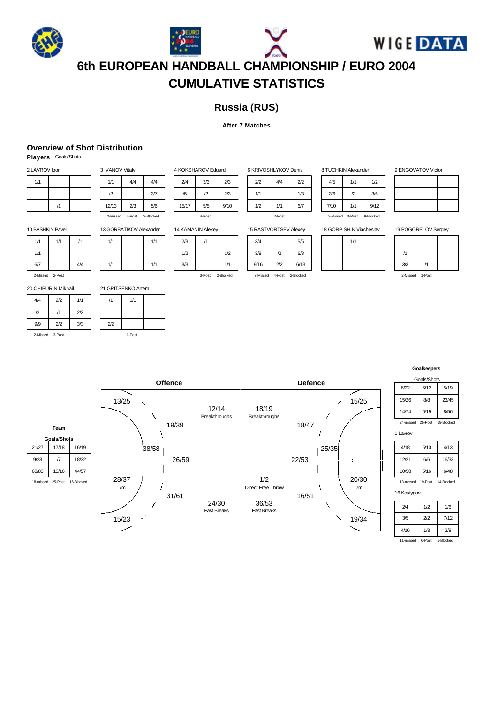







## **Russia (RUS)**

### **After 7 Matches**

## **Overview of Shot Distribution**

**Players** Goals/Shots

| 2 LAVROV Igor |    |  |
|---------------|----|--|
| 1/1           |    |  |
|               |    |  |
|               | /1 |  |

| 3 IVANOV Vitaly |                 |           |  |  |  |  |
|-----------------|-----------------|-----------|--|--|--|--|
| 1/1             | 4/4             | 4/4       |  |  |  |  |
| $\sqrt{2}$      |                 | 3/7       |  |  |  |  |
| 12/13           | 2/3             | 5/6       |  |  |  |  |
|                 | 2-Missed 2-Post | 3-Blocked |  |  |  |  |

13 GORBATIKOV Alexander  $1/1$  1/1

 $1/1$  1/1

1-Post

21 GRITSENKO Artem /1 1/1

2/2

| 4 KOKSHAROV Eduard |            |      |
|--------------------|------------|------|
| 2/4                | 3/3        | 2/3  |
| /5                 | $\sqrt{2}$ | 2/3  |
| 15/17              | 5/5        | 9/10 |
|                    | 4-Post     |      |

| 6 KRIVOSHLYKOV Denis |           |     |
|----------------------|-----------|-----|
| 2/2                  | 4/4       | 2/2 |
| 1/1                  |           | 1/3 |
| 1/2                  | 1/1       | 6/7 |
|                      | $2$ -Post |     |

|  | 4/5      | 1/1    | 1/2       |
|--|----------|--------|-----------|
|  | 3/6      | /2     | 3/6       |
|  | 7/10     | 1/1    | 9/12      |
|  | 3-Missed | 3-Post | 9-Blocked |

8 TUCHKIN Alexander

 $1/2$  $3/6$ 

 $9/12$ 

9 ENGOVATOV Victor

10 BASHKIN Pavel

| 1/1 | 1/1 | /1  |
|-----|-----|-----|
| 1/1 |     |     |
| 6/7 |     | 4/4 |

2-Missed 2-Post

20 CHIPURIN Mikhail

| 4/4          | 2/2             | 1/1 |
|--------------|-----------------|-----|
| $\mathbf{r}$ | /1              | 2/3 |
| 9/9          | 2/2             | 3/3 |
|              | 2-Missed 3-Post |     |

14 KAMANIN Alexey

| 2/3 | 11 |     |
|-----|----|-----|
| 1/2 |    | 1/2 |
| 3/3 |    | 1/1 |

3-Post 2-Blocked

| 15 RASTVORTSEV Alexey |               |           |  |  |  |  |  |  |
|-----------------------|---------------|-----------|--|--|--|--|--|--|
| 3/4                   |               | 5/5       |  |  |  |  |  |  |
| 3/8                   | $\mathcal{D}$ | 6/8       |  |  |  |  |  |  |
| 9/16                  | 2/2           | 6/13      |  |  |  |  |  |  |
| 7-Missed              | 4-Post        | 2-Blocked |  |  |  |  |  |  |

18 GORPISHIN Viacheslav

| 1/1 |  |     |
|-----|--|-----|
|     |  | /1  |
|     |  | 3/3 |
|     |  |     |

| ia i oooneed voorgey |    |  |  |  |  |  |  |  |  |
|----------------------|----|--|--|--|--|--|--|--|--|
|                      |    |  |  |  |  |  |  |  |  |
| /1                   |    |  |  |  |  |  |  |  |  |
| 3/3                  | 11 |  |  |  |  |  |  |  |  |

ed 1-Post

19 POGORELOV Sergey

**Goalkeepers**

| Goals/Shots |         |            |  |  |  |  |  |  |
|-------------|---------|------------|--|--|--|--|--|--|
| 6/22        | 6/12    | 5/19       |  |  |  |  |  |  |
| 15/26       | 8/8     | 23/45      |  |  |  |  |  |  |
| 14/74       | 6/19    | 8/56       |  |  |  |  |  |  |
| 24-missed   | 25-Post | 19-Blocked |  |  |  |  |  |  |

1 Lavrov

| 4/18      | 5/10    | 4/13       |  |  |  |  |
|-----------|---------|------------|--|--|--|--|
| 12/21     | 6/6     | 16/33      |  |  |  |  |
| 10/58     | 5/16    | 6/48       |  |  |  |  |
| 13-missed | 19-Post | 14-Blocked |  |  |  |  |

16 Kostygov

| 2/4  | 1/2 | 1/6  |
|------|-----|------|
| 3/5  | 2/2 | 7/12 |
| 4/16 | 1/3 | 2/8  |

11-missed 6-Post 5-Blocked

**Team Goals/Shots** 21/27 17/18 16/19 9/28 /7 18/32  $\mathbf{r}$ 68/83 13/16 44/57 18-missed 25-Post 16-Blocked

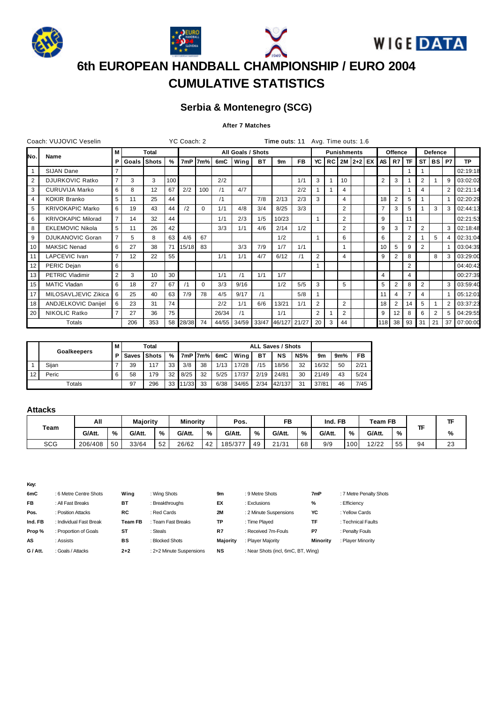







## **Serbia & Montenegro (SCG)**

## **After 7 Matches**

|                | Coach: VUJOVIC Veselin    |                |       |              |     | YC Coach: 2 |             |       |                   |     | Time outs: 11 Avg. Time outs: 1.6 |           |                |   |                |                           |                 |         |                |                |                |    |           |
|----------------|---------------------------|----------------|-------|--------------|-----|-------------|-------------|-------|-------------------|-----|-----------------------------------|-----------|----------------|---|----------------|---------------------------|-----------------|---------|----------------|----------------|----------------|----|-----------|
| No.            |                           | М              |       | <b>Total</b> |     |             |             |       | All Goals / Shots |     |                                   |           |                |   |                | <b>Punishments</b>        |                 | Offence |                |                | <b>Defence</b> |    |           |
|                | Name                      | P.             | Goals | Shots        | %   |             | $7mP$ $7m%$ | 6mC   | Wing              | ВT  | 9m                                | <b>FB</b> | YC             |   |                | $RC$   2M   2+2   EX   AS |                 | R7      | <b>TF</b>      | ST I           | l BS l         | P7 | <b>TP</b> |
|                | <b>SIJAN Dane</b>         |                |       |              |     |             |             |       |                   |     |                                   |           |                |   |                |                           |                 |         |                |                |                |    | 02:19:18  |
| 2              | <b>DJURKOVIC Ratko</b>    | $\overline{7}$ | 3     | 3            | 100 |             |             | 2/2   |                   |     |                                   | 1/1       | 3              | 1 | 10             |                           | $\overline{2}$  | 3       |                | 2              |                | 9  | 03:02:02  |
| 3              | <b>CURUVIJA Marko</b>     | 6              | 8     | 12           | 67  | 2/2         | 100         | /1    | 4/7               |     |                                   | 2/2       |                |   | $\overline{4}$ |                           |                 |         |                | Δ              |                |    | 02:21:14  |
| $\overline{4}$ | <b>KOKIR Branko</b>       | 5              | 11    | 25           | 44  |             |             | /1    |                   | 7/8 | 2/13                              | 2/3       | 3              |   | $\overline{4}$ |                           | 18              | 2       | 5              |                |                |    | 02:20:29  |
| 5              | <b>KRIVOKAPIC Marko</b>   | 6              | 19    | 43           | 44  | /2          | $\Omega$    | 1/1   | 4/8               | 3/4 | 8/25                              | 3/3       |                |   | $\overline{2}$ |                           | $\overline{7}$  | 3       | 5              |                | 3              | 3  | 02:44:13  |
| 6              | <b>KRIVOKAPIC Milorad</b> | $\overline{7}$ | 14    | 32           | 44  |             |             | 1/1   | 2/3               | 1/5 | 10/23                             |           |                |   | $\overline{2}$ |                           | 9               |         | 11             |                |                |    | 02:21:53  |
| 8              | <b>EKLEMOVIC Nikola</b>   | 5              | 11    | 26           | 42  |             |             | 3/3   | 1/1               | 4/6 | 2/14                              | 1/2       |                |   | 2              |                           | 9               | 3       |                | 2              |                | 3  | 02:18:48  |
| 9              | <b>DJUKANOVIC Goran</b>   | $\overline{7}$ | 5     | 8            | 63  | 4/6         | 67          |       |                   |     | 1/2                               |           |                |   | 6              |                           | 6               |         | $\overline{2}$ |                | 5              |    | 02:31:04  |
| 10             | <b>MAKSIC Nenad</b>       | 6              | 27    | 38           | 71  | 15/18       | 83          |       | 3/3               | 7/9 | 1/7                               | 1/1       |                |   |                |                           | 10 <sup>°</sup> | 5       | 9              | $\overline{2}$ |                |    | 03:04:39  |
| 11             | LAPCEVIC Ivan             |                | 12    | 22           | 55  |             |             | 1/1   | 1/1               | 4/7 | 6/12                              | /1        | $\overline{2}$ |   | 4              |                           | 9               | 2       | 8              |                | 8              | 3  | 03:29:00  |
| 12             | PERIC Dejan               | 6              |       |              |     |             |             |       |                   |     |                                   |           |                |   |                |                           |                 |         | $\overline{2}$ |                |                |    | 04:40:42  |
| 13             | PETRIC Vladimir           | $\overline{2}$ | 3     | 10           | 30  |             |             | 1/1   | /1                | 1/1 | 1/7                               |           |                |   |                |                           | 4               |         | 4              |                |                |    | 00:27:39  |
| 15             | <b>MATIC Vladan</b>       | 6              | 18    | 27           | 67  |             | $\Omega$    | 3/3   | 9/16              |     | 1/2                               | 5/5       | 3              |   | 5              |                           | 5               | 2       | 8              | $\overline{2}$ |                | 3  | 03:59:40  |
| 17             | MILOSAVLJEVIC Zikica      | 6              | 25    | 40           | 63  | 7/9         | 78          | 4/5   | 9/17              | /1  |                                   | 5/8       |                |   |                |                           | 11              | 4       |                | 4              |                |    | 05:12:01  |
| 18             | ANDJELKOVIC Danijel       | 6              | 23    | 31           | 74  |             |             | 2/2   | 1/1               | 6/6 | 13/21                             | 1/1       | $\overline{2}$ |   | 2              |                           | 18              | 2       | 14             | 5              |                | 2  | 03:37:23  |
| 20             | NIKOLIC Ratko             |                | 27    | 36           | 75  |             |             | 26/34 | /1                |     | 1/1                               |           | $\overline{2}$ |   | 2              |                           | 9               | 12      | 8              | 6              | 2              | 5  | 04:29:55  |
|                | Totals                    |                | 206   | 353          | 58  | 28/38       | 74          |       | 44/55 34/59       |     | 33/47 46/127 21/27                |           | 20             | 3 | 44             |                           | 118             | 38      | 93             | 31             | 21             | 37 | 07:00:00  |

|    | Goalkeepers | м |    | Total       |    |       |      |      |       |      |         |     |       |     |      |
|----|-------------|---|----|-------------|----|-------|------|------|-------|------|---------|-----|-------|-----|------|
|    |             | P |    | Saves Shots | %  | 7mP   | 17m% | 6mC  | Wing  | ВT   | NS      | NS% | 9m    | 9m% | FB   |
|    | Siian       |   | 39 | 117         | 33 | 3/8   | 38   | 1/13 | 17/28 | 15   | 18/56   | 32  | 16/32 | 50  | 2/21 |
| 12 | Peric       |   | 58 | 179         | 32 | 8/25  | 32   | 5/25 | 17/37 | 2/19 | 24/81   | 30  | 21/49 | 43  | 5/24 |
|    | Totals      |   | 97 | 296         | 33 | 11/33 | 33   | 6/38 | 34/65 | 2/34 | 142/137 | 31  | 37/81 | 46  | 7/45 |

## **Attacks**

|            | All     |    | <b>Majority</b> |     | <b>Minority</b> |    | Pos.    |    | FB     |    | Ind. FB |                  | Team FB |    |    |          |
|------------|---------|----|-----------------|-----|-----------------|----|---------|----|--------|----|---------|------------------|---------|----|----|----------|
| Team       | G/Att.  | %  | G/Att.          | %   | G/Att.          | %  | G/Att.  | %  | G/Att. | %  | G/Att.  | %                | G/Att.  | %  |    | %        |
| <b>SCG</b> | 206/408 | 50 | 33/64           | -52 | 26/62           | 42 | 185/377 | 49 | 21/31  | 68 | 9/9     | 100 <sup>1</sup> | 12/22   | 55 | 94 | ົດ<br>د∠ |

| 6mC       | : 6 Metre Centre Shots  | Wing           | : Wing Shots             | 9m        | : 9 Metre Shots                    | 7mP      | : 7 Metre Penalty Shots |
|-----------|-------------------------|----------------|--------------------------|-----------|------------------------------------|----------|-------------------------|
| <b>FB</b> | : All Fast Breaks       | <b>BT</b>      | : Breakthroughs          | EX        | : Exclusions                       | %        | : Efficiency            |
| Pos.      | : Position Attacks      | <b>RC</b>      | : Red Cards              | <b>2M</b> | : 2 Minute Suspensions             | YC       | : Yellow Cards          |
| Ind. FB   | : Individual Fast Break | <b>Team FB</b> | : Team Fast Breaks       | ТP        | : Time Plaved                      | TF       | : Technical Faults      |
| Prop%     | : Proportion of Goals   | ST             | : Steals                 | R7        | : Received 7m-Fouls                | P7       | : Penalty Fouls         |
| AS        | : Assists               | BS             | : Blocked Shots          | Majority  | : Player Majority                  | Minority | : Player Minority       |
| G / Att.  | : Goals / Attacks       | $2+2$          | : 2+2 Minute Suspensions | NS        | : Near Shots (incl, 6mC, BT, Wing) |          |                         |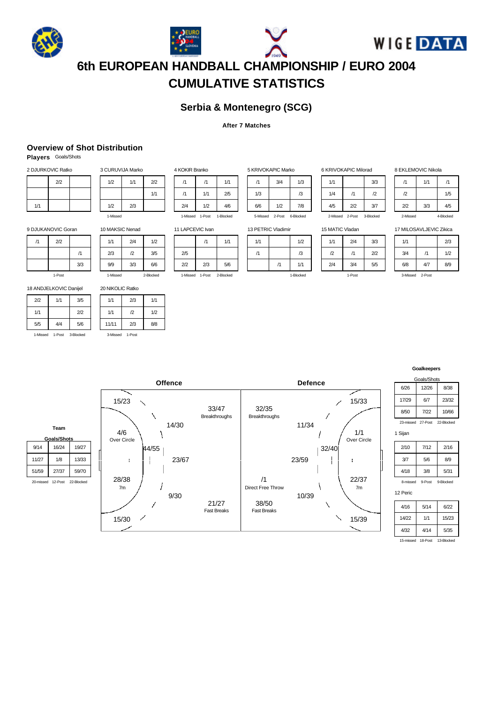







## **Serbia & Montenegro (SCG)**

**After 7 Matches**

## **Overview of Shot Distribution**

**Players** Goals/Shots

| 2 DJURKOVIC Ratko |     |  |  |  |  |  |  |  |  |
|-------------------|-----|--|--|--|--|--|--|--|--|
|                   | 2/2 |  |  |  |  |  |  |  |  |
|                   |     |  |  |  |  |  |  |  |  |
| 1/1               |     |  |  |  |  |  |  |  |  |

| 1/1 | 2/2 | /1   |
|-----|-----|------|
|     | 1/1 | /1   |
| 2/3 |     | 2/4  |
|     |     | 1-Mi |
|     |     |      |

| 4 KOKIR Branko |                 |           |  |
|----------------|-----------------|-----------|--|
| /1             | /1              | 1/1       |  |
| /1             | 1/1             | 2/5       |  |
| 2/4            | 1/2             | 4/6       |  |
|                | 1-Missed 1-Post | 1-Blocked |  |

| 5 KRIVOKAPIC Marko |        |               |  |
|--------------------|--------|---------------|--|
| /1                 | 3/4    | 1/3           |  |
| 1/3                |        | $\mathcal{L}$ |  |
| 6/6                | 1/2    | 7/8           |  |
| 5-Missed           | 2-Post | 6-Blocked     |  |

| 1/3           | 1/1      |
|---------------|----------|
| $\mathcal{L}$ | 1/4      |
| 7/8           | 4/5      |
| 6-Blocked     | 2-Misseo |

| 1/1 |                 | 3/3          |  |
|-----|-----------------|--------------|--|
| 1/4 | /1              | $\mathbf{r}$ |  |
| 4/5 | 2/2             | 3/7          |  |
|     | 2-Missed 2-Post | 3-Blocked    |  |

8 EKLEMOVIC Nikola

| /1                    | 1/1 | /1  |
|-----------------------|-----|-----|
| /2                    |     | 1/5 |
| 2/2                   | 3/3 | 4/5 |
| 2-Missed<br>4-Blocked |     |     |

9 DJUKANOVIC Goran

| /1 | 2/2    |            |
|----|--------|------------|
|    |        | $\sqrt{1}$ |
|    |        | 3/3        |
|    | 1-Post |            |

18 ANDJELKOVIC Danijel

| 2/2 | 1/1             | 3/5       |
|-----|-----------------|-----------|
| 1/1 |                 | 2/2       |
| 5/5 | 4/4             | 5/6       |
|     | 1-Missed 1-Post | 3-Blocked |

11 LAPCEVIC Ivan

|          | /1        | 1/1       |
|----------|-----------|-----------|
| 2/5      |           |           |
| 2/2      | 2/3       | 5/6       |
| 1-Miccod | $1.$ Poet | 2-Rinckod |

| <b>J</b> -IVIISSEU | Z-FUSL | u-pinneu |  |
|--------------------|--------|----------|--|
| 13 PETRIC Vladimir |        |          |  |
| 1/1                |        | 1/2      |  |
| /1                 |        | /3       |  |
|                    | /1     | 1/1      |  |

15 MATIC Vladan  $1/1$   $2/4$   $3/3$  $/2$  /1  $2/2$  $2/4$  3/4 5/5 1-Post

15/33

 $\overline{\phantom{a}}$ 

1/1 Over Circle

15/39

╲

22/37 7m

 $\mathbf{I}$ 

6 KRIVOKAPIC Milorad

17 MILOSAVLJEVIC Zikica

| 1/1      |        | 2/3 |
|----------|--------|-----|
| 3/4      | /1     | 1/2 |
| 6/8      | 4/7    | 8/9 |
| 3-Missed | 2-Post |     |

15/30

 $\overline{\phantom{a}}$ 

 $\overline{\phantom{a}}$ 

| 1/1                | 2/3           | 1/1 |
|--------------------|---------------|-----|
| 1/1                | $\mathcal{D}$ | 1/2 |
| 11/11              | 2/3           | 8/8 |
| 3-Missed<br>1-Post |               |     |

 $/1$ 1-Blocked

Goals/Shot 6/26 | 12/26 | 8/38  $17/29$  6/7  $23/32$ 8/50 7/22 10/66 23-missed 27-Post 22-Blocked

1 Sijan

| 2/10     | 7/12   | 2/16      |  |  |
|----------|--------|-----------|--|--|
| 3/7      | 5/6    | 8/9       |  |  |
| 4/18     | 3/8    | 5/31      |  |  |
| 8-missed | 9-Post | 9-Blocked |  |  |

12 Peric

| 4/16  | 5/14 | 6/22  |
|-------|------|-------|
| 14/22 | 1/1  | 15/23 |
| 4/32  | 4/14 | 5/35  |

15-missed 18-Post 13-Blocked

|           | Team               |            | 4/     |
|-----------|--------------------|------------|--------|
|           | <b>Goals/Shots</b> |            | Over 0 |
| 9/14      | 16/24              | 19/27      |        |
| 11/27     | 1/8                | 13/33      |        |
| 51/59     | 27/37              | 59/70      |        |
| 20-missed | $12$ -Post         | 22-Blocked | 28/    |

| <b>Offence</b>                       |                        |                                | <b>Defence</b> |       |
|--------------------------------------|------------------------|--------------------------------|----------------|-------|
| 15/23                                | 33/47<br>Breakthroughs | 32/35<br>Breakthroughs         |                |       |
| 14/30<br>4/6<br>Over Circle<br>44/55 |                        |                                | 11/34          | 32/40 |
| 23/67<br>ł                           |                        |                                | 23/59          |       |
| 28/38<br>7m<br>9/30                  |                        | /1<br><b>Direct Free Throw</b> | 10/39          |       |

21/27 Fast Breaks

38/50 Fast Breaks

## $2/3$  /2 3/5 9/9 3/3 6/6

1/1 2/4 1/2

1-Missed 2-Blocked

10 MAKSIC Nenad

3 CURUVIJA Marko  $1/2$ 

> $1/2$ 1-Missed

 $20$  NIK

| OLIC Ratko |     |  |
|------------|-----|--|
| 2/3        | 1/1 |  |
| 12         | 1/2 |  |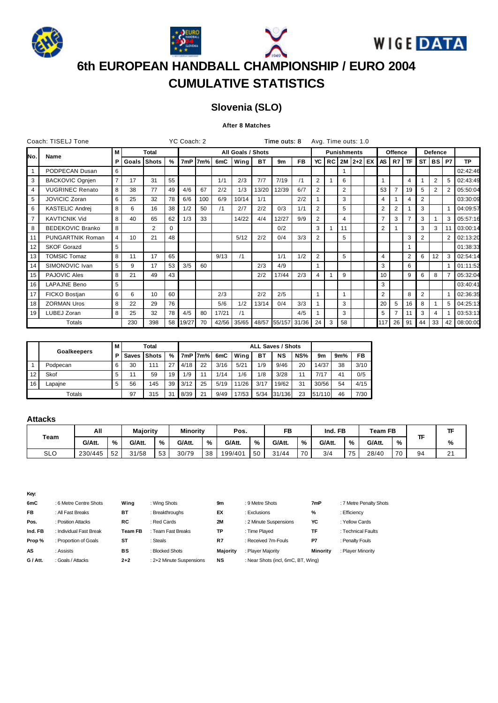







## **Slovenia (SLO)**

## **After 8 Matches**

|                | Coach: TISELJ Tone      |                |                 |                |          | YC Coach: 2 |         |       |                   |       | Time outs: 8       |     |                | Avg. Time outs: 1.0 |                |                    |                           |                 |                |                |           |                |           |             |
|----------------|-------------------------|----------------|-----------------|----------------|----------|-------------|---------|-------|-------------------|-------|--------------------|-----|----------------|---------------------|----------------|--------------------|---------------------------|-----------------|----------------|----------------|-----------|----------------|-----------|-------------|
|                |                         | м              |                 | Total          |          |             |         |       | All Goals / Shots |       |                    |     |                |                     |                | <b>Punishments</b> |                           |                 | Offence        |                |           | <b>Defence</b> |           |             |
| N٥.            | Name                    | P.             | Goals           | l Shots        | %        |             | 7mP 7m% | 6mC   | Wina              | ВT    | 9m                 | FB  | YC             |                     |                |                    | $RC$   2M   2+2   EX   AS |                 | R7             | <b>TF</b>      | <b>ST</b> | <b>BS</b>      | <b>P7</b> | <b>TP</b>   |
| $\mathbf{1}$   | PODPECAN Dusan          | 6              |                 |                |          |             |         |       |                   |       |                    |     |                |                     |                |                    |                           |                 |                |                |           |                |           | 02:42:46    |
| 3              | <b>BACKOVIC Ognjen</b>  | $\overline{7}$ | 17              | 31             | 55       |             |         | 1/1   | 2/3               | 7/7   | 7/19               | /1  | 2              |                     | 6              |                    |                           |                 |                | 4              |           | $\overline{2}$ | 5         | 02:43:49    |
| $\overline{4}$ | <b>VUGRINEC Renato</b>  | 8              | 38              | 77             | 49       | 4/6         | 67      | 2/2   | 1/3               | 13/20 | 12/39              | 6/7 | 2              |                     | $\overline{2}$ |                    |                           | 53              |                | 19             | 5         | $\overline{2}$ |           | 05:50:04    |
| 5              | <b>JOVICIC Zoran</b>    | 6              | 25              | 32             | 78       | 6/6         | 100     | 6/9   | 10/14             | 1/1   |                    | 2/2 |                |                     | 3              |                    |                           | 4               |                | 4              | 2         |                |           | 03:30:09    |
| 6              | <b>KASTELIC Andrei</b>  | 8              | 6               | 16             | 38       | 1/2         | 50      | /1    | 2/7               | 2/2   | 0/3                | 1/1 | 2              |                     | 5              |                    |                           | $\overline{2}$  | 2              |                | 3         |                |           | 04:09:57    |
| $\overline{7}$ | <b>KAVTICNIK Vid</b>    | 8              | 40              | 65             | 62       | 1/3         | 33      |       | 14/22             | 4/4   | 12/27              | 9/9 | $\overline{2}$ |                     | 4              |                    |                           | $\overline{7}$  | 3              |                | 3         |                | 3         | 05:57:16    |
| 8              | <b>BEDEKOVIC Branko</b> | 8              |                 | $\overline{2}$ | $\Omega$ |             |         |       |                   |       | 0/2                |     | 3              |                     | 11             |                    |                           | $\overline{2}$  |                |                | 3         | 3              | 11        | 03:00:14    |
| 11             | <b>PUNGARTNIK Roman</b> | 4              | 10 <sup>1</sup> | 21             | 48       |             |         |       | 5/12              | 2/2   | 0/4                | 3/3 | 2              |                     | 5              |                    |                           |                 |                | 3              | 2         |                | 2         | 02:13:20    |
| 12             | <b>SKOF Gorazd</b>      | 5              |                 |                |          |             |         |       |                   |       |                    |     |                |                     |                |                    |                           |                 |                |                |           |                |           | 01:38:33    |
| 13             | <b>TOMSIC Tomaz</b>     | 8              | 11              | 17             | 65       |             |         | 9/13  | /1                |       | 1/1                | 1/2 | 2              |                     | 5              |                    |                           | 4               |                | $\overline{2}$ | 6         | 12             | 3         | 02:54:14    |
| 14             | SIMONOVIC Ivan          | 5              | 9               | 17             | 53       | 3/5         | 60      |       |                   | 2/3   | 4/9                |     |                |                     |                |                    |                           | 3               |                | 6              |           |                |           | 01:11:52    |
| 15             | <b>PAJOVIC Ales</b>     | 8              | 21              | 49             | 43       |             |         |       |                   | 2/2   | 17/44              | 2/3 | 4              |                     | 9              |                    |                           | 10 <sup>1</sup> |                | 9              | 6         | 8              |           | 05:32:04    |
| 16             | <b>LAPAJNE Beno</b>     | 5              |                 |                |          |             |         |       |                   |       |                    |     |                |                     |                |                    |                           | 3               |                |                |           |                |           | 03:40:41    |
| 17             | <b>FICKO Bostjan</b>    | 6              | 6               | 10             | 60       |             |         | 2/3   |                   | 2/2   | 2/5                |     |                |                     |                |                    |                           | $\overline{2}$  |                | 8              | 2         |                |           | 02:36:35    |
| 18             | <b>ZORMAN Uros</b>      | 8              | 22              | 29             | 76       |             |         | 5/6   | 1/2               | 13/14 | 0/4                | 3/3 |                |                     | 3              |                    |                           | 20              | 5              | 16             | 8         |                | 5         | 04:25:13    |
| 19             | LUBEJ Zoran             | 8              | 25              | 32             | 78       | 4/5         | 80      | 17/21 | /1                |       |                    | 4/5 |                |                     | 3              |                    |                           | 5               | $\overline{7}$ | 11             | 3         | 4              |           | 03:53:13    |
|                | Totals                  |                | 230             | 398            | 58       | 19/27       | 70      |       | 42/56 35/65       |       | 48/57 55/157 31/36 |     | 24             | 3                   | 58             |                    |                           | 117             | 26             | 91             | 44        | 33             |           | 42 08:00:00 |

|    | Goalkeepers | м |       | <b>Total</b> |    |      | <b>ALL Saves / Shots</b> |      |       |      |        |     |        |     |      |  |  |
|----|-------------|---|-------|--------------|----|------|--------------------------|------|-------|------|--------|-----|--------|-----|------|--|--|
|    |             | Р | Saves | l Shots      | %  | 7mP  | 17m%                     | 6mC  | Wing  | BТ   | NS     | NS% | 9m     | 9m% | FB   |  |  |
|    | Podpecan    | 6 | 30    | 111          | 27 | 4/18 | 22                       | 3/16 | 5/21  | 1/9  | 9/46   | 20  | 14/37  | 38  | 3/10 |  |  |
| 12 | Skof        | 5 | 11    | 59           | 19 | /9   | 11                       | 1/14 | 1/6   | 1/8  | 3/28   | 11  | 7/17   | 41  | 0/5  |  |  |
| 16 | Lapaine     | 5 | 56    | 145          | 39 | 3/12 | 25                       | 5/19 | 11/26 | 3/17 | 19/62  | 31  | 30/56  | 54  | 4/15 |  |  |
|    | Totals      |   | 97    | 315          | 31 | 8/39 | 21                       | 9/49 | 17/53 | 5/34 | 31/136 | 23  | 51/110 | 46  | 7/30 |  |  |

### **Attacks**

|      | All     |    | <b>Maiority</b> | <b>Minority</b><br>Pos. |        |    | FB      |    | Ind. FB |     | Team FB |    |        |    |    |    |
|------|---------|----|-----------------|-------------------------|--------|----|---------|----|---------|-----|---------|----|--------|----|----|----|
| Team | G/Att.  | %  | G/Att.          | %                       | G/Att. | %  | G/Att.  | %  | G/Att.  | %   | G/Att.  | %  | G/Att. | %  |    | %  |
| SLO  | 230/445 | 52 | 31/58           | 53                      | 30/79  | 38 | 199/401 | 50 | 31/44   | 70. | 3/4     | 75 | 28/40  | 70 | 94 | 21 |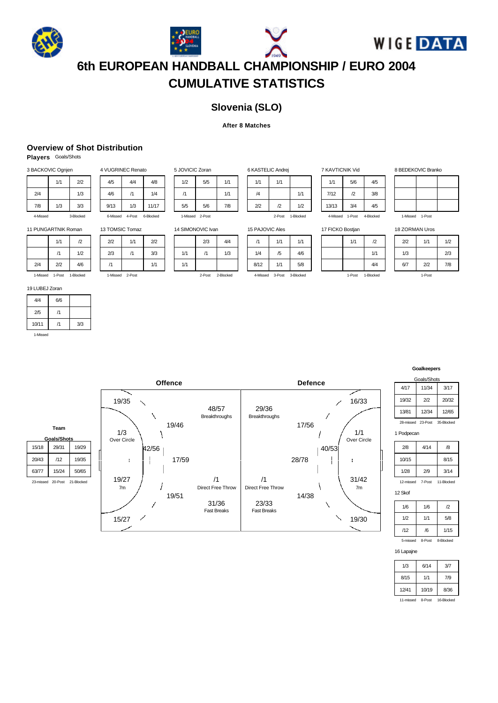







## **Slovenia (SLO)**

### **After 8 Matches**

## **Overview of Shot Distribution**

**Players** Goals/Shots

| 3 BACKOVIC Ognjen |           |     |  |  |  |  |  |  |
|-------------------|-----------|-----|--|--|--|--|--|--|
|                   | 1/1       | 2/2 |  |  |  |  |  |  |
| 2/4               |           | 1/3 |  |  |  |  |  |  |
| 7/8               | 1/3       | 3/3 |  |  |  |  |  |  |
| 4-Missed          | 3-Blocked |     |  |  |  |  |  |  |

 $4/5$   $4/4$   $4/8$ 4/6 /1 1/4 9/13 1/3 11/17 6-Missed 4-Post 6-Blocked

| 1/2             | 5/5 | 1/1 |
|-----------------|-----|-----|
| /1              |     | 1/1 |
| 5/5             | 5/6 | 7/8 |
| 1-Missed 2-Post |     |     |

| 6 KASTELIC Andrej |              |           |
|-------------------|--------------|-----------|
| 1/1               | 1/1          |           |
| /4                |              | 1/1       |
| 2/2               | $\mathbf{r}$ | 1/2       |
|                   | 2-Post       | 1-Blocked |

| 7 KAVTICNIK Vid |        |           |
|-----------------|--------|-----------|
| 1/1             | 5/6    | 4/5       |
| 7/12            | /2     | 3/8       |
| 13/13           | 3/4    | 4/5       |
| 4-Missed        | 1-Post | 4-Blocked |

8 BEDEKOVIC Branko

11 PUNGARTNIK Roman

|     | 1/1 | $\mathbf{r}$ |
|-----|-----|--------------|
|     | /1  | 1/2          |
| 2/4 | 2/2 | 4/6          |

1-Missed 1-Post 1-Blocked

|  | 19 LUBEJ Zoran |  |
|--|----------------|--|
|  |                |  |

| 4/4      | 6/6 |     |
|----------|-----|-----|
|          |     |     |
| 2/5      | /1  |     |
| 10/11    | /1  | 3/3 |
| 1-Missed |     |     |

**Team Goals/Shots** 15/18 29/31 19/29 20/43 /12 19/35 63/77 15/24 50/65 23-missed 20-Post 21-Blocked 14 SIMONOVIC Ivan

5 JOVICIC Zoran

|     | 2/3 | 4/4 |
|-----|-----|-----|
| 1/1 | /1  | 1/3 |
| 1/1 |     |     |
|     | .   | .   |

 $15 P$ 

| 7/12             | $\mathcal{D}$   | 3/8       |  |
|------------------|-----------------|-----------|--|
| 13/13            | 3/4             | 4/5       |  |
|                  | 4-Missed 1-Post | 4-Blocked |  |
| 17 FICKO Bostjan |                 |           |  |

 $1/1$  /2 1/1 4/4 1-Post 1-Blocked 1-Missed 1-Post

18 ZORMAN Uros

| 2/2    | 1/1 | 1/2 |  |
|--------|-----|-----|--|
| 1/3    |     | 2/3 |  |
| 6/7    | 2/2 | 7/8 |  |
| 1-Post |     |     |  |

| <b>PAJOVIC Ales</b> |                 |           |  |
|---------------------|-----------------|-----------|--|
| /1                  | 1/1             | 1/1       |  |
| 1/4                 | /5              | 4/6       |  |
| 8/12                | 1/1             | 5/8       |  |
|                     | 4-Missed 3-Post | 3-Blocked |  |

**Goalkeepers**

| Goals/Shots                        |       |       |  |
|------------------------------------|-------|-------|--|
| 4/17                               | 11/34 | 3/17  |  |
| 19/32                              | 2/2   | 20/32 |  |
| 13/81                              | 12/34 | 12/65 |  |
| 23-Post<br>28-missed<br>35-Blocked |       |       |  |

1 Podpecan

| 2/8       | 4/14   | /8         |
|-----------|--------|------------|
| 10/15     |        | 8/15       |
| 1/28      | 2/9    | 3/14       |
| 12-missed | 7-Post | 11-Blocked |

12 Skof

| 1/6      | 1/6    | $\mathbf{r}$ |
|----------|--------|--------------|
| 1/2      | 1/1    | 5/8          |
| /12      | /6     | 1/15         |
| 5-missed | 8-Post | 8-Blocked    |

16 Lapajne

| 1/3   | 6/14  | 3/7  |
|-------|-------|------|
| 8/15  | 1/1   | 7/9  |
| 12/41 | 10/19 | 8/36 |
|       |       |      |

11-missed 8-Post 16-Block



| 2/2 | 1/1 | 2/2 |
|-----|-----|-----|
| 2/3 | /1  | 3/3 |
|     |     | 1/1 |

13 TOMSIC Tomaz

4 VUGRINEC Renato

1-Missed 2-Post

2-Post 2-Blocked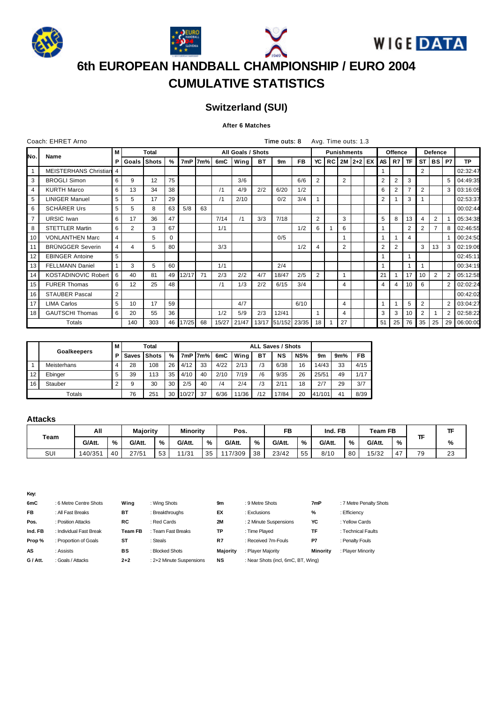







## **Switzerland (SUI)**

## **After 6 Matches**

|                | Coach: EHRET Arno          |   |                |              |    |          |         |      |                   |           | Time outs: 8       |           |                | Avg. Time outs: 1.3 |                |                    |                |         |                |    |                |                |           |
|----------------|----------------------------|---|----------------|--------------|----|----------|---------|------|-------------------|-----------|--------------------|-----------|----------------|---------------------|----------------|--------------------|----------------|---------|----------------|----|----------------|----------------|-----------|
| N٥.            | <b>Name</b>                | М |                | <b>Total</b> |    |          |         |      | All Goals / Shots |           |                    |           |                |                     |                | <b>Punishments</b> |                | Offence |                |    | <b>Defence</b> |                |           |
|                |                            | Р | Goals          | <b>Shots</b> | %  |          | 7mP 7m% | 6mC  | Wing              | <b>BT</b> | 9m                 | <b>FB</b> | YC             |                     |                | RC 2M 2+2 EX       | AS I           | R7      | <b>TF</b>      |    | ST BS P7       |                | <b>TP</b> |
|                | MEISTERHANS Christian      | 4 |                |              |    |          |         |      |                   |           |                    |           |                |                     |                |                    |                |         |                | 2  |                |                | 02:32:47  |
| 3              | <b>BROGLI Simon</b>        | 6 | 9              | 12           | 75 |          |         |      | 3/6               |           |                    | 6/6       | $\overline{2}$ |                     | $\overline{2}$ |                    | $\overline{2}$ | 2       | 3              |    |                | 5              | 04:49:35  |
| $\overline{4}$ | <b>KURTH Marco</b>         | 6 | 13             | 34           | 38 |          |         | /1   | 4/9               | 2/2       | 6/20               | 1/2       |                |                     |                |                    | 6              | 2       |                | 2  |                | 3              | 03:16:05  |
| 5              | <b>LINIGER Manuel</b>      | 5 | 5              | 17           | 29 |          |         | /1   | 2/10              |           | 0/2                | 3/4       |                |                     |                |                    | $\overline{2}$ |         | 3              |    |                |                | 02:53:37  |
| 6              | <b>SCHÄRER Urs</b>         | 5 | 5              | 8            | 63 | 5/8      | 63      |      |                   |           |                    |           |                |                     |                |                    |                |         |                |    |                |                | 00:02:44  |
| $\overline{7}$ | <b>URSIC</b> Iwan          | 6 | 17             | 36           | 47 |          |         | 7/14 | /1                | 3/3       | 7/18               |           | $\overline{2}$ |                     | 3              |                    | 5              | 8       | 13             | 4  | $\overline{2}$ |                | 05:34:38  |
| 8              | <b>STETTLER Martin</b>     | 6 | $\overline{2}$ | 3            | 67 |          |         | 1/1  |                   |           |                    | 1/2       | 6              |                     | 6              |                    |                |         | $\overline{2}$ | 2  | $\overline{7}$ | 8              | 02:46:55  |
| 10             | <b>VONLANTHEN Marc</b>     | 4 |                | 5            | 0  |          |         |      |                   |           | 0/5                |           |                |                     |                |                    | 1              |         | 4              |    |                |                | 00:24:50  |
| 11             | <b>BRÜNGGER Severin</b>    | 4 | 4              | 5            | 80 |          |         | 3/3  |                   |           |                    | 1/2       | 4              |                     | $\overline{2}$ |                    | 2              | 2       |                | 3  | 13             | 3              | 02:19:06  |
| 12             | <b>EBINGER Antoine</b>     | 5 |                |              |    |          |         |      |                   |           |                    |           |                |                     |                |                    |                |         |                |    |                |                | 02:45:11  |
| 13             | <b>FELLMANN Daniel</b>     |   | 3              | 5            | 60 |          |         | 1/1  |                   |           | 2/4                |           |                |                     |                |                    |                |         |                |    |                |                | 00:34:19  |
| 14             | <b>KOSTADINOVIC Robert</b> | 6 | 40             | 81           | 49 | 12/17    | 71      | 2/3  | 2/2               | 4/7       | 18/47              | 2/5       | $\overline{2}$ |                     |                |                    | 21             |         | 17             | 10 | $\overline{2}$ | 2              | 05:12:58  |
| 15             | <b>FURER Thomas</b>        | 6 | 12             | 25           | 48 |          |         | /1   | 1/3               | 2/2       | 6/15               | 3/4       |                |                     | $\overline{4}$ |                    | 4              | 4       | 10             | 6  |                | 2              | 02:02:24  |
| 16             | <b>STAUBER Pascal</b>      | 2 |                |              |    |          |         |      |                   |           |                    |           |                |                     |                |                    |                |         |                |    |                |                | 00:42:02  |
| 17             | <b>LIMA Carlos</b>         | 5 | 10             | 17           | 59 |          |         |      | 4/7               |           |                    | 6/10      |                |                     | 4              |                    | $\overline{1}$ |         | 5              | 2  |                | $\overline{2}$ | 03:04:27  |
| 18             | <b>GAUTSCHI Thomas</b>     | 6 | 20             | 55           | 36 |          |         | 1/2  | 5/9               | 2/3       | 12/41              |           |                |                     | 4              |                    | 3              | 3       | 10             | 2  |                | $\overline{2}$ | 02:58:22  |
|                | Totals                     |   | 140            | 303          |    | 46 17/25 | 68      |      | 15/27 21/47       |           | 13/17 51/152 23/35 |           | 18             |                     | 27             |                    | 51             | 25      | 76             | 35 | 25             | 29             | 06:00:00  |

|    |             | м | Total |         |    |       | <b>ALL Saves / Shots</b> |      |      |    |       |     |        |     |      |
|----|-------------|---|-------|---------|----|-------|--------------------------|------|------|----|-------|-----|--------|-----|------|
|    | Goalkeepers | Р | Saves | l Shots | %  | 7mP   | l7m%                     | 6mC  | Wing | вT | NS    | NS% | 9m     | 9m% | FB   |
|    | Meisterhans |   | 28    | 108     | 26 | 4/12  | 33                       | 4/22 | 2/13 | ί3 | 6/38  | 16  | 14/43  | 33  | 4/15 |
| 12 | Ebinger     | 5 | 39    | 113     | 35 | 4/10  | 40                       | 2/10 | 7/19 | /6 | 9/35  | 26  | 25/51  | 49  | 1/17 |
| 16 | Stauber     |   | 9     | 30      | 30 | 2/5   | 40                       | /4   | 2/4  | Ι3 | 2/11  | 18  | 2/7    | 29  | 3/7  |
|    | Totals      |   | 76    | 251     | 30 | 10/27 | 37                       | 6/36 | 1/36 | 12 | 17/84 | 20  | 41/101 | 41  | 8/39 |

### **Attacks**

|      | All    |    | <b>Majority</b> |    | <b>Minority</b> |    | Pos.    |    | FB     |    | Ind. FB |    | Team FB |    |    |           |
|------|--------|----|-----------------|----|-----------------|----|---------|----|--------|----|---------|----|---------|----|----|-----------|
| Team | G/Att. | %  | G/Att.          | %  | G/Att.          | %  | G/Att.  | %  | G/Att. | %  | G/Att.  | %  | G/Att.  | %  |    | %         |
| SUI  | 40/351 | 40 | 27/51           | 53 | 1/31            | 35 | 117/309 | 38 | 23/42  | 55 | 8/10    | 80 | 15/32   | 47 | 79 | ົດດ<br>د∠ |

| 6mC       | : 6 Metre Centre Shots  | Wina    | : Wing Shots             | 9m              | : 9 Metre Shots                    | 7mP      | : 7 Metre Penalty Shots |
|-----------|-------------------------|---------|--------------------------|-----------------|------------------------------------|----------|-------------------------|
| <b>FB</b> | : All Fast Breaks       | ВT      | : Breakthroughs          | EX              | : Exclusions                       | %        | : Efficiency            |
| Pos.      | : Position Attacks      | RC.     | : Red Cards              | 2M              | : 2 Minute Suspensions             | YC       | : Yellow Cards          |
| Ind. FB   | : Individual Fast Break | Team FB | : Team Fast Breaks       | ТP              | : Time Plaved                      | TF       | : Technical Faults      |
| Prop%     | : Proportion of Goals   | ST      | : Steals                 | R7              | : Received 7m-Fouls                | P7       | : Penalty Fouls         |
| AS        | : Assists               | BS      | : Blocked Shots          | <b>Majority</b> | : Plaver Maiority                  | Minority | : Plaver Minority       |
| G / Att.  | : Goals / Attacks       | $2+2$   | : 2+2 Minute Suspensions | <b>NS</b>       | : Near Shots (incl, 6mC, BT, Wing) |          |                         |
|           |                         |         |                          |                 |                                    |          |                         |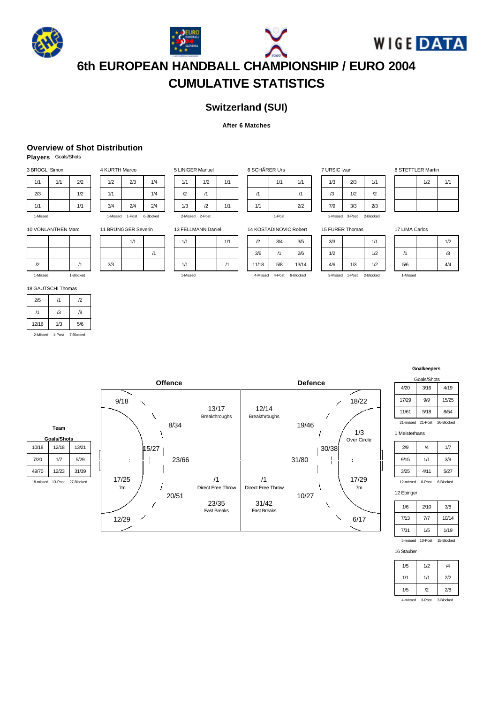







## **Switzerland (SUI)**

### **After 6 Matches**

 $14$ 

**Offence Defence**

## **Overview of Shot Distribution**

**Players** Goals/Shots

| 3 BROGLI Simon |     |     |  |  |  |  |  |  |
|----------------|-----|-----|--|--|--|--|--|--|
| 1/1            | 1/1 | 2/2 |  |  |  |  |  |  |
| 2/3            |     | 1/2 |  |  |  |  |  |  |
| 1/1            |     | 1/1 |  |  |  |  |  |  |
| .              |     |     |  |  |  |  |  |  |

| 4 KURTH Marco |                 |           |  |  |  |  |  |
|---------------|-----------------|-----------|--|--|--|--|--|
| 1/2           | 2/3             | 1/4       |  |  |  |  |  |
| 1/1           |                 | 1/4       |  |  |  |  |  |
| 3/4           | 2/4             | 2/4       |  |  |  |  |  |
|               | 1-Missed 1-Post | 6-Blocked |  |  |  |  |  |

 $/1$ 

3/3

11 BRÜNGGER Severin 1/1

| 5 LINIGER Manuel |                 |     |  |  |  |  |  |  |
|------------------|-----------------|-----|--|--|--|--|--|--|
| 1/1              | 1/2             | 1/1 |  |  |  |  |  |  |
| $\mathbf{r}$     | /1              |     |  |  |  |  |  |  |
| 1/3              | $\mathbf{r}$    | 1/1 |  |  |  |  |  |  |
|                  | 2-Missed 2-Post |     |  |  |  |  |  |  |

| 6 SCHÄRER Urs |        |     |
|---------------|--------|-----|
|               | 1/1    | 1/1 |
| /1            |        | /1  |
| 1/1           |        | 2/2 |
|               | 1-Post |     |

| 7 URSIC Iwan |        |           |
|--------------|--------|-----------|
| 1/3          | 2/3    | 1/1       |
| /3           | 1/2    | /2        |
| 7/9          | 3/3    | 2/3       |
| 2-Missed     | 3-Post | 2-Blocked |

| 1/1        |  |  |
|------------|--|--|
| $\sqrt{2}$ |  |  |
| 2/3        |  |  |

1-Missed

10 VONLANTHEN Marc Τ  $\mathsf{l}$  $\overline{\phantom{a}}$ 

| $\mathbf{r}$ | 11        |
|--------------|-----------|
| 1-Missed     | 1-Blocked |

18 GAUTSCHI Thomas

| 2/5      | /1             | $\sqrt{2}$ |
|----------|----------------|------------|
| /1       | $\overline{3}$ | /8         |
| 12/16    | 1/3            | 5/6        |
| 2-Missed | 1-Post         | 7-Blocked  |

**Team Goals/Shots** 13 FELLMANN Daniel

| 1/1      | 1/1 |  |
|----------|-----|--|
|          |     |  |
| 1/1      | /1  |  |
| 1-Missed |     |  |

| <b>KOSTADINOVIC Robert</b> |           |           |  |  |  |  |  |  |
|----------------------------|-----------|-----------|--|--|--|--|--|--|
| $\mathcal{D}$              | 3/4       | 3/5       |  |  |  |  |  |  |
| 3/6                        | /1        | 2/6       |  |  |  |  |  |  |
| 11/18                      | 5/8       | 13/14     |  |  |  |  |  |  |
| A-Miccod                   | $A$ -Post | 0.Rinckod |  |  |  |  |  |  |

15 FURER Thomas  $3/3$   $1/1$  $1/2$   $1/2$ 4/6 1/3 1/2

3-Missed 1-Post 2-Blocked

18/22

Í

ļ

╲

 $\checkmark$ 

1/3 Over Circle

6/17

17/29 7m

f.

8 STETTLER Martin

| 1/2 | 1/1 |
|-----|-----|
|     |     |
|     |     |

17 LIMA Carlos

|          | 1/2 |
|----------|-----|
| /1       | /3  |
| 5/6      | 4/4 |
| 1-Missed |     |

### 9/18 12/14 13/17  $\overline{\phantom{0}}$ Breakthroughs Breakthroughs 8/34 19/46 À I 30/38 10/18 12/18 13/21 15/27 7/20 1/7 5/29 23/66 31/80  $\mathbf{r}$  $\overline{\phantom{a}}$ 49/70 12/23 31/39 17/25 /1 /1 18-missed 13-Post 27-Blocked J Direct Free Throw Direct Free Throw ١ 7m 20/51 10/27 23/35 31/42 Fast Breaks Fast Breaks  $\overline{\phantom{a}}$ 12/29

### **Goalkeepers**

| Goals/Shots                     |      |       |  |  |  |  |  |  |
|---------------------------------|------|-------|--|--|--|--|--|--|
| 4/20                            | 3/16 | 4/19  |  |  |  |  |  |  |
| 17/29                           | 9/9  | 15/25 |  |  |  |  |  |  |
| 11/61                           | 5/18 | 8/54  |  |  |  |  |  |  |
| 21-missed 21-Post<br>26-Blocked |      |       |  |  |  |  |  |  |

1 Meisterhans

| 2/9       | /4     | 1/7       |  |  |  |  |
|-----------|--------|-----------|--|--|--|--|
| 9/15      | 1/1    | 3/9       |  |  |  |  |
| 3/25      | 4/11   | 5/27      |  |  |  |  |
| 12-missed | 8-Post | 8-Blocked |  |  |  |  |

### 12 Ebinger

| 1/6  | 2/10             | 3/8        |  |  |  |  |
|------|------------------|------------|--|--|--|--|
| 7/13 | 7/7              | 10/14      |  |  |  |  |
| 7/31 | 1/5              | 1/19       |  |  |  |  |
|      | 5-missed 10-Post | 15-Blocked |  |  |  |  |

### 16 Stauber

| 1/2          | /4  |
|--------------|-----|
| 1/1          | 2/2 |
| $\mathbf{r}$ | 2/8 |
|              |     |

4-missed 3-Post 3-Block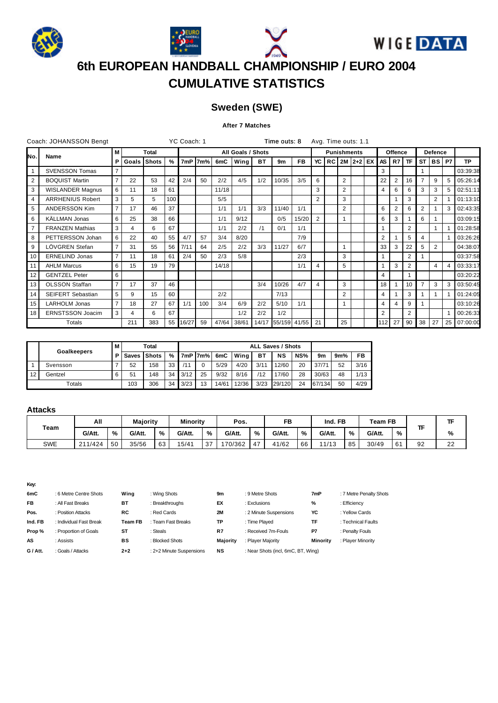







## **Sweden (SWE)**

## **After 7 Matches**

|                | Coach: JOHANSSON Bengt  |                |       |              |      | YC Coach: 1 |         |       |                   |     | Time outs: 8       |       |                | Avg. Time outs: 1.1 |                |                    |                |         |                |                |                |           |             |
|----------------|-------------------------|----------------|-------|--------------|------|-------------|---------|-------|-------------------|-----|--------------------|-------|----------------|---------------------|----------------|--------------------|----------------|---------|----------------|----------------|----------------|-----------|-------------|
| No.            |                         | М              |       | <b>Total</b> |      |             |         |       | All Goals / Shots |     |                    |       |                |                     |                | <b>Punishments</b> |                | Offence |                |                | <b>Defence</b> |           |             |
|                | Name                    | P.             | Goals | l Shots      | $\%$ |             | 7mP 7m% | 6mC   | Wina              | ВT  | 9m                 | FB    | YC             |                     |                | RC 2M 2+2 EX       | AS I           | R7      | <b>TF</b>      | <b>ST</b>      | <b>BS</b>      | <b>P7</b> | <b>TP</b>   |
| $\mathbf{1}$   | <b>SVENSSON Tomas</b>   |                |       |              |      |             |         |       |                   |     |                    |       |                |                     |                |                    | 3              |         |                |                |                |           | 03:39:38    |
| 2              | <b>BOQUIST Martin</b>   |                | 22    | 53           | 42   | 2/4         | 50      | 2/2   | 4/5               | 1/2 | 10/35              | 3/5   | 6              |                     | $\overline{2}$ |                    | 22             | 2       | 16             | $\overline{7}$ | 9              | 5         | 05:26:14    |
| 3              | <b>WISLANDER Magnus</b> | 6              | 11    | 18           | 61   |             |         | 11/18 |                   |     |                    |       | 3              |                     | $\overline{2}$ |                    | 4              | 6       | 6              | 3              | 3              | 5         | 02:51:11    |
| $\overline{4}$ | <b>ARRHENIUS Robert</b> | 3              | 5     | 5            | 100  |             |         | 5/5   |                   |     |                    |       | 2              |                     | 3              |                    |                |         | 3              |                | 2              |           | 01:13:10    |
| 5              | <b>ANDERSSON Kim</b>    |                | 17    | 46           | 37   |             |         | 1/1   | 1/1               | 3/3 | 11/40              | 1/1   |                |                     | 2              |                    | 6              | 2       | 6              | $\overline{2}$ |                | 3         | 02:43:35    |
| 6              | KÄLLMAN Jonas           | 6              | 25    | 38           | 66   |             |         | 1/1   | 9/12              |     | 0/5                | 15/20 | $\overline{2}$ |                     |                |                    | 6              | 3       |                | 6              |                |           | 03:09:15    |
| $\overline{7}$ | <b>FRANZEN Mathias</b>  | 3              | 4     | 6            | 67   |             |         | 1/1   | 2/2               | /1  | 0/1                | 1/1   |                |                     |                |                    |                |         | $\overline{2}$ |                |                |           | 01:28:58    |
| 8              | PETTERSSON Johan        | 6              | 22    | 40           | 55   | 4/7         | 57      | 3/4   | 8/20              |     |                    | 7/9   |                |                     |                |                    | 2              |         | 5              | 4              |                |           | 03:26:26    |
| 9              | LÖVGREN Stefan          | $\overline{7}$ | 31    | 55           | 56   | 7/11        | 64      | 2/5   | 2/2               | 3/3 | 11/27              | 6/7   |                |                     |                |                    | 33             | 3       | 22             | 5              | $\overline{2}$ |           | 04:38:07    |
| 10             | <b>ERNELIND Jonas</b>   | $\overline{7}$ | 11    | 18           | 61   | 2/4         | 50      | 2/3   | 5/8               |     |                    | 2/3   |                |                     | 3              |                    |                |         | $\overline{2}$ |                |                |           | 03:37:58    |
| 11             | <b>AHLM Marcus</b>      | 6              | 15    | 19           | 79   |             |         | 14/18 |                   |     |                    | 1/1   | 4              |                     | 5              |                    |                | 3       | $\overline{2}$ |                | $\overline{4}$ |           | 03:33:17    |
| 12             | <b>GENTZEL Peter</b>    | 6              |       |              |      |             |         |       |                   |     |                    |       |                |                     |                |                    | 4              |         |                |                |                |           | 03:20:22    |
| 13             | <b>OLSSON Staffan</b>   | $\overline{7}$ | 17    | 37           | 46   |             |         |       |                   | 3/4 | 10/26              | 4/7   | 4              |                     | 3              |                    | 18             |         | 10             | $\overline{7}$ | 3              | 3         | 03:50:45    |
| 14             | SEIFERT Sebastian       | 5              | 9     | 15           | 60   |             |         | 2/2   |                   |     | 7/13               |       |                |                     | $\overline{2}$ |                    | 4              |         | 3              |                |                |           | 01:24:05    |
| 15             | LARHOLM Jonas           | $\overline{7}$ | 18    | 27           | 67   | 1/1         | 100     | 3/4   | 6/9               | 2/2 | 5/10               | 1/1   |                |                     | $\overline{1}$ |                    | 4              | 4       | 9              |                |                |           | 03:10:26    |
| 18             | ERNSTSSON Joacim        | 3              | 4     | 6            | 67   |             |         |       | 1/2               | 2/2 | 1/2                |       |                |                     |                |                    | $\overline{2}$ |         | $\overline{2}$ |                |                |           | 00:26:33    |
|                | Totals                  |                | 211   | 383          | 55   | 16/27       | 59      |       | 47/64 38/61       |     | 14/17 55/159 41/55 |       | 21             |                     | 25             |                    | 112            | 27      | 90             | 38             | 27             |           | 25 07:00:00 |

|    | М<br><b>Goalkeepers</b><br>P |  |             | Total |    |      |      |       |       |      | <b>ALL Saves / Shots</b> |     |        |     |      |
|----|------------------------------|--|-------------|-------|----|------|------|-------|-------|------|--------------------------|-----|--------|-----|------|
|    |                              |  | Saves Shots |       | %  | 7mP  | 17m% | 6mC   | Wing  | BТ   | ΝS                       | NS% | 9m     | 9m% | FB   |
|    | Svensson                     |  | 52          | 158   | 33 |      | 0    | 5/29  | 4/20  | 3/11 | 12/60                    | 20  | 37/71  | 52  | 3/16 |
| 12 | Gentzel                      |  | 51          | 148   | 34 | 3/12 | 25   | 9/32  | 8/16  | 112  | 17/60                    | 28  | 30/63  | 48  | 1/13 |
|    | Totals                       |  | 103         | 306   | 34 | 3/23 | 13   | 14/61 | 12/36 | 3/23 | 29/120                   | 24  | 67/134 | 50  | 4/29 |

## **Attacks**

|            | All     |    | <b>Majority</b> |    | <b>Minority</b> |    | Pos.    |    | FB     |    | Ind. FB |    | Team FB |    |    |          |
|------------|---------|----|-----------------|----|-----------------|----|---------|----|--------|----|---------|----|---------|----|----|----------|
| Team       | G/Att.  | %  | G/Att.          | %  | G/Att.          | %  | G/Att.  | %  | G/Att. | %  | G/Att.  | %  | G/Att.  | %  |    | %        |
| <b>SWE</b> | 211/424 | 50 | 35/56           | 63 | 15/41           | 37 | 170/362 | 47 | 41/62  | 66 | 11/13   | 85 | 30/49   | 61 | 92 | ົດ<br>22 |

| 6mC       | : 6 Metre Centre Shots  | Wing           | : Wing Shots             | 9m              | : 9 Metre Shots                    | 7mP      | : 7 Metre Penalty Shots |
|-----------|-------------------------|----------------|--------------------------|-----------------|------------------------------------|----------|-------------------------|
| <b>FB</b> | : All Fast Breaks       | BT             | : Breakthroughs          | EX              | : Exclusions                       | %        | : Efficiency            |
| Pos.      | : Position Attacks      | RC             | : Red Cards              | <b>2M</b>       | : 2 Minute Suspensions             | YC       | : Yellow Cards          |
| Ind. FB   | : Individual Fast Break | <b>Team FB</b> | : Team Fast Breaks       | ТP              | : Time Plaved                      | TF       | : Technical Faults      |
| Prop%     | : Proportion of Goals   | ST             | : Steals                 | R7              | : Received 7m-Fouls                | P7       | : Penalty Fouls         |
| AS        | : Assists               | BS             | : Blocked Shots          | <b>Majority</b> | : Plaver Maiority                  | Minority | : Plaver Minority       |
| G / Att.  | : Goals / Attacks       | $2 + 2$        | : 2+2 Minute Suspensions | NS              | : Near Shots (incl, 6mC, BT, Wing) |          |                         |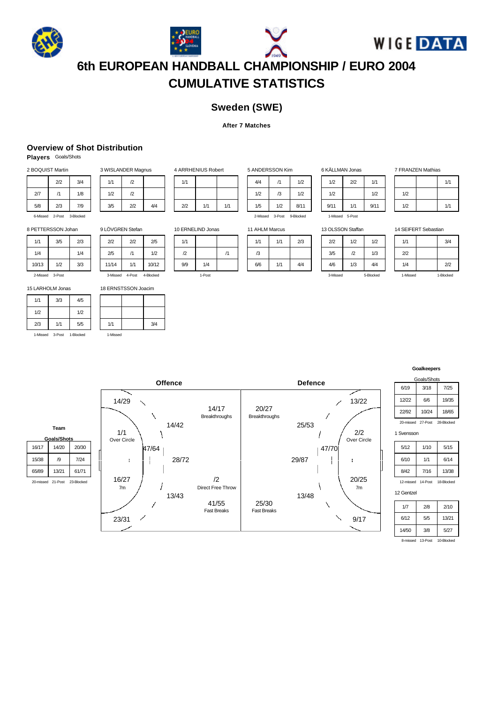







## **Sweden (SWE)**

### **After 7 Matches**

### **Overview of Shot Distribution**

**Players** Goals/Shots

| 2 BOQUIST Martin |     |  |  |  |  |  |  |
|------------------|-----|--|--|--|--|--|--|
| 2/2              | 3/4 |  |  |  |  |  |  |
| /1               | 1/8 |  |  |  |  |  |  |
| 2/3              | 7/9 |  |  |  |  |  |  |
|                  |     |  |  |  |  |  |  |

6-Missed 2-Post 3-Blocked

| 8 PETTERSSON Johan |     |     |  |  |  |  |  |
|--------------------|-----|-----|--|--|--|--|--|
| 1/1                | 3/5 | 2/3 |  |  |  |  |  |
| 1/4                |     | 1/4 |  |  |  |  |  |
| 10/13              | 1/2 | 3/3 |  |  |  |  |  |
| 2-Missed           |     |     |  |  |  |  |  |

15 LARHOLM Jonas

| 1/1      | 3/3    | 4/5       |
|----------|--------|-----------|
| 1/2      |        | 1/2       |
| 2/3      | 1/1    | 5/5       |
| 1-Missed | 3-Post | 1-Blocked |

**Team Goals/Shots** 16/17 14/20 20/30 15/38 /9 7/24 65/89 13/21 61/71 20-missed 21-Post 23-Blocked 9 LÖVGREN Stefan  $2/2$   $2/2$   $2/5$  $2/5$  /1 1/2 11/14 1/1 10/12

3-Missed 4-Post 4-Blocked

 $1/1$   $3/4$ 

1-Missed

18 ERNSTSSON Joacim

3 WISLANDER Magnus  $1/1$  /2  $1/2$  /2 3/5 2/2 4/4

| 10 ERNELIND Jonas |     |  |  |  |  |  |  |
|-------------------|-----|--|--|--|--|--|--|
| 1/1               |     |  |  |  |  |  |  |
| $\sqrt{2}$        |     |  |  |  |  |  |  |
| 9/9               | 1/4 |  |  |  |  |  |  |
| 1-Post            |     |  |  |  |  |  |  |

4 ARRHENIUS Robert

 $2/2$  1/1 1/1

 $/1$ 

1/1

|  | 11 AHLM Marcus |                 |           |
|--|----------------|-----------------|-----------|
|  |                | 2-Missed 3-Post | 9-Blocked |
|  | 1/5            | 1/2             | 8/11      |
|  | 1/2            | /3              | 1/2       |

 $1/1$   $1/1$ /3  $6/6$  1/1

5 ANDERSSON Kim  $4/4$  /1 1/2

| 13 OLSSON |  |     |  |  |  |  |  |  |
|-----------|--|-----|--|--|--|--|--|--|
| 2/3       |  | 2/2 |  |  |  |  |  |  |
|           |  | 3/5 |  |  |  |  |  |  |
| 4/4       |  | 4/6 |  |  |  |  |  |  |

3-Missed

6 KÄLLMAN Jonas

| 1/2      | 2/2    | 1/1  |  |  |  |  |  |  |
|----------|--------|------|--|--|--|--|--|--|
| 1/2      |        | 1/2  |  |  |  |  |  |  |
| 9/11     | 1/1    | 9/11 |  |  |  |  |  |  |
| 1-Missed | 5-Post |      |  |  |  |  |  |  |

7 FRANZEN Mathias

|     | 1/1 |
|-----|-----|
| 1/2 |     |
| 1/2 | 1/1 |

3/4

 $2/2$ 1-Missed 1-Blocked

**Staffan** 

 $1/2$  $/2$  $1/3$ 

|     |          | 14 SEIFERT Sebastian |  |
|-----|----------|----------------------|--|
| 1/2 | 1/1      |                      |  |
| 1/3 | 2/2      |                      |  |
| 4/4 | 1/4      |                      |  |
| .   | $\cdots$ |                      |  |

**Goalkeepers**

**Offence Defence** 14/29 13/22 14/17 20/27 ╲ Breakthroughs Breakthroughs  $\overline{\phantom{a}}$ 14/42 25/53 1/1 2/2 ١ I Over Circle Over Circle 47/64 47/70 28/72  $\mathbf{r}$  $\overline{\phantom{a}}$ 29/87  $\mathbf{I}$ 16/27 /2 20/25 Direct Free Throw V 7m 7m 13/43 13/48 41/55 25/30 ╲ Fast Breaks Fast Breaks  $\overline{\phantom{a}}$ ╲ 23/31 9/17

| Goals/Shots       |       |            |  |  |  |  |  |  |  |
|-------------------|-------|------------|--|--|--|--|--|--|--|
| 6/19              | 3/18  | 7/25       |  |  |  |  |  |  |  |
| 12/22             | 6/6   | 19/35      |  |  |  |  |  |  |  |
| 22/92             | 10/24 | 18/65      |  |  |  |  |  |  |  |
| 20-missed 27-Post |       | 28-Blocked |  |  |  |  |  |  |  |

1 Svensson

| 5/12                               | 1/10 | 5/15  |  |  |  |
|------------------------------------|------|-------|--|--|--|
| 6/10                               | 1/1  | 6/14  |  |  |  |
| 8/42                               | 7/16 | 13/38 |  |  |  |
| 18-Blocked<br>12-missed<br>14-Post |      |       |  |  |  |

12 Gentzel

| 1/7   | 2/8 | 2/10  |
|-------|-----|-------|
| 6/12  | 5/5 | 13/21 |
| 14/50 | 3/8 | 5/27  |

8-missed 13-Post 10-Blocked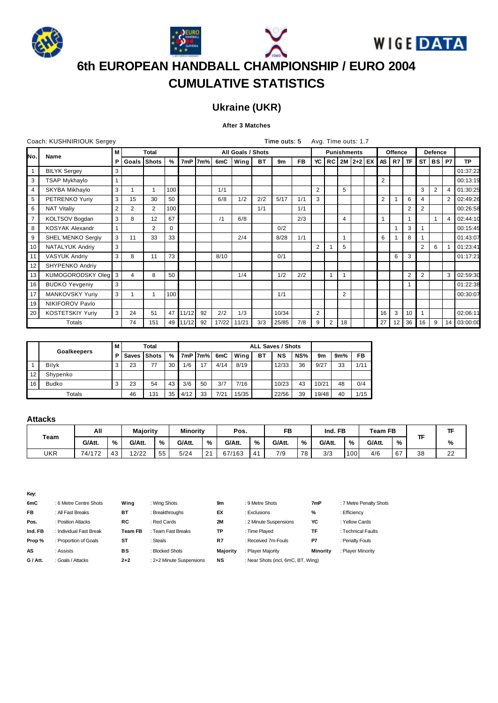







## **Ukraine (UKR)**

## **After 3 Matches**

|                | Coach: KUSHNIRIOUK Sergey |    |                |                |      |       |         |      |                   |           | Time outs: 5 |           |                | Avg. Time outs: 1.7 |                |                    |                      |      |                 |           |                |                |                  |           |
|----------------|---------------------------|----|----------------|----------------|------|-------|---------|------|-------------------|-----------|--------------|-----------|----------------|---------------------|----------------|--------------------|----------------------|------|-----------------|-----------|----------------|----------------|------------------|-----------|
|                |                           | М  |                | Total          |      |       |         |      | All Goals / Shots |           |              |           |                |                     |                | <b>Punishments</b> |                      |      | Offence         |           |                | Defence        |                  |           |
| No.            | Name                      | P. | Goals Shots    |                | $\%$ |       | 7mP 7m% | 6mC  | Wing              | <b>BT</b> | 9m           | <b>FB</b> | YC             |                     |                |                    | $RC$   2M   2+2   EX | AS I | R7              | <b>TF</b> | <b>ST</b>      |                | BSIP7            | <b>TP</b> |
|                | <b>BILYK Sergey</b>       | 3  |                |                |      |       |         |      |                   |           |              |           |                |                     |                |                    |                      |      |                 |           |                |                |                  | 01:37:22  |
| 3              | TSAP Mykhaylo             |    |                |                |      |       |         |      |                   |           |              |           |                |                     |                |                    |                      | 2    |                 |           |                |                |                  | 00:13:19  |
| 4              | SKYBA Mikhaylo            | 3  |                |                | 100  |       |         | 1/1  |                   |           |              |           | $\overline{2}$ |                     | 5              |                    |                      |      |                 |           | 3              | $\overline{2}$ |                  | 01:30:25  |
| 5              | PETRENKO Yuriy            | 3  | 15             | 30             | 50   |       |         | 6/8  | 1/2               | 2/2       | 5/17         | 1/1       | 3              |                     |                |                    |                      | 2    |                 | 6         | 4              |                | $\overline{2}$   | 02:49:26  |
| 6              | <b>NAT Vitaliy</b>        | 2  | $\overline{2}$ | $\overline{2}$ | 100  |       |         |      |                   | 1/1       |              | 1/1       |                |                     |                |                    |                      |      |                 | 2         | 2              |                |                  | 00:26:58  |
| $\overline{7}$ | KOLTSOV Bogdan            | 3  | 8              | 12             | 67   |       |         | /1   | 6/8               |           |              | 2/3       |                |                     | 4              |                    |                      | 1    |                 |           |                |                | $\boldsymbol{4}$ | 02:44:10  |
| 8              | <b>KOSYAK Alexandr</b>    |    |                | $\overline{2}$ | 0    |       |         |      |                   |           | 0/2          |           |                |                     |                |                    |                      |      |                 | 3         |                |                |                  | 00:15:45  |
| 9              | SHEL'MENKO Sergiy         | 3  | 11             | 33             | 33   |       |         |      | 2/4               |           | 8/28         | 1/1       |                |                     |                |                    |                      | 6    |                 | 8         |                |                |                  | 01:43:07  |
| 10             | NATALYUK Andriy           | 3  |                |                |      |       |         |      |                   |           |              |           | $\overline{2}$ |                     | 5              |                    |                      |      |                 |           | $\overline{2}$ | 6              |                  | 01:23:41  |
| 11             | <b>VASYUK Andriv</b>      | 3  | 8              | 11             | 73   |       |         | 8/10 |                   |           | 0/1          |           |                |                     |                |                    |                      |      | 6               | 3         |                |                |                  | 01:17:21  |
| 12             | SHYPENKO Andriy           |    |                |                |      |       |         |      |                   |           |              |           |                |                     |                |                    |                      |      |                 |           |                |                |                  |           |
| 13             | KUMOGORODSKY Oleg         | 3  | 4              | 8              | 50   |       |         |      | 1/4               |           | 1/2          | 2/2       |                | 1                   |                |                    |                      |      |                 | 2         | 2              |                | 3                | 02:59:30  |
| 16             | <b>BUDKO Yevgeniy</b>     | 3  |                |                |      |       |         |      |                   |           |              |           |                |                     |                |                    |                      |      |                 |           |                |                |                  | 01:22:38  |
| 17             | MANKOVSKY Yuriy           | 3  |                |                | 100  |       |         |      |                   |           | 1/1          |           |                |                     | $\overline{2}$ |                    |                      |      |                 |           |                |                |                  | 00:30:07  |
| 19             | NIKIFOROV Pavlo           |    |                |                |      |       |         |      |                   |           |              |           |                |                     |                |                    |                      |      |                 |           |                |                |                  |           |
| 20             | KOSTETSKIY Yuriy          | 3  | 24             | 51             | 47   | 11/12 | 92      | 2/2  | 1/3               |           | 10/34        |           | 2              |                     |                |                    |                      | 16   | 3               | 10        | $\overline{1}$ |                |                  | 02:06:11  |
|                | Totals                    |    | 74             | 151            | 49   | 11/12 | 92      |      | 17/22 11/21       | 3/3       | 25/85        | 7/8       | 9              | 2                   | 18             |                    |                      | 27   | 12 <sup>2</sup> | 36        | 16             | 9              | 14               | 03:00:00  |

|    | <b>Goalkeepers</b> | М<br>Total |             |     |    | <b>ALL Saves / Shots</b> |     |      |       |    |       |     |       |     |      |  |
|----|--------------------|------------|-------------|-----|----|--------------------------|-----|------|-------|----|-------|-----|-------|-----|------|--|
|    |                    | Р          | Saves Shots |     | %  | 7mP                      | 7m% | 6mC  | Wing  | BТ | NS    | NS% | 9m    | 9m% | FB   |  |
|    | <b>Bilvk</b>       |            | 23          | 77  | 30 | 1/6                      | 17  | 4/14 | 8/19  |    | 12/33 | 36  | 9/27  | 33  | 1/11 |  |
| 12 | Shypenko           |            |             |     |    |                          |     |      |       |    |       |     |       |     |      |  |
| 16 | <b>Budko</b>       |            | 23          | 54  | 43 | 3/6                      | 50  | 3/7  | 7/16  |    | 10/23 | 43  | 10/21 | 48  | 0/4  |  |
|    | Totals             |            | 46          | 131 | 35 | 4/12                     | 33  | 7/21 | 15/35 |    | 22/56 | 39  | 19/48 | 40  | 1/15 |  |

### **Attacks**

|      | All          |    | <b>Majority</b><br><b>Minority</b> |    | Pos.   |                      | FB     |    | Ind. FB |    | Team FB |     |        |    |    |              |
|------|--------------|----|------------------------------------|----|--------|----------------------|--------|----|---------|----|---------|-----|--------|----|----|--------------|
| Team | G/Att.       | %  | G/Att.                             | %  | G/Att. | %                    | G/Att. | %  | G/Att.  | %  | G/Att.  | %   | G/Att. | %  |    | %            |
| UKR  | 74/172<br>12 | 43 | 12/22                              | 55 | 5/24   | $\sim$<br>$\epsilon$ | 67/163 | 41 | 7/9     | 78 | 3/3     | 100 | 4/6    | 67 | 38 | $\sim$<br>22 |

| 6mC       | : 6 Metre Centre Shots  | Wina           | : Wing Shots             | 9m              | : 9 Metre Shots                    | 7mP      | : 7 Metre Penalty Shots |
|-----------|-------------------------|----------------|--------------------------|-----------------|------------------------------------|----------|-------------------------|
| <b>FB</b> | : All Fast Breaks       | ВT             | : Breakthroughs          | EX              | : Exclusions                       | %        | : Efficiency            |
| Pos.      | : Position Attacks      | RC             | : Red Cards              | <b>2M</b>       | : 2 Minute Suspensions             | YC       | : Yellow Cards          |
| Ind. FB   | : Individual Fast Break | <b>Team FB</b> | : Team Fast Breaks       | ТP              | : Time Plaved                      | TF       | : Technical Faults      |
| Prop%     | : Proportion of Goals   | ST             | : Steals                 | R7              | : Received 7m-Fouls                | P7       | : Penalty Fouls         |
| AS        | : Assists               | BS             | : Blocked Shots          | <b>Majority</b> | : Player Majority                  | Minority | : Plaver Minority       |
| G / Att.  | : Goals / Attacks       | $2 + 2$        | : 2+2 Minute Suspensions | <b>NS</b>       | : Near Shots (incl, 6mC, BT, Wing) |          |                         |
|           |                         |                |                          |                 |                                    |          |                         |